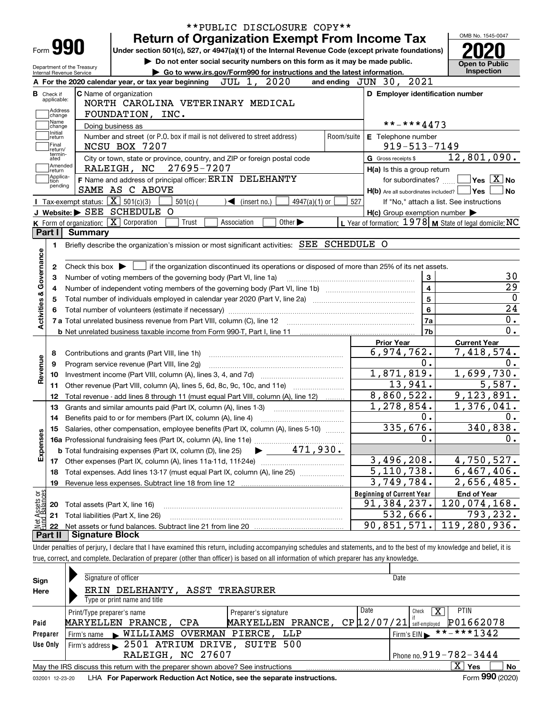|                                                        | **PUBLIC DISCLOSURE COPY**                                                                                                                                                        |                                                           | OMB No. 1545-0047                           |
|--------------------------------------------------------|-----------------------------------------------------------------------------------------------------------------------------------------------------------------------------------|-----------------------------------------------------------|---------------------------------------------|
| Form 990                                               | <b>Return of Organization Exempt From Income Tax</b>                                                                                                                              |                                                           |                                             |
|                                                        | Under section 501(c), 527, or 4947(a)(1) of the Internal Revenue Code (except private foundations)<br>Do not enter social security numbers on this form as it may be made public. |                                                           |                                             |
| Department of the Treasury<br>Internal Revenue Service | Go to www.irs.gov/Form990 for instructions and the latest information.                                                                                                            |                                                           | <b>Open to Public</b><br>Inspection         |
|                                                        | JUL 1, 2020<br>A For the 2020 calendar year, or tax year beginning                                                                                                                | and ending JUN 30, 2021                                   |                                             |
| в<br>Check if                                          | C Name of organization                                                                                                                                                            | D Employer identification number                          |                                             |
| applicable:                                            | NORTH CAROLINA VETERINARY MEDICAL                                                                                                                                                 |                                                           |                                             |
| Address<br>change                                      | FOUNDATION, INC.                                                                                                                                                                  |                                                           |                                             |
| Name<br>change                                         | Doing business as                                                                                                                                                                 | **-***4473                                                |                                             |
| Initial<br>return                                      | Number and street (or P.O. box if mail is not delivered to street address)                                                                                                        | Room/suite<br>E Telephone number                          |                                             |
| Final<br>return/                                       | NCSU BOX 7207                                                                                                                                                                     | $919 - 513 - 7149$                                        |                                             |
| termin-<br>ated                                        | City or town, state or province, country, and ZIP or foreign postal code                                                                                                          | G Gross receipts \$                                       | 12,801,090.                                 |
| Amended<br> return                                     | RALEIGH, NC 27695-7207                                                                                                                                                            | H(a) Is this a group return                               |                                             |
| Applica-<br>tion<br>pending                            | F Name and address of principal officer: ERIN DELEHANTY                                                                                                                           |                                                           | for subordinates? $\Box$ Yes $\boxed{X}$ No |
|                                                        | SAME AS C ABOVE                                                                                                                                                                   | $H(b)$ Are all subordinates included? $\Box$ Yes          | ∣No                                         |
|                                                        | <b>I</b> Tax-exempt status: $\boxed{\mathbf{X}}$ 501(c)(3)<br>$501(c)$ (<br>$\blacktriangleright$ (insert no.)<br>$4947(a)(1)$ or                                                 | 527                                                       | If "No," attach a list. See instructions    |
|                                                        | J Website: > SEE SCHEDULE O                                                                                                                                                       | $H(c)$ Group exemption number $\blacktriangleright$       |                                             |
|                                                        | K Form of organization: $\boxed{\mathbf{X}}$ Corporation<br>Trust<br>Association<br>Other $\blacktriangleright$                                                                   | L Year of formation: $1978$ M State of legal domicile: NC |                                             |
| Part I<br>Summary                                      |                                                                                                                                                                                   |                                                           |                                             |
| 1.                                                     | Briefly describe the organization's mission or most significant activities: SEE SCHEDULE O                                                                                        |                                                           |                                             |
| Activities & Governance<br>з                           | Number of voting members of the governing body (Part VI, line 1a)                                                                                                                 | $\mathbf{3}$<br>$\overline{4}$<br>$5^{\circ}$             |                                             |
|                                                        |                                                                                                                                                                                   | $6\phantom{a}$                                            |                                             |
|                                                        |                                                                                                                                                                                   | 7a                                                        |                                             |
|                                                        |                                                                                                                                                                                   | 7 <sub>b</sub>                                            |                                             |
|                                                        |                                                                                                                                                                                   | <b>Prior Year</b>                                         | <b>Current Year</b>                         |
| 8                                                      | Contributions and grants (Part VIII, line 1h)                                                                                                                                     | 6,974,762.                                                | 7,418,574.                                  |
| 9                                                      | Program service revenue (Part VIII, line 2g)                                                                                                                                      | 0.                                                        |                                             |
| Revenue<br>10                                          |                                                                                                                                                                                   | 1,871,819.                                                | 1,699,730.                                  |
| 11                                                     | Other revenue (Part VIII, column (A), lines 5, 6d, 8c, 9c, 10c, and 11e)                                                                                                          | 13,941.                                                   | 5,587.                                      |
| 12                                                     | Total revenue - add lines 8 through 11 (must equal Part VIII, column (A), line 12)                                                                                                | 8,860,522.                                                | 9,123,891.                                  |
| 13                                                     | Grants and similar amounts paid (Part IX, column (A), lines 1-3)                                                                                                                  | $\overline{1,278},854.$<br>0.                             | 1,376,041.                                  |
| 14                                                     | Benefits paid to or for members (Part IX, column (A), line 4)                                                                                                                     | 335,676.                                                  | 340,838.                                    |
| Expenses                                               | 15 Salaries, other compensation, employee benefits (Part IX, column (A), lines 5-10)                                                                                              | 0.                                                        |                                             |
|                                                        |                                                                                                                                                                                   |                                                           |                                             |
|                                                        |                                                                                                                                                                                   | 3,496,208.                                                | 4,750,527.                                  |
| 18                                                     | Total expenses. Add lines 13-17 (must equal Part IX, column (A), line 25)                                                                                                         | 5, 110, 738.                                              | 6,467,406.                                  |
| 19                                                     | Revenue less expenses. Subtract line 18 from line 12                                                                                                                              | 3,749,784.                                                | $\overline{2}$ , 656, 485.                  |
|                                                        |                                                                                                                                                                                   | <b>Beginning of Current Year</b>                          | <b>End of Year</b>                          |
| 20                                                     | Total assets (Part X, line 16)                                                                                                                                                    | 91,384,237.                                               | 120,074,168.                                |
| : Assets or<br>d Balances<br>21                        | Total liabilities (Part X, line 26)                                                                                                                                               | 532,666.                                                  | 793,232.                                    |
| 22                                                     |                                                                                                                                                                                   | 90,851,571.                                               | $\overline{119}$ , 280, 936.                |
| Part II                                                | <b>Signature Block</b>                                                                                                                                                            |                                                           |                                             |
|                                                        | Under penalties of perjury, I declare that I have examined this return, including accompanying schedules and statements, and to the best of my knowledge and belief, it is        |                                                           |                                             |
|                                                        | true, correct, and complete. Declaration of preparer (other than officer) is based on all information of which preparer has any knowledge.                                        |                                                           |                                             |
|                                                        |                                                                                                                                                                                   |                                                           |                                             |
|                                                        | Signature of officer                                                                                                                                                              | <b>Date</b>                                               |                                             |

| Sign     | <b>Signature of Officer</b>                                                     |                      | <b>Dalt</b>                                |    |  |  |  |  |  |  |  |  |
|----------|---------------------------------------------------------------------------------|----------------------|--------------------------------------------|----|--|--|--|--|--|--|--|--|
| Here     | ERIN DELEHANTY, ASST TREASURER                                                  |                      |                                            |    |  |  |  |  |  |  |  |  |
|          | Type or print name and title                                                    |                      |                                            |    |  |  |  |  |  |  |  |  |
|          | Print/Type preparer's name                                                      | Preparer's signature | Date<br><b>PTIN</b><br>х<br>Check          |    |  |  |  |  |  |  |  |  |
| Paid     | MARYELLEN PRANCE, CPA                                                           | MARYELLEN PRANCE,    | P01662078<br>$CP$ $12/07/21$ self-employed |    |  |  |  |  |  |  |  |  |
| Preparer | Firm's name WILLIAMS OVERMAN PIERCE, LLP                                        |                      | $1$ Firm's EIN $* * * * * 1342$            |    |  |  |  |  |  |  |  |  |
| Use Only | Firm's address 2501 ATRIUM DRIVE, SUITE 500                                     |                      |                                            |    |  |  |  |  |  |  |  |  |
|          | RALEIGH, NC 27607                                                               |                      | Phone no. $919 - 782 - 3444$               |    |  |  |  |  |  |  |  |  |
|          | May the IRS discuss this return with the preparer shown above? See instructions |                      | $\overline{X}$ Yes                         | No |  |  |  |  |  |  |  |  |
|          |                                                                                 |                      | 000.                                       |    |  |  |  |  |  |  |  |  |

032001 12-23-20 LHA **For Paperwork Reduction Act Notice, see the separate instructions.** Form 990 (2020)

**990**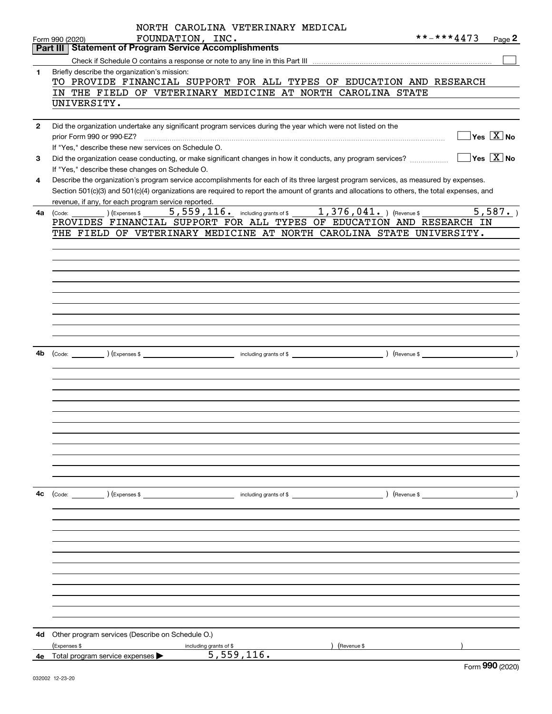|              | NORTH CAROLINA VETERINARY MEDICAL                                                                                                            |                                                   |
|--------------|----------------------------------------------------------------------------------------------------------------------------------------------|---------------------------------------------------|
|              | FOUNDATION, INC.<br>Form 990 (2020)                                                                                                          | **-***4473<br>Page 2                              |
|              | <b>Statement of Program Service Accomplishments</b><br>Part III                                                                              |                                                   |
|              |                                                                                                                                              |                                                   |
| 1            | Briefly describe the organization's mission:<br>TO PROVIDE FINANCIAL SUPPORT FOR ALL TYPES OF EDUCATION AND RESEARCH                         |                                                   |
|              | IN THE FIELD OF VETERINARY MEDICINE AT NORTH CAROLINA STATE                                                                                  |                                                   |
|              | UNIVERSITY.                                                                                                                                  |                                                   |
|              |                                                                                                                                              |                                                   |
| $\mathbf{2}$ | Did the organization undertake any significant program services during the year which were not listed on the                                 |                                                   |
|              | prior Form 990 or 990-EZ?                                                                                                                    | $\overline{\ }$ Yes $\overline{\rm{X}}$ No        |
|              | If "Yes," describe these new services on Schedule O.                                                                                         |                                                   |
| 3            | Did the organization cease conducting, or make significant changes in how it conducts, any program services?                                 | $\boxed{\phantom{1}}$ Yes $\boxed{\mathrm{X}}$ No |
|              | If "Yes," describe these changes on Schedule O.                                                                                              |                                                   |
| 4            | Describe the organization's program service accomplishments for each of its three largest program services, as measured by expenses.         |                                                   |
|              | Section 501(c)(3) and 501(c)(4) organizations are required to report the amount of grants and allocations to others, the total expenses, and |                                                   |
| 4a           | revenue, if any, for each program service reported.                                                                                          | $\overline{5,587}$ .                              |
|              | PROVIDES FINANCIAL SUPPORT FOR ALL TYPES OF EDUCATION AND RESEARCH IN                                                                        |                                                   |
|              | THE FIELD OF VETERINARY MEDICINE AT NORTH CAROLINA STATE UNIVERSITY.                                                                         |                                                   |
|              |                                                                                                                                              |                                                   |
|              |                                                                                                                                              |                                                   |
|              |                                                                                                                                              |                                                   |
|              |                                                                                                                                              |                                                   |
|              |                                                                                                                                              |                                                   |
|              |                                                                                                                                              |                                                   |
|              |                                                                                                                                              |                                                   |
|              |                                                                                                                                              |                                                   |
|              |                                                                                                                                              |                                                   |
|              |                                                                                                                                              |                                                   |
| 4b           |                                                                                                                                              |                                                   |
|              |                                                                                                                                              |                                                   |
|              |                                                                                                                                              |                                                   |
|              |                                                                                                                                              |                                                   |
|              |                                                                                                                                              |                                                   |
|              |                                                                                                                                              |                                                   |
|              |                                                                                                                                              |                                                   |
|              |                                                                                                                                              |                                                   |
|              |                                                                                                                                              |                                                   |
|              |                                                                                                                                              |                                                   |
|              |                                                                                                                                              |                                                   |
|              |                                                                                                                                              |                                                   |
| 4c           | (Code: ) (Expenses \$<br>including grants of \$                                                                                              | ) (Revenue \$                                     |
|              |                                                                                                                                              |                                                   |
|              |                                                                                                                                              |                                                   |
|              |                                                                                                                                              |                                                   |
|              |                                                                                                                                              |                                                   |
|              |                                                                                                                                              |                                                   |
|              |                                                                                                                                              |                                                   |
|              |                                                                                                                                              |                                                   |
|              |                                                                                                                                              |                                                   |
|              |                                                                                                                                              |                                                   |
|              |                                                                                                                                              |                                                   |
|              |                                                                                                                                              |                                                   |
| 4d           | Other program services (Describe on Schedule O.)                                                                                             |                                                   |
|              | (Expenses \$<br>(Revenue \$<br>including grants of \$                                                                                        |                                                   |
|              | 5,559,116.<br>4e Total program service expenses >                                                                                            | <b>nnn</b>                                        |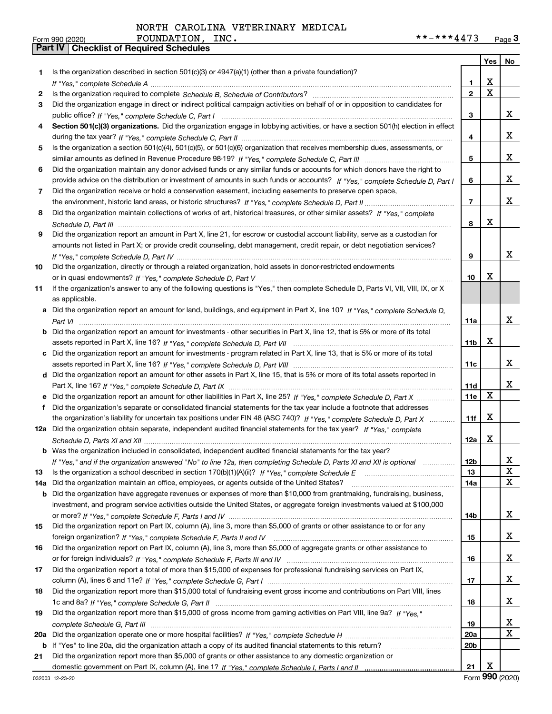|     |                                                                                                                                       |                 | Yes         | No               |
|-----|---------------------------------------------------------------------------------------------------------------------------------------|-----------------|-------------|------------------|
| 1.  | Is the organization described in section $501(c)(3)$ or $4947(a)(1)$ (other than a private foundation)?                               |                 |             |                  |
|     |                                                                                                                                       | 1               | X           |                  |
| 2   |                                                                                                                                       | $\overline{2}$  | $\mathbf X$ |                  |
| 3   | Did the organization engage in direct or indirect political campaign activities on behalf of or in opposition to candidates for       |                 |             |                  |
|     |                                                                                                                                       | 3               |             | х                |
| 4   | Section 501(c)(3) organizations. Did the organization engage in lobbying activities, or have a section 501(h) election in effect      |                 |             |                  |
|     |                                                                                                                                       | 4               |             | x                |
| 5   | Is the organization a section 501(c)(4), 501(c)(5), or 501(c)(6) organization that receives membership dues, assessments, or          |                 |             |                  |
|     |                                                                                                                                       | 5               |             | х                |
| 6   | Did the organization maintain any donor advised funds or any similar funds or accounts for which donors have the right to             |                 |             |                  |
|     | provide advice on the distribution or investment of amounts in such funds or accounts? If "Yes," complete Schedule D, Part I          | 6               |             | x                |
| 7   | Did the organization receive or hold a conservation easement, including easements to preserve open space,                             |                 |             |                  |
|     |                                                                                                                                       | $\overline{7}$  |             | х                |
| 8   | Did the organization maintain collections of works of art, historical treasures, or other similar assets? If "Yes," complete          |                 |             |                  |
|     |                                                                                                                                       | 8               | х           |                  |
| 9   | Did the organization report an amount in Part X, line 21, for escrow or custodial account liability, serve as a custodian for         |                 |             |                  |
|     | amounts not listed in Part X; or provide credit counseling, debt management, credit repair, or debt negotiation services?             |                 |             |                  |
|     |                                                                                                                                       | 9               |             | X                |
| 10  | Did the organization, directly or through a related organization, hold assets in donor-restricted endowments                          |                 |             |                  |
|     |                                                                                                                                       | 10              | х           |                  |
| 11  | If the organization's answer to any of the following questions is "Yes," then complete Schedule D, Parts VI, VII, VIII, IX, or X      |                 |             |                  |
|     | as applicable.                                                                                                                        |                 |             |                  |
| a   | Did the organization report an amount for land, buildings, and equipment in Part X, line 10? If "Yes," complete Schedule D.           |                 |             |                  |
|     |                                                                                                                                       | 11a             |             | х                |
|     | <b>b</b> Did the organization report an amount for investments - other securities in Part X, line 12, that is 5% or more of its total |                 |             |                  |
|     |                                                                                                                                       | 11 <sub>b</sub> | х           |                  |
| c   | Did the organization report an amount for investments - program related in Part X, line 13, that is 5% or more of its total           |                 |             |                  |
|     |                                                                                                                                       | 11c             |             | х                |
|     | d Did the organization report an amount for other assets in Part X, line 15, that is 5% or more of its total assets reported in       |                 |             |                  |
|     |                                                                                                                                       | 11d             |             | х                |
|     | e Did the organization report an amount for other liabilities in Part X, line 25? If "Yes," complete Schedule D, Part X               | 11e             | X           |                  |
| f   | Did the organization's separate or consolidated financial statements for the tax year include a footnote that addresses               |                 |             |                  |
|     | the organization's liability for uncertain tax positions under FIN 48 (ASC 740)? If "Yes," complete Schedule D, Part X                | 11f             | X           |                  |
|     | 12a Did the organization obtain separate, independent audited financial statements for the tax year? If "Yes," complete               |                 |             |                  |
|     |                                                                                                                                       | 12a             | х           |                  |
|     | <b>b</b> Was the organization included in consolidated, independent audited financial statements for the tax year?                    |                 |             |                  |
|     | If "Yes," and if the organization answered "No" to line 12a, then completing Schedule D, Parts XI and XII is optional                 | <u>12b</u>      |             | ▵<br>$\mathbf X$ |
| 13  | Is the organization a school described in section 170(b)(1)(A)(ii)? If "Yes," complete Schedule E                                     | 13              |             | X                |
| 14a | Did the organization maintain an office, employees, or agents outside of the United States?                                           | 14a             |             |                  |
| b   | Did the organization have aggregate revenues or expenses of more than \$10,000 from grantmaking, fundraising, business,               |                 |             |                  |
|     | investment, and program service activities outside the United States, or aggregate foreign investments valued at \$100,000            |                 |             | х                |
|     | Did the organization report on Part IX, column (A), line 3, more than \$5,000 of grants or other assistance to or for any             | 14b             |             |                  |
| 15  |                                                                                                                                       |                 |             | x                |
| 16  | Did the organization report on Part IX, column (A), line 3, more than \$5,000 of aggregate grants or other assistance to              | 15              |             |                  |
|     |                                                                                                                                       | 16              |             | x                |
|     | Did the organization report a total of more than \$15,000 of expenses for professional fundraising services on Part IX,               |                 |             |                  |
| 17  |                                                                                                                                       | 17              |             | x                |
| 18  | Did the organization report more than \$15,000 total of fundraising event gross income and contributions on Part VIII, lines          |                 |             |                  |
|     |                                                                                                                                       | 18              |             | x                |
| 19  | Did the organization report more than \$15,000 of gross income from gaming activities on Part VIII, line 9a? If "Yes."                |                 |             |                  |
|     |                                                                                                                                       | 19              |             | х                |
| 20a |                                                                                                                                       | 20a             |             | X                |
|     | b If "Yes" to line 20a, did the organization attach a copy of its audited financial statements to this return?                        | 20 <sub>b</sub> |             |                  |
| 21  | Did the organization report more than \$5,000 of grants or other assistance to any domestic organization or                           |                 |             |                  |
|     |                                                                                                                                       | 21              | X           |                  |
|     |                                                                                                                                       |                 |             |                  |

Form (2020) **990**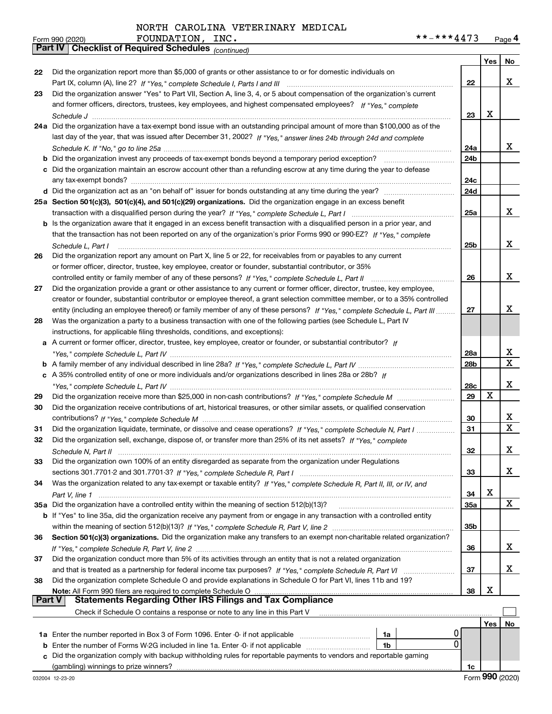*(continued)*

|        |                                                                                                                              |                 | Yes         | No |
|--------|------------------------------------------------------------------------------------------------------------------------------|-----------------|-------------|----|
| 22     | Did the organization report more than \$5,000 of grants or other assistance to or for domestic individuals on                |                 |             |    |
|        |                                                                                                                              | 22              |             | x  |
| 23     | Did the organization answer "Yes" to Part VII, Section A, line 3, 4, or 5 about compensation of the organization's current   |                 |             |    |
|        | and former officers, directors, trustees, key employees, and highest compensated employees? If "Yes," complete               |                 |             |    |
|        |                                                                                                                              | 23              | X           |    |
|        | 24a Did the organization have a tax-exempt bond issue with an outstanding principal amount of more than \$100,000 as of the  |                 |             |    |
|        | last day of the year, that was issued after December 31, 2002? If "Yes," answer lines 24b through 24d and complete           |                 |             |    |
|        |                                                                                                                              | 24a             |             | x  |
|        | <b>b</b> Did the organization invest any proceeds of tax-exempt bonds beyond a temporary period exception?                   | 24 <sub>b</sub> |             |    |
|        | c Did the organization maintain an escrow account other than a refunding escrow at any time during the year to defease       |                 |             |    |
|        |                                                                                                                              | 24c             |             |    |
|        |                                                                                                                              | 24d             |             |    |
|        | 25a Section 501(c)(3), 501(c)(4), and 501(c)(29) organizations. Did the organization engage in an excess benefit             |                 |             |    |
|        |                                                                                                                              | 25a             |             | x  |
|        | b Is the organization aware that it engaged in an excess benefit transaction with a disqualified person in a prior year, and |                 |             |    |
|        | that the transaction has not been reported on any of the organization's prior Forms 990 or 990-EZ? If "Yes." complete        |                 |             |    |
|        | Schedule L, Part I                                                                                                           | 25 <sub>b</sub> |             | X  |
| 26     | Did the organization report any amount on Part X, line 5 or 22, for receivables from or payables to any current              |                 |             |    |
|        | or former officer, director, trustee, key employee, creator or founder, substantial contributor, or 35%                      |                 |             |    |
|        | controlled entity or family member of any of these persons? If "Yes," complete Schedule L, Part II                           | 26              |             | х  |
| 27     | Did the organization provide a grant or other assistance to any current or former officer, director, trustee, key employee,  |                 |             |    |
|        | creator or founder, substantial contributor or employee thereof, a grant selection committee member, or to a 35% controlled  |                 |             |    |
|        | entity (including an employee thereof) or family member of any of these persons? If "Yes," complete Schedule L, Part III     | 27              |             | x  |
| 28     | Was the organization a party to a business transaction with one of the following parties (see Schedule L, Part IV            |                 |             |    |
|        | instructions, for applicable filing thresholds, conditions, and exceptions):                                                 |                 |             |    |
|        | a A current or former officer, director, trustee, key employee, creator or founder, or substantial contributor? If           |                 |             |    |
|        |                                                                                                                              | 28a             |             | x  |
|        |                                                                                                                              | 28 <sub>b</sub> |             | X  |
|        | c A 35% controlled entity of one or more individuals and/or organizations described in lines 28a or 28b? If                  |                 |             |    |
|        |                                                                                                                              | 28c             |             | x  |
| 29     |                                                                                                                              | 29              | $\mathbf X$ |    |
| 30     | Did the organization receive contributions of art, historical treasures, or other similar assets, or qualified conservation  |                 |             |    |
|        |                                                                                                                              | 30              |             | x  |
| 31     | Did the organization liquidate, terminate, or dissolve and cease operations? If "Yes," complete Schedule N, Part I           | 31              |             | X  |
| 32     | Did the organization sell, exchange, dispose of, or transfer more than 25% of its net assets? If "Yes," complete             |                 |             |    |
|        |                                                                                                                              | 32              |             | x  |
| 33     | Did the organization own 100% of an entity disregarded as separate from the organization under Regulations                   |                 |             |    |
|        |                                                                                                                              | 33              |             | x  |
| 34     | Was the organization related to any tax-exempt or taxable entity? If "Yes," complete Schedule R, Part II, III, or IV, and    |                 |             |    |
|        |                                                                                                                              | 34              | х           |    |
|        | 35a Did the organization have a controlled entity within the meaning of section 512(b)(13)?                                  | 35a             |             | X  |
|        | b If "Yes" to line 35a, did the organization receive any payment from or engage in any transaction with a controlled entity  |                 |             |    |
|        |                                                                                                                              | 35b             |             |    |
| 36     | Section 501(c)(3) organizations. Did the organization make any transfers to an exempt non-charitable related organization?   |                 |             |    |
|        |                                                                                                                              | 36              |             | x  |
| 37     | Did the organization conduct more than 5% of its activities through an entity that is not a related organization             |                 |             |    |
|        |                                                                                                                              | 37              |             | х  |
| 38     | Did the organization complete Schedule O and provide explanations in Schedule O for Part VI, lines 11b and 19?               |                 |             |    |
| Part V | Note: All Form 990 filers are required to complete Schedule O<br>Statements Regarding Other IRS Filings and Tax Compliance   | 38              | х           |    |
|        | Check if Schedule O contains a response or note to any line in this Part V                                                   |                 |             |    |
|        |                                                                                                                              |                 | Yes         | No |
|        | 0<br>1a Enter the number reported in Box 3 of Form 1096. Enter -0- if not applicable<br>1a                                   |                 |             |    |
| b      | 0<br>Enter the number of Forms W-2G included in line 1a. Enter -0- if not applicable<br>1b                                   |                 |             |    |
|        | Did the organization comply with backup withholding rules for reportable payments to vendors and reportable gaming           |                 |             |    |
|        |                                                                                                                              | 1c              |             |    |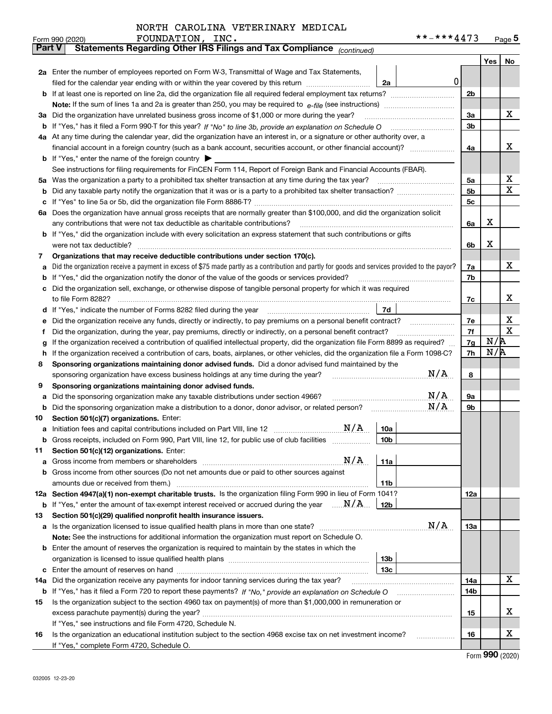|               | **-***4473<br>FOUNDATION, INC.<br>Form 990 (2020)                                                                                                                                                                                                                                            |          |            | Page $5$    |  |  |  |  |  |  |
|---------------|----------------------------------------------------------------------------------------------------------------------------------------------------------------------------------------------------------------------------------------------------------------------------------------------|----------|------------|-------------|--|--|--|--|--|--|
| <b>Part V</b> | Statements Regarding Other IRS Filings and Tax Compliance (continued)                                                                                                                                                                                                                        |          |            |             |  |  |  |  |  |  |
|               |                                                                                                                                                                                                                                                                                              |          | Yes        | No          |  |  |  |  |  |  |
|               | 2a Enter the number of employees reported on Form W-3, Transmittal of Wage and Tax Statements,                                                                                                                                                                                               |          |            |             |  |  |  |  |  |  |
|               | $\mathbf 0$<br>filed for the calendar year ending with or within the year covered by this return<br>2a                                                                                                                                                                                       |          |            |             |  |  |  |  |  |  |
|               |                                                                                                                                                                                                                                                                                              | 2b       |            |             |  |  |  |  |  |  |
|               |                                                                                                                                                                                                                                                                                              |          |            |             |  |  |  |  |  |  |
|               | 3a Did the organization have unrelated business gross income of \$1,000 or more during the year?                                                                                                                                                                                             | 3a       |            | x           |  |  |  |  |  |  |
| b             |                                                                                                                                                                                                                                                                                              | 3b       |            |             |  |  |  |  |  |  |
|               | 4a At any time during the calendar year, did the organization have an interest in, or a signature or other authority over, a                                                                                                                                                                 |          |            |             |  |  |  |  |  |  |
|               |                                                                                                                                                                                                                                                                                              | 4a       |            | x           |  |  |  |  |  |  |
|               | <b>b</b> If "Yes," enter the name of the foreign country $\blacktriangleright$                                                                                                                                                                                                               |          |            |             |  |  |  |  |  |  |
|               | See instructions for filing requirements for FinCEN Form 114, Report of Foreign Bank and Financial Accounts (FBAR).                                                                                                                                                                          |          |            |             |  |  |  |  |  |  |
|               | 5a Was the organization a party to a prohibited tax shelter transaction at any time during the tax year?                                                                                                                                                                                     | 5a       |            | х           |  |  |  |  |  |  |
| b             |                                                                                                                                                                                                                                                                                              | 5b       |            | X           |  |  |  |  |  |  |
| c             |                                                                                                                                                                                                                                                                                              | 5c       |            |             |  |  |  |  |  |  |
|               | 6a Does the organization have annual gross receipts that are normally greater than \$100,000, and did the organization solicit                                                                                                                                                               |          |            |             |  |  |  |  |  |  |
|               |                                                                                                                                                                                                                                                                                              | 6a       | х          |             |  |  |  |  |  |  |
|               | <b>b</b> If "Yes," did the organization include with every solicitation an express statement that such contributions or gifts                                                                                                                                                                |          |            |             |  |  |  |  |  |  |
|               | were not tax deductible?                                                                                                                                                                                                                                                                     | 6b       | х          |             |  |  |  |  |  |  |
| 7             | Organizations that may receive deductible contributions under section 170(c).                                                                                                                                                                                                                |          |            |             |  |  |  |  |  |  |
| а             | Did the organization receive a payment in excess of \$75 made partly as a contribution and partly for goods and services provided to the payor?                                                                                                                                              | 7a       |            | x           |  |  |  |  |  |  |
| b             | If "Yes," did the organization notify the donor of the value of the goods or services provided?                                                                                                                                                                                              | 7b       |            |             |  |  |  |  |  |  |
|               | c Did the organization sell, exchange, or otherwise dispose of tangible personal property for which it was required                                                                                                                                                                          |          |            |             |  |  |  |  |  |  |
|               |                                                                                                                                                                                                                                                                                              | 7c       |            | х           |  |  |  |  |  |  |
|               | 7d<br>d If "Yes," indicate the number of Forms 8282 filed during the year [11,111] The set response to the number of Forms 8282 filed during the year                                                                                                                                        |          |            |             |  |  |  |  |  |  |
| е             | Did the organization receive any funds, directly or indirectly, to pay premiums on a personal benefit contract?                                                                                                                                                                              | 7е       |            | х           |  |  |  |  |  |  |
| f             | Did the organization, during the year, pay premiums, directly or indirectly, on a personal benefit contract?                                                                                                                                                                                 | 7f       |            | $\mathbf X$ |  |  |  |  |  |  |
| g             | If the organization received a contribution of qualified intellectual property, did the organization file Form 8899 as required?                                                                                                                                                             | 7g<br>7h | N/R<br>N/R |             |  |  |  |  |  |  |
| h.            | If the organization received a contribution of cars, boats, airplanes, or other vehicles, did the organization file a Form 1098-C?                                                                                                                                                           |          |            |             |  |  |  |  |  |  |
| 8             | Sponsoring organizations maintaining donor advised funds. Did a donor advised fund maintained by the                                                                                                                                                                                         |          |            |             |  |  |  |  |  |  |
|               | N/A<br>sponsoring organization have excess business holdings at any time during the year?                                                                                                                                                                                                    | 8        |            |             |  |  |  |  |  |  |
| 9             | Sponsoring organizations maintaining donor advised funds.                                                                                                                                                                                                                                    |          |            |             |  |  |  |  |  |  |
| а             | N/A<br>Did the sponsoring organization make any taxable distributions under section 4966?                                                                                                                                                                                                    | 9а       |            |             |  |  |  |  |  |  |
| b             | N/A<br>Did the sponsoring organization make a distribution to a donor, donor advisor, or related person?                                                                                                                                                                                     | 9b       |            |             |  |  |  |  |  |  |
| 10            | Section 501(c)(7) organizations. Enter:<br>N/A                                                                                                                                                                                                                                               |          |            |             |  |  |  |  |  |  |
|               | 10a<br>a Initiation fees and capital contributions included on Part VIII, line 12 [111] [11] [11] Initiation fees and capital contributions included on Part VIII, line 12<br>Gross receipts, included on Form 990, Part VIII, line 12, for public use of club facilities<br>10 <sub>b</sub> |          |            |             |  |  |  |  |  |  |
|               |                                                                                                                                                                                                                                                                                              |          |            |             |  |  |  |  |  |  |
| 11            | Section 501(c)(12) organizations. Enter:<br>N/A<br>11a                                                                                                                                                                                                                                       |          |            |             |  |  |  |  |  |  |
| a             | b Gross income from other sources (Do not net amounts due or paid to other sources against                                                                                                                                                                                                   |          |            |             |  |  |  |  |  |  |
|               | 11 <sub>b</sub>                                                                                                                                                                                                                                                                              |          |            |             |  |  |  |  |  |  |
|               | 12a Section 4947(a)(1) non-exempt charitable trusts. Is the organization filing Form 990 in lieu of Form 1041?                                                                                                                                                                               | 12a      |            |             |  |  |  |  |  |  |
|               | <b>b</b> If "Yes," enter the amount of tax-exempt interest received or accrued during the year $\ldots \mathbf{N}/\mathbf{A}$<br>12b                                                                                                                                                         |          |            |             |  |  |  |  |  |  |
| 13            | Section 501(c)(29) qualified nonprofit health insurance issuers.                                                                                                                                                                                                                             |          |            |             |  |  |  |  |  |  |
|               | N/A<br>a Is the organization licensed to issue qualified health plans in more than one state?                                                                                                                                                                                                | 13a      |            |             |  |  |  |  |  |  |
|               | Note: See the instructions for additional information the organization must report on Schedule O.                                                                                                                                                                                            |          |            |             |  |  |  |  |  |  |
|               | <b>b</b> Enter the amount of reserves the organization is required to maintain by the states in which the                                                                                                                                                                                    |          |            |             |  |  |  |  |  |  |
|               | 13b                                                                                                                                                                                                                                                                                          |          |            |             |  |  |  |  |  |  |
|               | 13с                                                                                                                                                                                                                                                                                          |          |            |             |  |  |  |  |  |  |
| 14a           | Did the organization receive any payments for indoor tanning services during the tax year?                                                                                                                                                                                                   | 14a      |            | х           |  |  |  |  |  |  |
|               | <b>b</b> If "Yes," has it filed a Form 720 to report these payments? If "No," provide an explanation on Schedule O                                                                                                                                                                           | 14b      |            |             |  |  |  |  |  |  |
| 15            | Is the organization subject to the section 4960 tax on payment(s) of more than \$1,000,000 in remuneration or                                                                                                                                                                                |          |            |             |  |  |  |  |  |  |
|               |                                                                                                                                                                                                                                                                                              | 15       |            | x           |  |  |  |  |  |  |
|               | If "Yes," see instructions and file Form 4720, Schedule N.                                                                                                                                                                                                                                   |          |            |             |  |  |  |  |  |  |
| 16            | Is the organization an educational institution subject to the section 4968 excise tax on net investment income?                                                                                                                                                                              | 16       |            | х           |  |  |  |  |  |  |
|               | If "Yes," complete Form 4720, Schedule O.                                                                                                                                                                                                                                                    |          |            |             |  |  |  |  |  |  |

Form (2020) **990**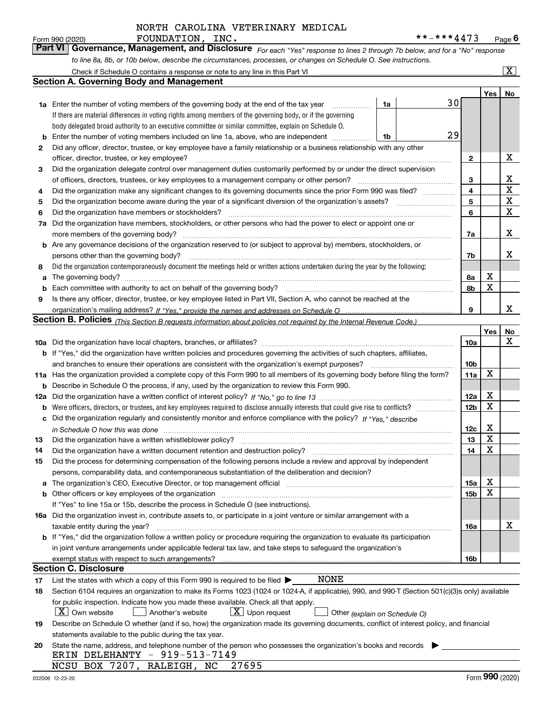*For each "Yes" response to lines 2 through 7b below, and for a "No" response to line 8a, 8b, or 10b below, describe the circumstances, processes, or changes on Schedule O. See instructions.* Form 990 (2020) **FOUNDATION, INC.**<br>**Part VI Governance, Management, and Disclosure** For each "Yes" response to lines 2 through 7b below, and for a "No" response

|     | Check if Schedule O contains a response or note to any line in this Part VI                                                                                           |    |    |                 |     | X           |  |  |  |  |  |
|-----|-----------------------------------------------------------------------------------------------------------------------------------------------------------------------|----|----|-----------------|-----|-------------|--|--|--|--|--|
|     | Section A. Governing Body and Management                                                                                                                              |    |    |                 |     |             |  |  |  |  |  |
|     |                                                                                                                                                                       |    |    |                 | Yes | No          |  |  |  |  |  |
|     | 1a Enter the number of voting members of the governing body at the end of the tax year                                                                                | 1a | 30 |                 |     |             |  |  |  |  |  |
|     | If there are material differences in voting rights among members of the governing body, or if the governing                                                           |    |    |                 |     |             |  |  |  |  |  |
|     | body delegated broad authority to an executive committee or similar committee, explain on Schedule O.                                                                 |    |    |                 |     |             |  |  |  |  |  |
| b   | Enter the number of voting members included on line 1a, above, who are independent                                                                                    | 1b | 29 |                 |     |             |  |  |  |  |  |
| 2   | Did any officer, director, trustee, or key employee have a family relationship or a business relationship with any other                                              |    |    |                 |     |             |  |  |  |  |  |
|     | officer, director, trustee, or key employee?                                                                                                                          |    |    | $\mathbf{2}$    |     | х           |  |  |  |  |  |
| 3   | Did the organization delegate control over management duties customarily performed by or under the direct supervision                                                 |    |    |                 |     |             |  |  |  |  |  |
|     | of officers, directors, trustees, or key employees to a management company or other person?                                                                           |    |    |                 |     |             |  |  |  |  |  |
| 4   | Did the organization make any significant changes to its governing documents since the prior Form 990 was filed?                                                      |    |    | 3<br>4          |     | $\mathbf X$ |  |  |  |  |  |
| 5   |                                                                                                                                                                       |    |    | 5               |     | $\mathbf X$ |  |  |  |  |  |
| 6   | Did the organization have members or stockholders?                                                                                                                    |    |    | 6               |     | х           |  |  |  |  |  |
| 7a  | Did the organization have members, stockholders, or other persons who had the power to elect or appoint one or                                                        |    |    |                 |     |             |  |  |  |  |  |
|     | more members of the governing body?                                                                                                                                   |    |    | 7a              |     | х           |  |  |  |  |  |
|     | <b>b</b> Are any governance decisions of the organization reserved to (or subject to approval by) members, stockholders, or                                           |    |    |                 |     |             |  |  |  |  |  |
|     | persons other than the governing body?                                                                                                                                |    |    | 7b              |     | х           |  |  |  |  |  |
| 8   | Did the organization contemporaneously document the meetings held or written actions undertaken during the year by the following:                                     |    |    |                 |     |             |  |  |  |  |  |
| a   | The governing body?                                                                                                                                                   |    |    | 8a              | х   |             |  |  |  |  |  |
| b   |                                                                                                                                                                       |    |    | 8b              | X   |             |  |  |  |  |  |
| 9   | Is there any officer, director, trustee, or key employee listed in Part VII, Section A, who cannot be reached at the                                                  |    |    |                 |     |             |  |  |  |  |  |
|     |                                                                                                                                                                       |    |    | 9               |     | x           |  |  |  |  |  |
|     | <b>Section B. Policies</b> (This Section B requests information about policies not required by the Internal Revenue Code.)                                            |    |    |                 |     |             |  |  |  |  |  |
|     |                                                                                                                                                                       |    |    |                 | Yes | No          |  |  |  |  |  |
|     |                                                                                                                                                                       |    |    | 10a             |     | x           |  |  |  |  |  |
|     | <b>b</b> If "Yes," did the organization have written policies and procedures governing the activities of such chapters, affiliates,                                   |    |    |                 |     |             |  |  |  |  |  |
|     | and branches to ensure their operations are consistent with the organization's exempt purposes?                                                                       |    |    |                 |     |             |  |  |  |  |  |
|     | 11a Has the organization provided a complete copy of this Form 990 to all members of its governing body before filing the form?                                       |    |    |                 |     |             |  |  |  |  |  |
| b   | Describe in Schedule O the process, if any, used by the organization to review this Form 990.                                                                         |    |    |                 |     |             |  |  |  |  |  |
| 12a |                                                                                                                                                                       |    |    |                 |     |             |  |  |  |  |  |
| b   |                                                                                                                                                                       |    |    |                 |     |             |  |  |  |  |  |
| с   | Did the organization regularly and consistently monitor and enforce compliance with the policy? If "Yes," describe                                                    |    |    |                 |     |             |  |  |  |  |  |
|     | in Schedule O how this was done measured and contained a state of the state of the state of the state of the s                                                        |    |    | 12c             | х   |             |  |  |  |  |  |
| 13  | Did the organization have a written whistleblower policy?                                                                                                             |    |    | 13              | X   |             |  |  |  |  |  |
| 14  | Did the organization have a written document retention and destruction policy?                                                                                        |    |    | 14              | X   |             |  |  |  |  |  |
| 15  | Did the process for determining compensation of the following persons include a review and approval by independent                                                    |    |    |                 |     |             |  |  |  |  |  |
|     | persons, comparability data, and contemporaneous substantiation of the deliberation and decision?                                                                     |    |    |                 |     |             |  |  |  |  |  |
| a   | The organization's CEO, Executive Director, or top management official manufactured content of the organization's CEO, Executive Director, or top management official |    |    | 15a             | X   |             |  |  |  |  |  |
|     | <b>b</b> Other officers or key employees of the organization                                                                                                          |    |    | 15 <sub>b</sub> | х   |             |  |  |  |  |  |
|     | If "Yes" to line 15a or 15b, describe the process in Schedule O (see instructions).                                                                                   |    |    |                 |     |             |  |  |  |  |  |
|     | 16a Did the organization invest in, contribute assets to, or participate in a joint venture or similar arrangement with a                                             |    |    |                 |     |             |  |  |  |  |  |
|     | taxable entity during the year?                                                                                                                                       |    |    | 16a             |     | х           |  |  |  |  |  |
|     | b If "Yes," did the organization follow a written policy or procedure requiring the organization to evaluate its participation                                        |    |    |                 |     |             |  |  |  |  |  |
|     | in joint venture arrangements under applicable federal tax law, and take steps to safequard the organization's                                                        |    |    |                 |     |             |  |  |  |  |  |
|     | exempt status with respect to such arrangements?                                                                                                                      |    |    | 16b             |     |             |  |  |  |  |  |
|     | <b>Section C. Disclosure</b>                                                                                                                                          |    |    |                 |     |             |  |  |  |  |  |
| 17  | <b>NONE</b><br>List the states with which a copy of this Form 990 is required to be filed $\blacktriangleright$                                                       |    |    |                 |     |             |  |  |  |  |  |
| 18  | Section 6104 requires an organization to make its Forms 1023 (1024 or 1024-A, if applicable), 990, and 990-T (Section 501(c)(3)s only) available                      |    |    |                 |     |             |  |  |  |  |  |
|     | for public inspection. Indicate how you made these available. Check all that apply.                                                                                   |    |    |                 |     |             |  |  |  |  |  |
|     | $X$ Own website<br>$\lfloor x \rfloor$ Upon request<br>Another's website<br>Other (explain on Schedule O)                                                             |    |    |                 |     |             |  |  |  |  |  |
| 19  | Describe on Schedule O whether (and if so, how) the organization made its governing documents, conflict of interest policy, and financial                             |    |    |                 |     |             |  |  |  |  |  |
|     | statements available to the public during the tax year.                                                                                                               |    |    |                 |     |             |  |  |  |  |  |
| 20  | State the name, address, and telephone number of the person who possesses the organization's books and records                                                        |    |    |                 |     |             |  |  |  |  |  |
|     | ERIN DELEHANTY - 919-513-7149                                                                                                                                         |    |    |                 |     |             |  |  |  |  |  |
|     | NCSU BOX 7207, RALEIGH, NC<br>27695                                                                                                                                   |    |    |                 |     |             |  |  |  |  |  |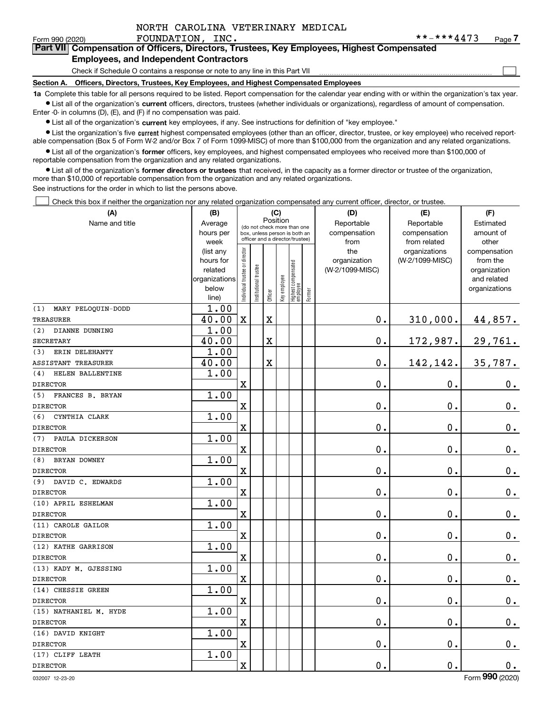|  | NORTH CAROLINA VETERINARY MEDICAL |  |
|--|-----------------------------------|--|
|  |                                   |  |

 $\mathcal{L}^{\text{max}}$ 

#### Form 990 (2020) **FOUNDATION, INC.** \* \* - \* \* \* **4 4** 7 3 Page **7Part VII Compensation of Officers, Directors, Trustees, Key Employees, Highest Compensated Employees, and Independent Contractors**

# Check if Schedule O contains a response or note to any line in this Part VII

**Section A. Officers, Directors, Trustees, Key Employees, and Highest Compensated Employees**

**1a**  Complete this table for all persons required to be listed. Report compensation for the calendar year ending with or within the organization's tax year. **•** List all of the organization's current officers, directors, trustees (whether individuals or organizations), regardless of amount of compensation.

Enter -0- in columns (D), (E), and (F) if no compensation was paid.

 $\bullet$  List all of the organization's  $\,$ current key employees, if any. See instructions for definition of "key employee."

**•** List the organization's five current highest compensated employees (other than an officer, director, trustee, or key employee) who received reportable compensation (Box 5 of Form W-2 and/or Box 7 of Form 1099-MISC) of more than \$100,000 from the organization and any related organizations.

**•** List all of the organization's former officers, key employees, and highest compensated employees who received more than \$100,000 of reportable compensation from the organization and any related organizations.

**former directors or trustees**  ¥ List all of the organization's that received, in the capacity as a former director or trustee of the organization, more than \$10,000 of reportable compensation from the organization and any related organizations.

See instructions for the order in which to list the persons above.

Check this box if neither the organization nor any related organization compensated any current officer, director, or trustee.  $\mathcal{L}^{\text{max}}$ 

| (A)                       | (B)               | (C)                                                              |                      |                         |              |                                   |        | (D)             | (E)                           | (F)                   |
|---------------------------|-------------------|------------------------------------------------------------------|----------------------|-------------------------|--------------|-----------------------------------|--------|-----------------|-------------------------------|-----------------------|
| Name and title            | Average           | Position<br>(do not check more than one                          |                      |                         |              |                                   |        | Reportable      | Reportable                    | Estimated             |
|                           | hours per         | box, unless person is both an<br>officer and a director/trustee) |                      |                         |              |                                   |        | compensation    | compensation                  | amount of             |
|                           | week<br>(list any |                                                                  |                      |                         |              |                                   |        | from<br>the     | from related<br>organizations | other<br>compensation |
|                           | hours for         |                                                                  |                      |                         |              |                                   |        | organization    | (W-2/1099-MISC)               | from the              |
|                           | related           |                                                                  |                      |                         |              |                                   |        | (W-2/1099-MISC) |                               | organization          |
|                           | organizations     |                                                                  |                      |                         |              |                                   |        |                 |                               | and related           |
|                           | below             | ndividual trustee or director                                    | nstitutional trustee | Officer                 | Key employee | Highest compensated<br>  employee | Former |                 |                               | organizations         |
| (1)<br>MARY PELOQUIN-DODD | line)<br>1.00     |                                                                  |                      |                         |              |                                   |        |                 |                               |                       |
| <b>TREASURER</b>          | 40.00             | $\mathbf X$                                                      |                      | $\overline{\textbf{X}}$ |              |                                   |        | $0$ .           | 310,000.                      | 44,857.               |
| (2)<br>DIANNE DUNNING     | 1.00              |                                                                  |                      |                         |              |                                   |        |                 |                               |                       |
| <b>SECRETARY</b>          | 40.00             |                                                                  |                      | $\overline{\mathbf{X}}$ |              |                                   |        | $0$ .           | 172,987.                      | 29,761.               |
| ERIN DELEHANTY<br>(3)     | 1.00              |                                                                  |                      |                         |              |                                   |        |                 |                               |                       |
| ASSISTANT TREASURER       | 40.00             |                                                                  |                      | X                       |              |                                   |        | 0.              | 142,142.                      | 35,787.               |
| HELEN BALLENTINE<br>(4)   | 1.00              |                                                                  |                      |                         |              |                                   |        |                 |                               |                       |
| <b>DIRECTOR</b>           |                   | X                                                                |                      |                         |              |                                   |        | 0.              | 0.                            | $0_{.}$               |
| (5)<br>FRANCES B. BRYAN   | 1.00              |                                                                  |                      |                         |              |                                   |        |                 |                               |                       |
| <b>DIRECTOR</b>           |                   | $\mathbf X$                                                      |                      |                         |              |                                   |        | 0.              | $\mathbf 0$ .                 | $0_{.}$               |
| (6)<br>CYNTHIA CLARK      | 1.00              |                                                                  |                      |                         |              |                                   |        |                 |                               |                       |
| <b>DIRECTOR</b>           |                   | $\overline{\textbf{X}}$                                          |                      |                         |              |                                   |        | $\mathbf 0$ .   | $\mathbf 0$ .                 | $0_{.}$               |
| PAULA DICKERSON<br>(7)    | 1.00              |                                                                  |                      |                         |              |                                   |        |                 |                               |                       |
| <b>DIRECTOR</b>           |                   | $\rm X$                                                          |                      |                         |              |                                   |        | 0.              | $\mathbf 0$ .                 | $0_{.}$               |
| BRYAN DOWNEY<br>(8)       | 1.00              |                                                                  |                      |                         |              |                                   |        |                 |                               |                       |
| <b>DIRECTOR</b>           |                   | $\overline{\text{X}}$                                            |                      |                         |              |                                   |        | 0.              | $\mathbf 0$ .                 | $0_{.}$               |
| DAVID C. EDWARDS<br>(9)   | 1.00              |                                                                  |                      |                         |              |                                   |        |                 |                               |                       |
| <b>DIRECTOR</b>           |                   | $\mathbf X$                                                      |                      |                         |              |                                   |        | 0.              | $\mathbf 0$ .                 | $0_{.}$               |
| (10) APRIL ESHELMAN       | 1.00              |                                                                  |                      |                         |              |                                   |        |                 |                               |                       |
| <b>DIRECTOR</b>           |                   | $\mathbf x$                                                      |                      |                         |              |                                   |        | $\mathbf 0$ .   | $\mathbf 0$ .                 | $\mathbf 0$ .         |
| (11) CAROLE GAILOR        | 1.00              |                                                                  |                      |                         |              |                                   |        |                 |                               |                       |
| <b>DIRECTOR</b>           |                   | $\mathbf X$                                                      |                      |                         |              |                                   |        | 0.              | 0.                            | $\mathbf 0$ .         |
| (12) KATHE GARRISON       | 1.00              |                                                                  |                      |                         |              |                                   |        |                 |                               |                       |
| <b>DIRECTOR</b>           |                   | $\mathbf X$                                                      |                      |                         |              |                                   |        | 0.              | $\mathbf 0$ .                 | $\mathbf 0$ .         |
| (13) KADY M. GJESSING     | 1.00              |                                                                  |                      |                         |              |                                   |        |                 |                               |                       |
| <b>DIRECTOR</b>           |                   | $\mathbf X$                                                      |                      |                         |              |                                   |        | 0.              | 0.                            | $0_{.}$               |
| (14) CHESSIE GREEN        | 1.00              |                                                                  |                      |                         |              |                                   |        |                 |                               |                       |
| <b>DIRECTOR</b>           |                   | $\mathbf X$                                                      |                      |                         |              |                                   |        | 0.              | $\mathbf 0$ .                 | $0_{.}$               |
| (15) NATHANIEL M. HYDE    | 1.00              |                                                                  |                      |                         |              |                                   |        |                 |                               |                       |
| <b>DIRECTOR</b>           |                   | $\rm X$                                                          |                      |                         |              |                                   |        | 0.              | $\mathbf 0$ .                 | $0_{.}$               |
| (16) DAVID KNIGHT         | 1.00              |                                                                  |                      |                         |              |                                   |        |                 |                               |                       |
| <b>DIRECTOR</b>           |                   | $\mathbf X$                                                      |                      |                         |              |                                   |        | 0.              | $\mathbf 0$ .                 | $0_{.}$               |
| (17) CLIFF LEATH          | 1.00              |                                                                  |                      |                         |              |                                   |        |                 |                               |                       |
| <b>DIRECTOR</b>           |                   | X                                                                |                      |                         |              |                                   |        | 0.              | $\mathbf 0$ .                 | $0_{.}$               |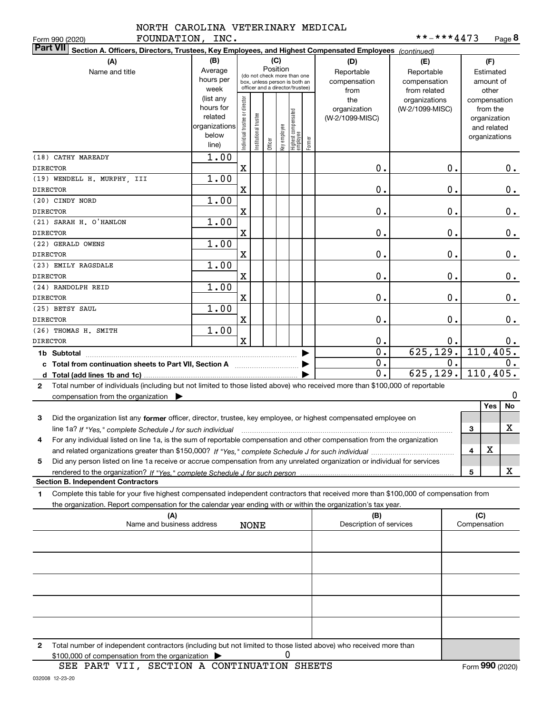| FOUNDATION, INC.<br>Form 990 (2020)                                                                                                                                                                                                                         |                                                                      |                                |                       |          |              |                                                                                                 |        |                                           | **-***4473                                        |    |                                                          | Page 8       |
|-------------------------------------------------------------------------------------------------------------------------------------------------------------------------------------------------------------------------------------------------------------|----------------------------------------------------------------------|--------------------------------|-----------------------|----------|--------------|-------------------------------------------------------------------------------------------------|--------|-------------------------------------------|---------------------------------------------------|----|----------------------------------------------------------|--------------|
| <b>Part VII</b><br>Section A. Officers, Directors, Trustees, Key Employees, and Highest Compensated Employees (continued)                                                                                                                                   |                                                                      |                                |                       |          |              |                                                                                                 |        |                                           |                                                   |    |                                                          |              |
| (A)<br>Name and title                                                                                                                                                                                                                                       | (B)<br>Average<br>hours per<br>week                                  |                                |                       | Position | (C)          | (do not check more than one<br>box, unless person is both an<br>officer and a director/trustee) |        | (D)<br>Reportable<br>compensation<br>from | (E)<br>Reportable<br>compensation<br>from related |    | (F)<br>Estimated<br>amount of<br>other                   |              |
|                                                                                                                                                                                                                                                             | (list any<br>hours for<br>related<br>organizations<br>below<br>line) | Individual trustee or director | Institutional trustee | Officer  | Key employee | Highest compensated<br>  employee                                                               | Former | the<br>organization<br>(W-2/1099-MISC)    | organizations<br>(W-2/1099-MISC)                  |    | from the<br>organization<br>and related<br>organizations | compensation |
| (18) CATHY MAREADY<br><b>DIRECTOR</b>                                                                                                                                                                                                                       | 1.00                                                                 | X                              |                       |          |              |                                                                                                 |        | 0.                                        |                                                   | 0. |                                                          | 0.           |
| (19) WENDELL H. MURPHY, III                                                                                                                                                                                                                                 | 1.00                                                                 |                                |                       |          |              |                                                                                                 |        |                                           |                                                   |    |                                                          |              |
| <b>DIRECTOR</b>                                                                                                                                                                                                                                             |                                                                      | X                              |                       |          |              |                                                                                                 |        | 0.                                        |                                                   | 0. |                                                          | $0$ .        |
| (20) CINDY NORD                                                                                                                                                                                                                                             | 1.00                                                                 |                                |                       |          |              |                                                                                                 |        |                                           |                                                   |    |                                                          |              |
| <b>DIRECTOR</b>                                                                                                                                                                                                                                             |                                                                      | X                              |                       |          |              |                                                                                                 |        | 0.                                        |                                                   | 0. |                                                          | $0$ .        |
| (21) SARAH H. O'HANLON<br><b>DIRECTOR</b>                                                                                                                                                                                                                   | 1.00                                                                 | X                              |                       |          |              |                                                                                                 |        | 0.                                        |                                                   | 0. |                                                          | $0$ .        |
| (22) GERALD OWENS                                                                                                                                                                                                                                           | 1.00                                                                 |                                |                       |          |              |                                                                                                 |        |                                           |                                                   |    |                                                          |              |
| <b>DIRECTOR</b>                                                                                                                                                                                                                                             |                                                                      | X                              |                       |          |              |                                                                                                 |        | 0.                                        |                                                   | 0. |                                                          | $0$ .        |
| (23) EMILY RAGSDALE<br><b>DIRECTOR</b>                                                                                                                                                                                                                      | 1.00                                                                 | X                              |                       |          |              |                                                                                                 |        | 0.                                        |                                                   | 0. |                                                          | $0$ .        |
| (24) RANDOLPH REID                                                                                                                                                                                                                                          | 1.00                                                                 |                                |                       |          |              |                                                                                                 |        |                                           |                                                   |    |                                                          |              |
| <b>DIRECTOR</b>                                                                                                                                                                                                                                             |                                                                      | X                              |                       |          |              |                                                                                                 |        | 0.                                        |                                                   | 0. |                                                          | 0.           |
| (25) BETSY SAUL                                                                                                                                                                                                                                             | 1.00                                                                 |                                |                       |          |              |                                                                                                 |        |                                           |                                                   |    |                                                          |              |
| <b>DIRECTOR</b>                                                                                                                                                                                                                                             |                                                                      | X                              |                       |          |              |                                                                                                 |        | 0.                                        |                                                   | 0. |                                                          | 0.           |
| (26) THOMAS H. SMITH                                                                                                                                                                                                                                        | 1.00                                                                 |                                |                       |          |              |                                                                                                 |        |                                           |                                                   |    |                                                          |              |
| <b>DIRECTOR</b>                                                                                                                                                                                                                                             |                                                                      | $\mathbf x$                    |                       |          |              |                                                                                                 |        | 0.                                        |                                                   | 0. |                                                          | $0$ .        |
| 1b Subtotal                                                                                                                                                                                                                                                 |                                                                      |                                |                       |          |              |                                                                                                 |        | 0.                                        | 625, 129.                                         |    |                                                          | 110, 405.    |
| c Total from continuation sheets to Part VII, Section A                                                                                                                                                                                                     |                                                                      |                                |                       |          |              |                                                                                                 |        | $\overline{0}$ .                          |                                                   | 0. |                                                          | 0.           |
| Total (add lines 1b and 1c)<br>d                                                                                                                                                                                                                            |                                                                      |                                |                       |          |              |                                                                                                 |        | 0.                                        | 625, 129.                                         |    |                                                          | 110,405.     |
| Total number of individuals (including but not limited to those listed above) who received more than \$100,000 of reportable<br>$\mathbf{2}$<br>compensation from the organization $\blacktriangleright$                                                    |                                                                      |                                |                       |          |              |                                                                                                 |        |                                           |                                                   |    |                                                          | 0            |
|                                                                                                                                                                                                                                                             |                                                                      |                                |                       |          |              |                                                                                                 |        |                                           |                                                   |    | Yes                                                      | No           |
| 3<br>Did the organization list any former officer, director, trustee, key employee, or highest compensated employee on                                                                                                                                      |                                                                      |                                |                       |          |              |                                                                                                 |        |                                           |                                                   |    |                                                          |              |
| line 1a? If "Yes," complete Schedule J for such individual manufactured contains and the Yes," complete Schedule J for such individual                                                                                                                      |                                                                      |                                |                       |          |              |                                                                                                 |        |                                           |                                                   |    | 3                                                        | х            |
| For any individual listed on line 1a, is the sum of reportable compensation and other compensation from the organization<br>4                                                                                                                               |                                                                      |                                |                       |          |              |                                                                                                 |        |                                           |                                                   |    |                                                          |              |
|                                                                                                                                                                                                                                                             |                                                                      |                                |                       |          |              |                                                                                                 |        |                                           |                                                   |    | х<br>4                                                   |              |
| Did any person listed on line 1a receive or accrue compensation from any unrelated organization or individual for services<br>5                                                                                                                             |                                                                      |                                |                       |          |              |                                                                                                 |        |                                           |                                                   |    |                                                          |              |
|                                                                                                                                                                                                                                                             |                                                                      |                                |                       |          |              |                                                                                                 |        |                                           |                                                   |    | 5                                                        | х            |
| <b>Section B. Independent Contractors</b>                                                                                                                                                                                                                   |                                                                      |                                |                       |          |              |                                                                                                 |        |                                           |                                                   |    |                                                          |              |
| Complete this table for your five highest compensated independent contractors that received more than \$100,000 of compensation from<br>1<br>the organization. Report compensation for the calendar year ending with or within the organization's tax year. |                                                                      |                                |                       |          |              |                                                                                                 |        |                                           |                                                   |    |                                                          |              |
| (A)                                                                                                                                                                                                                                                         |                                                                      |                                |                       |          |              |                                                                                                 |        | (B)                                       |                                                   |    | (C)                                                      |              |
| Name and business address                                                                                                                                                                                                                                   |                                                                      |                                | <b>NONE</b>           |          |              |                                                                                                 |        | Description of services                   |                                                   |    | Compensation                                             |              |
|                                                                                                                                                                                                                                                             |                                                                      |                                |                       |          |              |                                                                                                 |        |                                           |                                                   |    |                                                          |              |
|                                                                                                                                                                                                                                                             |                                                                      |                                |                       |          |              |                                                                                                 |        |                                           |                                                   |    |                                                          |              |
|                                                                                                                                                                                                                                                             |                                                                      |                                |                       |          |              |                                                                                                 |        |                                           |                                                   |    |                                                          |              |
|                                                                                                                                                                                                                                                             |                                                                      |                                |                       |          |              |                                                                                                 |        |                                           |                                                   |    |                                                          |              |
|                                                                                                                                                                                                                                                             |                                                                      |                                |                       |          |              |                                                                                                 |        |                                           |                                                   |    |                                                          |              |
|                                                                                                                                                                                                                                                             |                                                                      |                                |                       |          |              |                                                                                                 |        |                                           |                                                   |    |                                                          |              |

**2**Total number of independent contractors (including but not limited to those listed above) who received more than  $$100,000$  of compensation from the organization  $\qquad \blacktriangleright$  0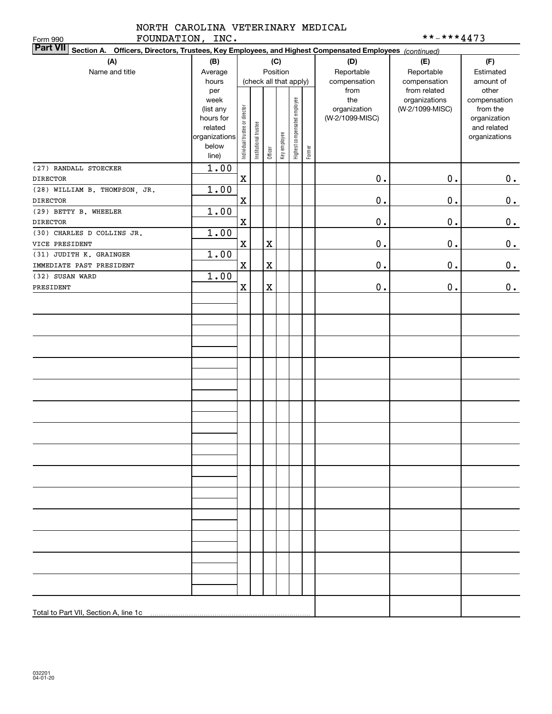|           |      | NORTH CAROLINA VETERINARY MEDICAL |  |
|-----------|------|-----------------------------------|--|
| ᇚᇬᄁᇄᇧᇭᅮᄉᇄ | TNTC |                                   |  |

| **-***4473 |  |
|------------|--|
|------------|--|

| FOUNDATION, INC.<br>Form 990                                                                                              |                    |                                |                       |             |              |                              |        |                     | **-***4473                       |                          |
|---------------------------------------------------------------------------------------------------------------------------|--------------------|--------------------------------|-----------------------|-------------|--------------|------------------------------|--------|---------------------|----------------------------------|--------------------------|
| <b>Part VII</b><br>Section A. Officers, Directors, Trustees, Key Employees, and Highest Compensated Employees (continued) |                    |                                |                       |             |              |                              |        |                     |                                  |                          |
| (A)                                                                                                                       | (B)                |                                |                       |             | (C)          |                              |        | (D)                 | (E)                              | (F)                      |
| Name and title                                                                                                            | Average            | Position                       |                       |             |              |                              |        | Reportable          | Reportable                       | Estimated                |
|                                                                                                                           | hours              |                                |                       |             |              | (check all that apply)       |        | compensation        | compensation                     | amount of                |
|                                                                                                                           | per                |                                |                       |             |              |                              |        | from                | from related                     | other                    |
|                                                                                                                           | week<br>(list any  |                                |                       |             |              |                              |        | the<br>organization | organizations<br>(W-2/1099-MISC) | compensation<br>from the |
|                                                                                                                           | hours for          |                                |                       |             |              |                              |        | (W-2/1099-MISC)     |                                  | organization             |
|                                                                                                                           | related            |                                |                       |             |              |                              |        |                     |                                  | and related              |
|                                                                                                                           | organizations      |                                |                       |             |              |                              |        |                     |                                  | organizations            |
|                                                                                                                           | below<br>line)     | Individual trustee or director | Institutional trustee | Officer     | Key employee | Highest compensated employee | Former |                     |                                  |                          |
|                                                                                                                           |                    |                                |                       |             |              |                              |        |                     |                                  |                          |
| (27) RANDALL STOECKER                                                                                                     | $\overline{1}$ .00 | $\rm X$                        |                       |             |              |                              |        | 0.                  | $\mathbf 0$ .                    |                          |
| <b>DIRECTOR</b>                                                                                                           | 1.00               |                                |                       |             |              |                              |        |                     |                                  | 0.                       |
| (28) WILLIAM B. THOMPSON, JR.<br><b>DIRECTOR</b>                                                                          |                    | $\rm X$                        |                       |             |              |                              |        | 0.                  | $\mathbf 0$ .                    | 0.                       |
| (29) BETTY B. WHEELER                                                                                                     | 1.00               |                                |                       |             |              |                              |        |                     |                                  |                          |
| <b>DIRECTOR</b>                                                                                                           |                    | $\rm X$                        |                       |             |              |                              |        | 0.                  | $\mathbf 0$ .                    | 0.                       |
| (30) CHARLES D COLLINS JR.                                                                                                | 1.00               |                                |                       |             |              |                              |        |                     |                                  |                          |
| VICE PRESIDENT                                                                                                            |                    | $\rm X$                        |                       | $\mathbf X$ |              |                              |        | 0.                  | $\mathbf 0$ .                    | $\mathbf 0$ .            |
| (31) JUDITH K. GRAINGER                                                                                                   | 1.00               |                                |                       |             |              |                              |        |                     |                                  |                          |
| IMMEDIATE PAST PRESIDENT                                                                                                  |                    | $\mathbf X$                    |                       | $\mathbf X$ |              |                              |        | 0.                  | $\mathbf 0$ .                    | $\mathbf 0$ .            |
| (32) SUSAN WARD                                                                                                           | 1.00               |                                |                       |             |              |                              |        |                     |                                  |                          |
| PRESIDENT                                                                                                                 |                    | $\mathbf x$                    |                       | $\rm X$     |              |                              |        | 0.                  | $\mathbf 0$ .                    | $\mathbf 0$ .            |
|                                                                                                                           |                    |                                |                       |             |              |                              |        |                     |                                  |                          |
|                                                                                                                           |                    |                                |                       |             |              |                              |        |                     |                                  |                          |
|                                                                                                                           |                    |                                |                       |             |              |                              |        |                     |                                  |                          |
|                                                                                                                           |                    |                                |                       |             |              |                              |        |                     |                                  |                          |
|                                                                                                                           |                    |                                |                       |             |              |                              |        |                     |                                  |                          |
|                                                                                                                           |                    |                                |                       |             |              |                              |        |                     |                                  |                          |
|                                                                                                                           |                    |                                |                       |             |              |                              |        |                     |                                  |                          |
|                                                                                                                           |                    |                                |                       |             |              |                              |        |                     |                                  |                          |
|                                                                                                                           |                    |                                |                       |             |              |                              |        |                     |                                  |                          |
|                                                                                                                           |                    |                                |                       |             |              |                              |        |                     |                                  |                          |
|                                                                                                                           |                    |                                |                       |             |              |                              |        |                     |                                  |                          |
|                                                                                                                           |                    |                                |                       |             |              |                              |        |                     |                                  |                          |
|                                                                                                                           |                    |                                |                       |             |              |                              |        |                     |                                  |                          |
|                                                                                                                           |                    |                                |                       |             |              |                              |        |                     |                                  |                          |
|                                                                                                                           |                    |                                |                       |             |              |                              |        |                     |                                  |                          |
|                                                                                                                           |                    |                                |                       |             |              |                              |        |                     |                                  |                          |
|                                                                                                                           |                    |                                |                       |             |              |                              |        |                     |                                  |                          |
|                                                                                                                           |                    |                                |                       |             |              |                              |        |                     |                                  |                          |
|                                                                                                                           |                    |                                |                       |             |              |                              |        |                     |                                  |                          |
|                                                                                                                           |                    |                                |                       |             |              |                              |        |                     |                                  |                          |
|                                                                                                                           |                    |                                |                       |             |              |                              |        |                     |                                  |                          |
|                                                                                                                           |                    |                                |                       |             |              |                              |        |                     |                                  |                          |
|                                                                                                                           |                    |                                |                       |             |              |                              |        |                     |                                  |                          |
|                                                                                                                           |                    |                                |                       |             |              |                              |        |                     |                                  |                          |
|                                                                                                                           |                    |                                |                       |             |              |                              |        |                     |                                  |                          |
|                                                                                                                           |                    |                                |                       |             |              |                              |        |                     |                                  |                          |
|                                                                                                                           |                    |                                |                       |             |              |                              |        |                     |                                  |                          |
| Total to Part VII, Section A, line 1c                                                                                     |                    |                                |                       |             |              |                              |        |                     |                                  |                          |
|                                                                                                                           |                    |                                |                       |             |              |                              |        |                     |                                  |                          |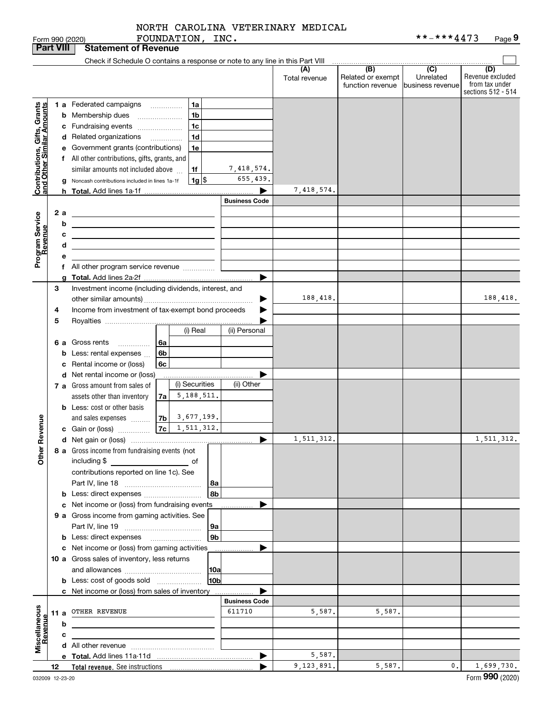FOUNDATION, INC.

|                                               | <b>Part VIII</b> |     | <b>Statement of Revenue</b>                                                                                                                                                                                                          |                      |                      |                                              |                                                   |                                                                 |
|-----------------------------------------------|------------------|-----|--------------------------------------------------------------------------------------------------------------------------------------------------------------------------------------------------------------------------------------|----------------------|----------------------|----------------------------------------------|---------------------------------------------------|-----------------------------------------------------------------|
|                                               |                  |     | Check if Schedule O contains a response or note to any line in this Part VIII                                                                                                                                                        |                      |                      |                                              |                                                   |                                                                 |
|                                               |                  |     |                                                                                                                                                                                                                                      |                      | (A)<br>Total revenue | (B)<br>Related or exempt<br>function revenue | $\overline{(C)}$<br>Unrelated<br>business revenue | (D)<br>Revenue excluded<br>from tax under<br>sections 512 - 514 |
|                                               |                  |     | 1 a Federated campaigns<br>1a                                                                                                                                                                                                        |                      |                      |                                              |                                                   |                                                                 |
|                                               |                  |     | 1 <sub>b</sub><br><b>b</b> Membership dues<br>$\overline{\phantom{a}}$                                                                                                                                                               |                      |                      |                                              |                                                   |                                                                 |
| , Grants<br>mounts                            |                  |     | 1c<br>c Fundraising events                                                                                                                                                                                                           |                      |                      |                                              |                                                   |                                                                 |
|                                               |                  |     | 1d<br>d Related organizations                                                                                                                                                                                                        |                      |                      |                                              |                                                   |                                                                 |
| Contributions, Gifts,<br>and Other Similar Ar |                  |     | e Government grants (contributions)<br>1e                                                                                                                                                                                            |                      |                      |                                              |                                                   |                                                                 |
|                                               |                  |     | f All other contributions, gifts, grants, and                                                                                                                                                                                        |                      |                      |                                              |                                                   |                                                                 |
|                                               |                  |     | similar amounts not included above<br>1f                                                                                                                                                                                             | 7,418,574.           |                      |                                              |                                                   |                                                                 |
|                                               |                  |     | $1g$ $\frac{1}{3}$<br>Noncash contributions included in lines 1a-1f                                                                                                                                                                  | 655,439.             |                      |                                              |                                                   |                                                                 |
|                                               |                  |     |                                                                                                                                                                                                                                      | ▶                    | 7,418,574.           |                                              |                                                   |                                                                 |
|                                               |                  |     |                                                                                                                                                                                                                                      | <b>Business Code</b> |                      |                                              |                                                   |                                                                 |
|                                               |                  | 2 a | <u> 1989 - Johann Barn, mars ann an t-Amhair an t-Amhair an t-Amhair an t-Amhair an t-Amhair an t-Amhair an t-Amh</u>                                                                                                                |                      |                      |                                              |                                                   |                                                                 |
|                                               |                  | b   | <u> 1989 - Johann Harry Harry Harry Harry Harry Harry Harry Harry Harry Harry Harry Harry Harry Harry Harry Harry</u>                                                                                                                |                      |                      |                                              |                                                   |                                                                 |
|                                               |                  | с   | <u>state and the state of the state of the state of the state of the state of the state of the state of the state of the state of the state of the state of the state of the state of the state of the state of the state of the</u> |                      |                      |                                              |                                                   |                                                                 |
|                                               |                  | d   | <u> 1989 - Johann Stoff, deutscher Stoffen und der Stoffen und der Stoffen und der Stoffen und der Stoffen und der</u>                                                                                                               |                      |                      |                                              |                                                   |                                                                 |
| Program Service<br>Revenue                    |                  | е   |                                                                                                                                                                                                                                      |                      |                      |                                              |                                                   |                                                                 |
|                                               |                  |     | f All other program service revenue                                                                                                                                                                                                  |                      |                      |                                              |                                                   |                                                                 |
|                                               |                  | a   |                                                                                                                                                                                                                                      | ▶                    |                      |                                              |                                                   |                                                                 |
|                                               | 3                |     | Investment income (including dividends, interest, and                                                                                                                                                                                |                      |                      |                                              |                                                   |                                                                 |
|                                               |                  |     |                                                                                                                                                                                                                                      | ▶                    | 188,418.             |                                              |                                                   | 188,418.                                                        |
|                                               | 4                |     | Income from investment of tax-exempt bond proceeds                                                                                                                                                                                   |                      |                      |                                              |                                                   |                                                                 |
|                                               | 5                |     | (i) Real                                                                                                                                                                                                                             | (ii) Personal        |                      |                                              |                                                   |                                                                 |
|                                               |                  |     | <b>6 a</b> Gross rents<br>-6a                                                                                                                                                                                                        |                      |                      |                                              |                                                   |                                                                 |
|                                               |                  |     | .<br><b>b</b> Less: rental expenses<br>6b                                                                                                                                                                                            |                      |                      |                                              |                                                   |                                                                 |
|                                               |                  |     | c Rental income or (loss)<br>6с                                                                                                                                                                                                      |                      |                      |                                              |                                                   |                                                                 |
|                                               |                  |     | d Net rental income or (loss)                                                                                                                                                                                                        |                      |                      |                                              |                                                   |                                                                 |
|                                               |                  |     | (i) Securities<br>7 a Gross amount from sales of                                                                                                                                                                                     | (ii) Other           |                      |                                              |                                                   |                                                                 |
|                                               |                  |     | 5,188,511.<br>assets other than inventory<br>7a                                                                                                                                                                                      |                      |                      |                                              |                                                   |                                                                 |
|                                               |                  |     | <b>b</b> Less: cost or other basis                                                                                                                                                                                                   |                      |                      |                                              |                                                   |                                                                 |
|                                               |                  |     | and sales expenses $\frac{7b}{3677,199}$ .                                                                                                                                                                                           |                      |                      |                                              |                                                   |                                                                 |
| Revenue                                       |                  |     |                                                                                                                                                                                                                                      |                      |                      |                                              |                                                   |                                                                 |
|                                               |                  |     |                                                                                                                                                                                                                                      | ▶                    | 1,511,312.           |                                              |                                                   | 1,511,312.                                                      |
| <b>Othe</b>                                   |                  |     | 8 a Gross income from fundraising events (not                                                                                                                                                                                        |                      |                      |                                              |                                                   |                                                                 |
|                                               |                  |     | including \$                                                                                                                                                                                                                         |                      |                      |                                              |                                                   |                                                                 |
|                                               |                  |     | contributions reported on line 1c). See                                                                                                                                                                                              |                      |                      |                                              |                                                   |                                                                 |
|                                               |                  |     | 8a                                                                                                                                                                                                                                   |                      |                      |                                              |                                                   |                                                                 |
|                                               |                  |     | 8b<br><b>b</b> Less: direct expenses <i>manually contained</i>                                                                                                                                                                       |                      |                      |                                              |                                                   |                                                                 |
|                                               |                  |     | c Net income or (loss) from fundraising events                                                                                                                                                                                       |                      |                      |                                              |                                                   |                                                                 |
|                                               |                  |     | 9 a Gross income from gaming activities. See<br>  9a                                                                                                                                                                                 |                      |                      |                                              |                                                   |                                                                 |
|                                               |                  |     | 9 <sub>b</sub><br><b>b</b> Less: direct expenses <b>manually</b>                                                                                                                                                                     |                      |                      |                                              |                                                   |                                                                 |
|                                               |                  |     | c Net income or (loss) from gaming activities                                                                                                                                                                                        |                      |                      |                                              |                                                   |                                                                 |
|                                               |                  |     | 10 a Gross sales of inventory, less returns                                                                                                                                                                                          |                      |                      |                                              |                                                   |                                                                 |
|                                               |                  |     | 10a                                                                                                                                                                                                                                  |                      |                      |                                              |                                                   |                                                                 |
|                                               |                  |     | 10b<br><b>b</b> Less: cost of goods sold                                                                                                                                                                                             |                      |                      |                                              |                                                   |                                                                 |
|                                               |                  |     | c Net income or (loss) from sales of inventory                                                                                                                                                                                       |                      |                      |                                              |                                                   |                                                                 |
|                                               |                  |     |                                                                                                                                                                                                                                      | <b>Business Code</b> |                      |                                              |                                                   |                                                                 |
|                                               |                  |     | 11 a OTHER REVENUE                                                                                                                                                                                                                   | 611710               | 5,587.               | 5,587.                                       |                                                   |                                                                 |
|                                               |                  | b   |                                                                                                                                                                                                                                      |                      |                      |                                              |                                                   |                                                                 |
| Miscellaneous<br>Revenue                      |                  | c   |                                                                                                                                                                                                                                      |                      |                      |                                              |                                                   |                                                                 |
|                                               |                  |     |                                                                                                                                                                                                                                      |                      |                      |                                              |                                                   |                                                                 |
|                                               |                  |     |                                                                                                                                                                                                                                      | ▶                    | 5,587.               |                                              |                                                   |                                                                 |
|                                               | 12               |     |                                                                                                                                                                                                                                      |                      | 9,123,891.           | 5,587.                                       | 0.                                                | 1,699,730.                                                      |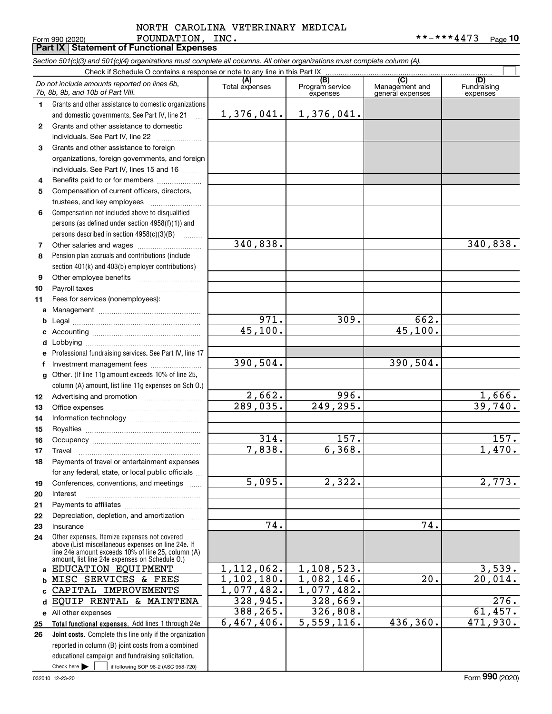#### Form 990 (2020) Page **Part IX Statement of Functional Expenses** FOUNDATION, INC. \*\*-\*\*\*4473 NORTH CAROLINA VETERINARY MEDICAL

|              | Section 501(c)(3) and 501(c)(4) organizations must complete all columns. All other organizations must complete column (A).<br>Check if Schedule O contains a response or note to any line in this Part IX |                |                             |                                    |                         |
|--------------|-----------------------------------------------------------------------------------------------------------------------------------------------------------------------------------------------------------|----------------|-----------------------------|------------------------------------|-------------------------|
|              | Do not include amounts reported on lines 6b,                                                                                                                                                              | (A)            | (B)                         | (C)                                | (D)                     |
|              | 7b, 8b, 9b, and 10b of Part VIII.                                                                                                                                                                         | Total expenses | Program service<br>expenses | Management and<br>general expenses | Fundraising<br>expenses |
| 1.           | Grants and other assistance to domestic organizations                                                                                                                                                     |                |                             |                                    |                         |
|              | and domestic governments. See Part IV, line 21                                                                                                                                                            | 1,376,041.     | 1,376,041.                  |                                    |                         |
| $\mathbf{2}$ | Grants and other assistance to domestic                                                                                                                                                                   |                |                             |                                    |                         |
|              | individuals. See Part IV, line 22                                                                                                                                                                         |                |                             |                                    |                         |
| 3            | Grants and other assistance to foreign                                                                                                                                                                    |                |                             |                                    |                         |
|              | organizations, foreign governments, and foreign                                                                                                                                                           |                |                             |                                    |                         |
|              | individuals. See Part IV, lines 15 and 16                                                                                                                                                                 |                |                             |                                    |                         |
| 4            | Benefits paid to or for members                                                                                                                                                                           |                |                             |                                    |                         |
| 5            | Compensation of current officers, directors,                                                                                                                                                              |                |                             |                                    |                         |
|              | trustees, and key employees                                                                                                                                                                               |                |                             |                                    |                         |
| 6            | Compensation not included above to disqualified                                                                                                                                                           |                |                             |                                    |                         |
|              | persons (as defined under section $4958(f)(1)$ ) and                                                                                                                                                      |                |                             |                                    |                         |
|              | persons described in section 4958(c)(3)(B)                                                                                                                                                                | 340,838.       |                             |                                    | 340,838.                |
| 7            | Pension plan accruals and contributions (include                                                                                                                                                          |                |                             |                                    |                         |
| 8            |                                                                                                                                                                                                           |                |                             |                                    |                         |
| 9            | section 401(k) and 403(b) employer contributions)                                                                                                                                                         |                |                             |                                    |                         |
| 10           |                                                                                                                                                                                                           |                |                             |                                    |                         |
| 11           | Fees for services (nonemployees):                                                                                                                                                                         |                |                             |                                    |                         |
| a            |                                                                                                                                                                                                           |                |                             |                                    |                         |
| b            |                                                                                                                                                                                                           | 971.           | 309.                        | 662.                               |                         |
|              |                                                                                                                                                                                                           | 45,100.        |                             | $\overline{45,100}$ .              |                         |
| d            |                                                                                                                                                                                                           |                |                             |                                    |                         |
| е            | Professional fundraising services. See Part IV, line 17                                                                                                                                                   |                |                             |                                    |                         |
| f            | Investment management fees                                                                                                                                                                                | 390,504.       |                             | 390,504.                           |                         |
| g            | Other. (If line 11g amount exceeds 10% of line 25,                                                                                                                                                        |                |                             |                                    |                         |
|              | column (A) amount, list line 11g expenses on Sch 0.)                                                                                                                                                      |                |                             |                                    |                         |
| 12           |                                                                                                                                                                                                           | 2,662.         | 996.                        |                                    | $\frac{1,666}{39,740}$  |
| 13           |                                                                                                                                                                                                           | 289,035.       | 249, 295.                   |                                    |                         |
| 14           |                                                                                                                                                                                                           |                |                             |                                    |                         |
| 15           |                                                                                                                                                                                                           |                |                             |                                    |                         |
| 16           |                                                                                                                                                                                                           | 314.           | 157.                        |                                    | 157.                    |
| 17           |                                                                                                                                                                                                           | 7,838.         | 6,368.                      |                                    | 1,470.                  |
| 18           | Payments of travel or entertainment expenses                                                                                                                                                              |                |                             |                                    |                         |
|              | for any federal, state, or local public officials                                                                                                                                                         |                |                             |                                    |                         |
| 19           | Conferences, conventions, and meetings                                                                                                                                                                    | 5,095.         | 2,322.                      |                                    | $\overline{2}$ , 773.   |
| 20           | Interest                                                                                                                                                                                                  |                |                             |                                    |                         |
| 21           | Depreciation, depletion, and amortization                                                                                                                                                                 |                |                             |                                    |                         |
| 22<br>23     | Insurance                                                                                                                                                                                                 | 74.            |                             | 74.                                |                         |
| 24           | Other expenses. Itemize expenses not covered                                                                                                                                                              |                |                             |                                    |                         |
|              | above (List miscellaneous expenses on line 24e. If                                                                                                                                                        |                |                             |                                    |                         |
|              | line 24e amount exceeds 10% of line 25, column (A)<br>amount, list line 24e expenses on Schedule 0.)                                                                                                      |                |                             |                                    |                         |
| a            | EDUCATION EQUIPMENT                                                                                                                                                                                       | 1,112,062.     | 1,108,523.                  |                                    | 3,539.                  |
| b            | MISC SERVICES & FEES                                                                                                                                                                                      | 1,102,180.     | $\overline{1,082},146.$     | 20.                                | 20,014.                 |
| C            | CAPITAL IMPROVEMENTS                                                                                                                                                                                      | 1,077,482.     | $\overline{1,077},482.$     |                                    |                         |
| d            | EQUIP RENTAL & MAINTENA                                                                                                                                                                                   | 328,945.       | 328,669.                    |                                    | 276.                    |
|              | e All other expenses                                                                                                                                                                                      | 388,265.       | 326,808.                    |                                    | 61,457.                 |
| 25           | Total functional expenses. Add lines 1 through 24e                                                                                                                                                        | 6,467,406.     | 5,559,116.                  | 436,360.                           | 471,930.                |
| 26           | <b>Joint costs.</b> Complete this line only if the organization                                                                                                                                           |                |                             |                                    |                         |
|              | reported in column (B) joint costs from a combined                                                                                                                                                        |                |                             |                                    |                         |
|              | educational campaign and fundraising solicitation.                                                                                                                                                        |                |                             |                                    |                         |
|              | Check here $\blacktriangleright$<br>if following SOP 98-2 (ASC 958-720)                                                                                                                                   |                |                             |                                    |                         |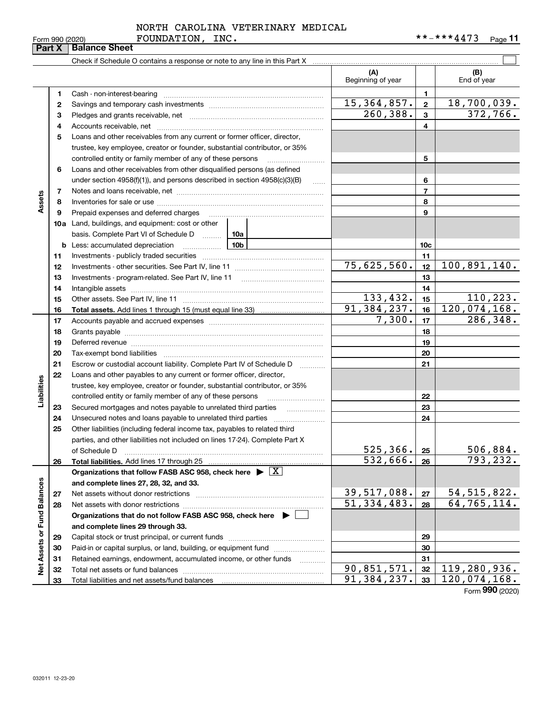|  | Form 990 (2020) |  |
|--|-----------------|--|

# Form 990 (2020) **FOUNDATION, INC.** \* \* - \* \* \* **4 4** 7 3 Page NORTH CAROLINA VETERINARY MEDICAL

|                             | Form 990 (2020) | LOONDATION,<br>TMC.                                                                                                                                                                                                            |                          |                | <br>Page II                  |
|-----------------------------|-----------------|--------------------------------------------------------------------------------------------------------------------------------------------------------------------------------------------------------------------------------|--------------------------|----------------|------------------------------|
|                             | Part X          | <b>Balance Sheet</b>                                                                                                                                                                                                           |                          |                |                              |
|                             |                 | Check if Schedule O contains a response or note to any line in this Part X [11] manumeron contains the contains a response or note to any line in this Part X [11] manumeron contains a response or note to any line in this P |                          |                |                              |
|                             |                 |                                                                                                                                                                                                                                | (A)<br>Beginning of year |                | (B)<br>End of year           |
|                             | 1               | Cash - non-interest-bearing                                                                                                                                                                                                    |                          | 1              |                              |
|                             | 2               |                                                                                                                                                                                                                                | 15,364,857.              | $\mathbf 2$    | 18, 700, 039.                |
|                             | 3               |                                                                                                                                                                                                                                | 260,388.                 | 3              | 372,766.                     |
|                             | 4               |                                                                                                                                                                                                                                |                          | 4              |                              |
|                             | 5               | Loans and other receivables from any current or former officer, director,                                                                                                                                                      |                          |                |                              |
|                             |                 | trustee, key employee, creator or founder, substantial contributor, or 35%                                                                                                                                                     |                          |                |                              |
|                             |                 | controlled entity or family member of any of these persons                                                                                                                                                                     |                          | 5              |                              |
|                             | 6               | Loans and other receivables from other disqualified persons (as defined                                                                                                                                                        |                          |                |                              |
|                             |                 | under section $4958(f)(1)$ , and persons described in section $4958(c)(3)(B)$<br>1.1.1.1                                                                                                                                       |                          | 6              |                              |
|                             | 7               |                                                                                                                                                                                                                                |                          | $\overline{7}$ |                              |
| Assets                      | 8               |                                                                                                                                                                                                                                |                          | 8              |                              |
|                             | 9               | Prepaid expenses and deferred charges                                                                                                                                                                                          |                          | 9              |                              |
|                             |                 | <b>10a</b> Land, buildings, and equipment: cost or other                                                                                                                                                                       |                          |                |                              |
|                             |                 | basis. Complete Part VI of Schedule D  10a                                                                                                                                                                                     |                          |                |                              |
|                             | b               | 10 <sub>b</sub><br>Less: accumulated depreciation<br>. 1                                                                                                                                                                       |                          | 10c            |                              |
|                             | 11              |                                                                                                                                                                                                                                |                          | 11             |                              |
|                             | 12              |                                                                                                                                                                                                                                | 75,625,560.              | 12             | 100,891,140.                 |
|                             | 13              |                                                                                                                                                                                                                                |                          | 13             |                              |
|                             | 14              | Intangible assets                                                                                                                                                                                                              |                          | 14             |                              |
|                             | 15              |                                                                                                                                                                                                                                | 133,432.                 | 15             | 110, 223.                    |
|                             | 16              |                                                                                                                                                                                                                                | 91, 384, 237.            | 16             | $\overline{120}$ , 074, 168. |
|                             | 17              |                                                                                                                                                                                                                                | 7,300.                   | 17             | 286,348.                     |
|                             | 18              |                                                                                                                                                                                                                                |                          | 18             |                              |
|                             | 19              | Deferred revenue information and continuum and contain an analysis of the continuum and contain an analysis of                                                                                                                 |                          | 19             |                              |
|                             | 20              |                                                                                                                                                                                                                                |                          | 20             |                              |
|                             | 21              | Escrow or custodial account liability. Complete Part IV of Schedule D                                                                                                                                                          |                          | 21             |                              |
|                             | 22              | Loans and other payables to any current or former officer, director,                                                                                                                                                           |                          |                |                              |
|                             |                 | trustee, key employee, creator or founder, substantial contributor, or 35%                                                                                                                                                     |                          |                |                              |
| Liabilities                 |                 | controlled entity or family member of any of these persons                                                                                                                                                                     |                          | 22             |                              |
|                             | 23              |                                                                                                                                                                                                                                |                          | 23             |                              |
|                             | 24              |                                                                                                                                                                                                                                |                          | 24             |                              |
|                             | 25              | Other liabilities (including federal income tax, payables to related third                                                                                                                                                     |                          |                |                              |
|                             |                 | parties, and other liabilities not included on lines 17-24). Complete Part X                                                                                                                                                   |                          |                |                              |
|                             |                 | of Schedule D                                                                                                                                                                                                                  | 525,366.                 | 25             | <u>506,884.</u>              |
|                             | 26              | Total liabilities. Add lines 17 through 25                                                                                                                                                                                     | 532,666.                 | 26             | 793, 232.                    |
|                             |                 | Organizations that follow FASB ASC 958, check here $\blacktriangleright \boxed{X}$                                                                                                                                             |                          |                |                              |
|                             |                 | and complete lines 27, 28, 32, and 33.                                                                                                                                                                                         |                          |                |                              |
|                             | 27              | Net assets without donor restrictions                                                                                                                                                                                          | <u>39,517,088.</u>       | 27             | <u>54, 515, 822.</u>         |
|                             | 28              | Net assets with donor restrictions                                                                                                                                                                                             | 51, 334, 483.            | 28             | 64, 765, 114.                |
|                             |                 | Organizations that do not follow FASB ASC 958, check here ▶ □                                                                                                                                                                  |                          |                |                              |
|                             |                 | and complete lines 29 through 33.                                                                                                                                                                                              |                          |                |                              |
|                             | 29              | Capital stock or trust principal, or current funds                                                                                                                                                                             |                          | 29             |                              |
| Net Assets or Fund Balances | 30              | Paid-in or capital surplus, or land, building, or equipment fund                                                                                                                                                               |                          | 30             |                              |
|                             | 31              | Retained earnings, endowment, accumulated income, or other funds<br>$\overline{\phantom{a}}$                                                                                                                                   |                          | 31             |                              |
|                             | 32              |                                                                                                                                                                                                                                | $\overline{90,851,571.}$ | 32             | 119,280,936.                 |
|                             | 33              |                                                                                                                                                                                                                                | 91,384,237.              | 33             | 120,074,168.                 |

Form (2020) **990**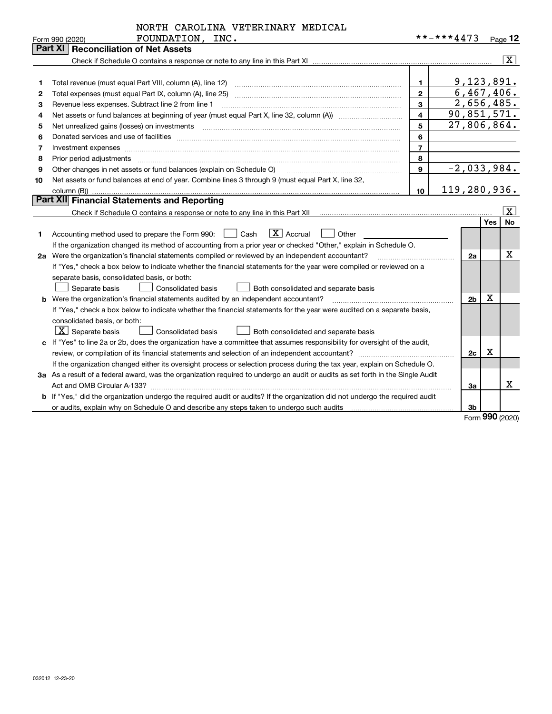|    | FOUNDATION, INC.<br>Form 990 (2020)                                                                                                  |                         | **-***4473                  |     | Page $12$               |
|----|--------------------------------------------------------------------------------------------------------------------------------------|-------------------------|-----------------------------|-----|-------------------------|
|    | Part XI<br><b>Reconciliation of Net Assets</b>                                                                                       |                         |                             |     |                         |
|    |                                                                                                                                      |                         |                             |     | $\overline{\mathbf{X}}$ |
|    |                                                                                                                                      |                         |                             |     |                         |
| 1  |                                                                                                                                      | 1.                      | 9,123,891.                  |     |                         |
| 2  | Total expenses (must equal Part IX, column (A), line 25)                                                                             | $\overline{2}$          | 6,467,406.                  |     |                         |
| 3  | Revenue less expenses. Subtract line 2 from line 1                                                                                   | 3                       | 2,656,485.                  |     |                         |
| 4  |                                                                                                                                      | $\overline{\mathbf{4}}$ | 90,851,571.                 |     |                         |
| 5  | Net unrealized gains (losses) on investments                                                                                         | 5                       | 27,806,864.                 |     |                         |
| 6  |                                                                                                                                      | 6                       |                             |     |                         |
| 7  |                                                                                                                                      | $\overline{7}$          |                             |     |                         |
| 8  | Prior period adjustments                                                                                                             | 8                       |                             |     |                         |
| 9  | Other changes in net assets or fund balances (explain on Schedule O)                                                                 | 9                       | $\overline{-2}$ , 033, 984. |     |                         |
| 10 | Net assets or fund balances at end of year. Combine lines 3 through 9 (must equal Part X, line 32,                                   |                         |                             |     |                         |
|    |                                                                                                                                      | 10                      | 119,280,936.                |     |                         |
|    | Part XII Financial Statements and Reporting                                                                                          |                         |                             |     |                         |
|    |                                                                                                                                      |                         |                             |     | $\vert$ X $\vert$       |
|    |                                                                                                                                      |                         |                             | Yes | <b>No</b>               |
| 1  | $\mathbf{X}$ Accrual<br>Accounting method used to prepare the Form 990: <u>[</u> Cash<br>Other<br>$\perp$                            |                         |                             |     |                         |
|    | If the organization changed its method of accounting from a prior year or checked "Other," explain in Schedule O.                    |                         |                             |     |                         |
| 2a | Were the organization's financial statements compiled or reviewed by an independent accountant?                                      |                         | 2a                          |     | $\mathbf X$             |
|    | If "Yes," check a box below to indicate whether the financial statements for the year were compiled or reviewed on a                 |                         |                             |     |                         |
|    | separate basis, consolidated basis, or both:                                                                                         |                         |                             |     |                         |
|    | Both consolidated and separate basis<br>Separate basis<br><b>Consolidated basis</b>                                                  |                         |                             |     |                         |
|    | <b>b</b> Were the organization's financial statements audited by an independent accountant?                                          |                         | 2 <sub>b</sub>              | х   |                         |
|    | If "Yes," check a box below to indicate whether the financial statements for the year were audited on a separate basis,              |                         |                             |     |                         |
|    | consolidated basis, or both:                                                                                                         |                         |                             |     |                         |
|    | $\lfloor x \rfloor$ Separate basis<br>Both consolidated and separate basis<br><b>Consolidated basis</b>                              |                         |                             |     |                         |
|    | c If "Yes" to line 2a or 2b, does the organization have a committee that assumes responsibility for oversight of the audit,          |                         |                             |     |                         |
|    |                                                                                                                                      |                         | 2c                          | x   |                         |
|    | If the organization changed either its oversight process or selection process during the tax year, explain on Schedule O.            |                         |                             |     |                         |
|    | 3a As a result of a federal award, was the organization required to undergo an audit or audits as set forth in the Single Audit      |                         |                             |     |                         |
|    |                                                                                                                                      |                         | За                          |     | x                       |
|    | <b>b</b> If "Yes," did the organization undergo the required audit or audits? If the organization did not undergo the required audit |                         |                             |     |                         |
|    | or audits, explain why on Schedule O and describe any steps taken to undergo such audits [11] content to under                       |                         | 3b                          |     |                         |

Form (2020) **990**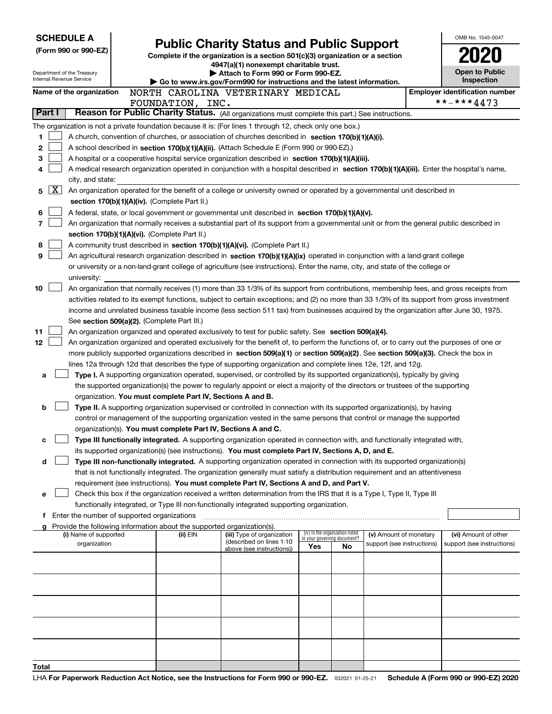| <b>SCHEDULE A</b>                                                                                                    |                       |                                             | OMB No. 1545-0047                                                                                                                                                                                                                               |                                                                                                                                                                                                                                               |                             |                                 |                            |  |                                       |  |
|----------------------------------------------------------------------------------------------------------------------|-----------------------|---------------------------------------------|-------------------------------------------------------------------------------------------------------------------------------------------------------------------------------------------------------------------------------------------------|-----------------------------------------------------------------------------------------------------------------------------------------------------------------------------------------------------------------------------------------------|-----------------------------|---------------------------------|----------------------------|--|---------------------------------------|--|
| (Form 990 or 990-EZ)                                                                                                 |                       |                                             | <b>Public Charity Status and Public Support</b><br>Complete if the organization is a section 501(c)(3) organization or a section                                                                                                                |                                                                                                                                                                                                                                               |                             |                                 |                            |  |                                       |  |
|                                                                                                                      |                       |                                             | 4947(a)(1) nonexempt charitable trust.                                                                                                                                                                                                          |                                                                                                                                                                                                                                               |                             |                                 |                            |  |                                       |  |
| Department of the Treasury                                                                                           |                       |                                             |                                                                                                                                                                                                                                                 | Attach to Form 990 or Form 990-EZ.                                                                                                                                                                                                            |                             |                                 |                            |  | <b>Open to Public</b>                 |  |
| Internal Revenue Service                                                                                             |                       |                                             |                                                                                                                                                                                                                                                 | $\blacktriangleright$ Go to www.irs.gov/Form990 for instructions and the latest information.                                                                                                                                                  |                             |                                 |                            |  | <b>Inspection</b>                     |  |
| Name of the organization                                                                                             |                       |                                             |                                                                                                                                                                                                                                                 | NORTH CAROLINA VETERINARY MEDICAL                                                                                                                                                                                                             |                             |                                 |                            |  | <b>Employer identification number</b> |  |
| FOUNDATION, INC.<br>Reason for Public Charity Status. (All organizations must complete this part.) See instructions. |                       |                                             |                                                                                                                                                                                                                                                 |                                                                                                                                                                                                                                               |                             |                                 | **-***4473                 |  |                                       |  |
| Part I                                                                                                               |                       |                                             |                                                                                                                                                                                                                                                 |                                                                                                                                                                                                                                               |                             |                                 |                            |  |                                       |  |
|                                                                                                                      |                       |                                             |                                                                                                                                                                                                                                                 | The organization is not a private foundation because it is: (For lines 1 through 12, check only one box.)                                                                                                                                     |                             |                                 |                            |  |                                       |  |
| 1                                                                                                                    |                       |                                             |                                                                                                                                                                                                                                                 | A church, convention of churches, or association of churches described in section 170(b)(1)(A)(i).                                                                                                                                            |                             |                                 |                            |  |                                       |  |
| 2                                                                                                                    |                       |                                             |                                                                                                                                                                                                                                                 | A school described in section 170(b)(1)(A)(ii). (Attach Schedule E (Form 990 or 990-EZ).)                                                                                                                                                     |                             |                                 |                            |  |                                       |  |
| 3                                                                                                                    |                       |                                             |                                                                                                                                                                                                                                                 | A hospital or a cooperative hospital service organization described in section 170(b)(1)(A)(iii).                                                                                                                                             |                             |                                 |                            |  |                                       |  |
|                                                                                                                      |                       |                                             |                                                                                                                                                                                                                                                 | A medical research organization operated in conjunction with a hospital described in section 170(b)(1)(A)(iii). Enter the hospital's name,                                                                                                    |                             |                                 |                            |  |                                       |  |
|                                                                                                                      | city, and state:      |                                             |                                                                                                                                                                                                                                                 |                                                                                                                                                                                                                                               |                             |                                 |                            |  |                                       |  |
| ΧI<br>5                                                                                                              |                       |                                             |                                                                                                                                                                                                                                                 | An organization operated for the benefit of a college or university owned or operated by a governmental unit described in                                                                                                                     |                             |                                 |                            |  |                                       |  |
|                                                                                                                      |                       |                                             | section 170(b)(1)(A)(iv). (Complete Part II.)                                                                                                                                                                                                   |                                                                                                                                                                                                                                               |                             |                                 |                            |  |                                       |  |
| 6                                                                                                                    |                       |                                             |                                                                                                                                                                                                                                                 | A federal, state, or local government or governmental unit described in section 170(b)(1)(A)(v).                                                                                                                                              |                             |                                 |                            |  |                                       |  |
| 7                                                                                                                    |                       |                                             |                                                                                                                                                                                                                                                 | An organization that normally receives a substantial part of its support from a governmental unit or from the general public described in                                                                                                     |                             |                                 |                            |  |                                       |  |
|                                                                                                                      |                       |                                             | section 170(b)(1)(A)(vi). (Complete Part II.)                                                                                                                                                                                                   |                                                                                                                                                                                                                                               |                             |                                 |                            |  |                                       |  |
| 8                                                                                                                    |                       |                                             |                                                                                                                                                                                                                                                 | A community trust described in section 170(b)(1)(A)(vi). (Complete Part II.)                                                                                                                                                                  |                             |                                 |                            |  |                                       |  |
| 9                                                                                                                    |                       |                                             |                                                                                                                                                                                                                                                 | An agricultural research organization described in section 170(b)(1)(A)(ix) operated in conjunction with a land-grant college                                                                                                                 |                             |                                 |                            |  |                                       |  |
|                                                                                                                      |                       |                                             |                                                                                                                                                                                                                                                 | or university or a non-land-grant college of agriculture (see instructions). Enter the name, city, and state of the college or                                                                                                                |                             |                                 |                            |  |                                       |  |
|                                                                                                                      | university:           |                                             |                                                                                                                                                                                                                                                 |                                                                                                                                                                                                                                               |                             |                                 |                            |  |                                       |  |
| 10                                                                                                                   |                       |                                             |                                                                                                                                                                                                                                                 | An organization that normally receives (1) more than 33 1/3% of its support from contributions, membership fees, and gross receipts from                                                                                                      |                             |                                 |                            |  |                                       |  |
|                                                                                                                      |                       |                                             |                                                                                                                                                                                                                                                 | activities related to its exempt functions, subject to certain exceptions; and (2) no more than 33 1/3% of its support from gross investment                                                                                                  |                             |                                 |                            |  |                                       |  |
|                                                                                                                      |                       |                                             |                                                                                                                                                                                                                                                 | income and unrelated business taxable income (less section 511 tax) from businesses acquired by the organization after June 30, 1975.                                                                                                         |                             |                                 |                            |  |                                       |  |
|                                                                                                                      |                       |                                             | See section 509(a)(2). (Complete Part III.)                                                                                                                                                                                                     |                                                                                                                                                                                                                                               |                             |                                 |                            |  |                                       |  |
| 11                                                                                                                   |                       |                                             |                                                                                                                                                                                                                                                 | An organization organized and operated exclusively to test for public safety. See section 509(a)(4).                                                                                                                                          |                             |                                 |                            |  |                                       |  |
| 12                                                                                                                   |                       |                                             |                                                                                                                                                                                                                                                 | An organization organized and operated exclusively for the benefit of, to perform the functions of, or to carry out the purposes of one or                                                                                                    |                             |                                 |                            |  |                                       |  |
|                                                                                                                      |                       |                                             |                                                                                                                                                                                                                                                 | more publicly supported organizations described in section 509(a)(1) or section 509(a)(2). See section 509(a)(3). Check the box in                                                                                                            |                             |                                 |                            |  |                                       |  |
| а                                                                                                                    |                       |                                             |                                                                                                                                                                                                                                                 | lines 12a through 12d that describes the type of supporting organization and complete lines 12e, 12f, and 12g.<br>Type I. A supporting organization operated, supervised, or controlled by its supported organization(s), typically by giving |                             |                                 |                            |  |                                       |  |
|                                                                                                                      |                       |                                             |                                                                                                                                                                                                                                                 | the supported organization(s) the power to regularly appoint or elect a majority of the directors or trustees of the supporting                                                                                                               |                             |                                 |                            |  |                                       |  |
|                                                                                                                      |                       |                                             | organization. You must complete Part IV, Sections A and B.                                                                                                                                                                                      |                                                                                                                                                                                                                                               |                             |                                 |                            |  |                                       |  |
| b                                                                                                                    |                       |                                             |                                                                                                                                                                                                                                                 |                                                                                                                                                                                                                                               |                             |                                 |                            |  |                                       |  |
|                                                                                                                      |                       |                                             | Type II. A supporting organization supervised or controlled in connection with its supported organization(s), by having<br>control or management of the supporting organization vested in the same persons that control or manage the supported |                                                                                                                                                                                                                                               |                             |                                 |                            |  |                                       |  |
|                                                                                                                      |                       |                                             | organization(s). You must complete Part IV, Sections A and C.                                                                                                                                                                                   |                                                                                                                                                                                                                                               |                             |                                 |                            |  |                                       |  |
| с                                                                                                                    |                       |                                             | Type III functionally integrated. A supporting organization operated in connection with, and functionally integrated with,                                                                                                                      |                                                                                                                                                                                                                                               |                             |                                 |                            |  |                                       |  |
|                                                                                                                      |                       |                                             |                                                                                                                                                                                                                                                 | its supported organization(s) (see instructions). You must complete Part IV, Sections A, D, and E.                                                                                                                                            |                             |                                 |                            |  |                                       |  |
| d                                                                                                                    |                       |                                             |                                                                                                                                                                                                                                                 | Type III non-functionally integrated. A supporting organization operated in connection with its supported organization(s)                                                                                                                     |                             |                                 |                            |  |                                       |  |
|                                                                                                                      |                       |                                             |                                                                                                                                                                                                                                                 | that is not functionally integrated. The organization generally must satisfy a distribution requirement and an attentiveness                                                                                                                  |                             |                                 |                            |  |                                       |  |
|                                                                                                                      |                       |                                             |                                                                                                                                                                                                                                                 | requirement (see instructions). You must complete Part IV, Sections A and D, and Part V.                                                                                                                                                      |                             |                                 |                            |  |                                       |  |
| е                                                                                                                    |                       |                                             |                                                                                                                                                                                                                                                 | Check this box if the organization received a written determination from the IRS that it is a Type I, Type II, Type III                                                                                                                       |                             |                                 |                            |  |                                       |  |
|                                                                                                                      |                       |                                             |                                                                                                                                                                                                                                                 | functionally integrated, or Type III non-functionally integrated supporting organization.                                                                                                                                                     |                             |                                 |                            |  |                                       |  |
| f.                                                                                                                   |                       | Enter the number of supported organizations |                                                                                                                                                                                                                                                 |                                                                                                                                                                                                                                               |                             |                                 |                            |  |                                       |  |
|                                                                                                                      |                       |                                             | Provide the following information about the supported organization(s).                                                                                                                                                                          |                                                                                                                                                                                                                                               |                             |                                 |                            |  |                                       |  |
|                                                                                                                      | (i) Name of supported |                                             | (ii) EIN                                                                                                                                                                                                                                        | (iii) Type of organization<br>(described on lines 1-10                                                                                                                                                                                        | in your governing document? | (iv) Is the organization listed | (v) Amount of monetary     |  | (vi) Amount of other                  |  |
|                                                                                                                      | organization          |                                             |                                                                                                                                                                                                                                                 | above (see instructions))                                                                                                                                                                                                                     | Yes                         | No.                             | support (see instructions) |  | support (see instructions)            |  |
|                                                                                                                      |                       |                                             |                                                                                                                                                                                                                                                 |                                                                                                                                                                                                                                               |                             |                                 |                            |  |                                       |  |
|                                                                                                                      |                       |                                             |                                                                                                                                                                                                                                                 |                                                                                                                                                                                                                                               |                             |                                 |                            |  |                                       |  |
|                                                                                                                      |                       |                                             |                                                                                                                                                                                                                                                 |                                                                                                                                                                                                                                               |                             |                                 |                            |  |                                       |  |
|                                                                                                                      |                       |                                             |                                                                                                                                                                                                                                                 |                                                                                                                                                                                                                                               |                             |                                 |                            |  |                                       |  |
|                                                                                                                      |                       |                                             |                                                                                                                                                                                                                                                 |                                                                                                                                                                                                                                               |                             |                                 |                            |  |                                       |  |
|                                                                                                                      |                       |                                             |                                                                                                                                                                                                                                                 |                                                                                                                                                                                                                                               |                             |                                 |                            |  |                                       |  |
|                                                                                                                      |                       |                                             |                                                                                                                                                                                                                                                 |                                                                                                                                                                                                                                               |                             |                                 |                            |  |                                       |  |
|                                                                                                                      |                       |                                             |                                                                                                                                                                                                                                                 |                                                                                                                                                                                                                                               |                             |                                 |                            |  |                                       |  |
|                                                                                                                      |                       |                                             |                                                                                                                                                                                                                                                 |                                                                                                                                                                                                                                               |                             |                                 |                            |  |                                       |  |
|                                                                                                                      |                       |                                             |                                                                                                                                                                                                                                                 |                                                                                                                                                                                                                                               |                             |                                 |                            |  |                                       |  |
| Total                                                                                                                |                       |                                             |                                                                                                                                                                                                                                                 |                                                                                                                                                                                                                                               |                             |                                 |                            |  |                                       |  |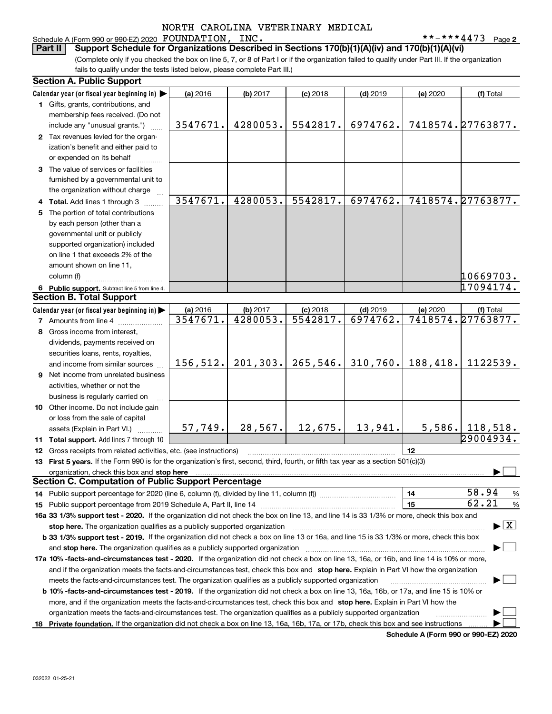Schedule A (Form 990 or 990-EZ) 2020 Page FOUNDATION, INC. \*\*-\*\*\*4473

(Complete only if you checked the box on line 5, 7, or 8 of Part I or if the organization failed to qualify under Part III. If the organization fails to qualify under the tests listed below, please complete Part III.) **Part II Support Schedule for Organizations Described in Sections 170(b)(1)(A)(iv) and 170(b)(1)(A)(vi)**

| <b>Section A. Public Support</b>                                                                                                                                                                                                                                                    |           |           |            |            |          |                                          |  |
|-------------------------------------------------------------------------------------------------------------------------------------------------------------------------------------------------------------------------------------------------------------------------------------|-----------|-----------|------------|------------|----------|------------------------------------------|--|
| Calendar year (or fiscal year beginning in)                                                                                                                                                                                                                                         | (a) 2016  | (b) 2017  | $(c)$ 2018 | $(d)$ 2019 | (e) 2020 | (f) Total                                |  |
| 1 Gifts, grants, contributions, and                                                                                                                                                                                                                                                 |           |           |            |            |          |                                          |  |
| membership fees received. (Do not                                                                                                                                                                                                                                                   |           |           |            |            |          |                                          |  |
| include any "unusual grants.")                                                                                                                                                                                                                                                      | 3547671.  | 4280053.  | 5542817.   | 6974762.   |          | 7418574.27763877.                        |  |
| 2 Tax revenues levied for the organ-                                                                                                                                                                                                                                                |           |           |            |            |          |                                          |  |
| ization's benefit and either paid to                                                                                                                                                                                                                                                |           |           |            |            |          |                                          |  |
| or expended on its behalf                                                                                                                                                                                                                                                           |           |           |            |            |          |                                          |  |
| 3 The value of services or facilities                                                                                                                                                                                                                                               |           |           |            |            |          |                                          |  |
| furnished by a governmental unit to                                                                                                                                                                                                                                                 |           |           |            |            |          |                                          |  |
| the organization without charge                                                                                                                                                                                                                                                     |           |           |            |            |          |                                          |  |
| 4 Total. Add lines 1 through 3                                                                                                                                                                                                                                                      | 3547671.  | 4280053.  | 5542817.   | 6974762.   |          | 7418574.27763877.                        |  |
| 5 The portion of total contributions                                                                                                                                                                                                                                                |           |           |            |            |          |                                          |  |
| by each person (other than a                                                                                                                                                                                                                                                        |           |           |            |            |          |                                          |  |
| governmental unit or publicly                                                                                                                                                                                                                                                       |           |           |            |            |          |                                          |  |
| supported organization) included                                                                                                                                                                                                                                                    |           |           |            |            |          |                                          |  |
| on line 1 that exceeds 2% of the                                                                                                                                                                                                                                                    |           |           |            |            |          |                                          |  |
| amount shown on line 11,                                                                                                                                                                                                                                                            |           |           |            |            |          |                                          |  |
| column (f)                                                                                                                                                                                                                                                                          |           |           |            |            |          | 10669703.                                |  |
| 6 Public support. Subtract line 5 from line 4.                                                                                                                                                                                                                                      |           |           |            |            |          | 17094174.                                |  |
| <b>Section B. Total Support</b>                                                                                                                                                                                                                                                     |           |           |            |            |          |                                          |  |
| Calendar year (or fiscal year beginning in)                                                                                                                                                                                                                                         | (a) 2016  | (b) 2017  | $(c)$ 2018 | $(d)$ 2019 | (e) 2020 | (f) Total                                |  |
| <b>7</b> Amounts from line 4                                                                                                                                                                                                                                                        | 3547671.  | 4280053.  | 5542817.   | 6974762.   |          | 7418574.27763877.                        |  |
| 8 Gross income from interest,                                                                                                                                                                                                                                                       |           |           |            |            |          |                                          |  |
| dividends, payments received on                                                                                                                                                                                                                                                     |           |           |            |            |          |                                          |  |
| securities loans, rents, royalties,                                                                                                                                                                                                                                                 |           |           |            |            |          |                                          |  |
| and income from similar sources                                                                                                                                                                                                                                                     | 156, 512. | 201, 303. | 265,546.   | 310,760.   | 188,418. | 1122539.                                 |  |
| 9 Net income from unrelated business                                                                                                                                                                                                                                                |           |           |            |            |          |                                          |  |
| activities, whether or not the                                                                                                                                                                                                                                                      |           |           |            |            |          |                                          |  |
| business is regularly carried on                                                                                                                                                                                                                                                    |           |           |            |            |          |                                          |  |
| 10 Other income. Do not include gain                                                                                                                                                                                                                                                |           |           |            |            |          |                                          |  |
| or loss from the sale of capital                                                                                                                                                                                                                                                    |           |           |            |            |          |                                          |  |
| assets (Explain in Part VI.)                                                                                                                                                                                                                                                        | 57,749.   | 28, 567.  | 12,675.    | 13,941.    | 5,586.   | 118,518.                                 |  |
| 11 Total support. Add lines 7 through 10                                                                                                                                                                                                                                            |           |           |            |            |          | $\sqrt{29004934}$ .                      |  |
| 12 Gross receipts from related activities, etc. (see instructions)                                                                                                                                                                                                                  |           |           |            |            | 12       |                                          |  |
| 13 First 5 years. If the Form 990 is for the organization's first, second, third, fourth, or fifth tax year as a section 501(c)(3)                                                                                                                                                  |           |           |            |            |          |                                          |  |
| organization, check this box and stop here manufactured and according to the state of the state of the state of the state of the state of the state of the state of the state of the state of the state of the state of the st                                                      |           |           |            |            |          |                                          |  |
| <b>Section C. Computation of Public Support Percentage</b>                                                                                                                                                                                                                          |           |           |            |            |          |                                          |  |
|                                                                                                                                                                                                                                                                                     |           |           |            |            | 14       | 58.94<br>%                               |  |
|                                                                                                                                                                                                                                                                                     |           |           |            |            | 15       | 62.21<br>%                               |  |
| 16a 33 1/3% support test - 2020. If the organization did not check the box on line 13, and line 14 is 33 1/3% or more, check this box and                                                                                                                                           |           |           |            |            |          |                                          |  |
| stop here. The organization qualifies as a publicly supported organization                                                                                                                                                                                                          |           |           |            |            |          | $\blacktriangleright$ $\boxed{\text{X}}$ |  |
| b 33 1/3% support test - 2019. If the organization did not check a box on line 13 or 16a, and line 15 is 33 1/3% or more, check this box                                                                                                                                            |           |           |            |            |          |                                          |  |
| and stop here. The organization qualifies as a publicly supported organization                                                                                                                                                                                                      |           |           |            |            |          |                                          |  |
|                                                                                                                                                                                                                                                                                     |           |           |            |            |          |                                          |  |
| 17a 10% -facts-and-circumstances test - 2020. If the organization did not check a box on line 13, 16a, or 16b, and line 14 is 10% or more,<br>and if the organization meets the facts-and-circumstances test, check this box and stop here. Explain in Part VI how the organization |           |           |            |            |          |                                          |  |
| meets the facts-and-circumstances test. The organization qualifies as a publicly supported organization                                                                                                                                                                             |           |           |            |            |          |                                          |  |
| <b>b 10% -facts-and-circumstances test - 2019.</b> If the organization did not check a box on line 13, 16a, 16b, or 17a, and line 15 is 10% or                                                                                                                                      |           |           |            |            |          |                                          |  |
| more, and if the organization meets the facts-and-circumstances test, check this box and stop here. Explain in Part VI how the                                                                                                                                                      |           |           |            |            |          |                                          |  |
| organization meets the facts-and-circumstances test. The organization qualifies as a publicly supported organization                                                                                                                                                                |           |           |            |            |          |                                          |  |
| 18 Private foundation. If the organization did not check a box on line 13, 16a, 16b, 17a, or 17b, check this box and see instructions                                                                                                                                               |           |           |            |            |          |                                          |  |
|                                                                                                                                                                                                                                                                                     |           |           |            |            |          |                                          |  |

**Schedule A (Form 990 or 990-EZ) 2020**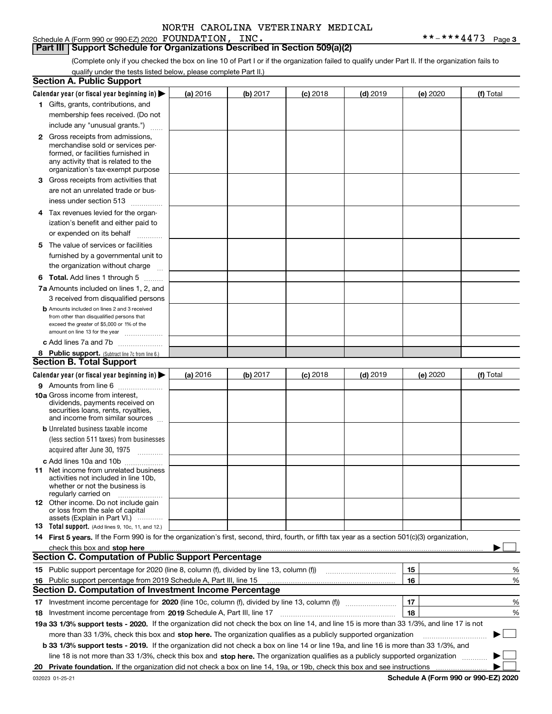Schedule A (Form 990 or 990-EZ) 2020 Page FOUNDATION, INC. \*\*-\*\*\*4473

**Part III Support Schedule for Organizations Described in Section 509(a)(2)** 

(Complete only if you checked the box on line 10 of Part I or if the organization failed to qualify under Part II. If the organization fails to qualify under the tests listed below, please complete Part II.)

| <b>Section A. Public Support</b>                                                                                                                 |          |          |                 |                                                      |          |             |
|--------------------------------------------------------------------------------------------------------------------------------------------------|----------|----------|-----------------|------------------------------------------------------|----------|-------------|
| Calendar year (or fiscal year beginning in) $\blacktriangleright$                                                                                | (a) 2016 | (b) 2017 | <b>(c)</b> 2018 | $(d)$ 2019                                           | (e) 2020 | (f) Total   |
| 1 Gifts, grants, contributions, and                                                                                                              |          |          |                 |                                                      |          |             |
| membership fees received. (Do not                                                                                                                |          |          |                 |                                                      |          |             |
| include any "unusual grants.")                                                                                                                   |          |          |                 |                                                      |          |             |
| <b>2</b> Gross receipts from admissions,                                                                                                         |          |          |                 |                                                      |          |             |
| merchandise sold or services per-                                                                                                                |          |          |                 |                                                      |          |             |
| formed, or facilities furnished in                                                                                                               |          |          |                 |                                                      |          |             |
| any activity that is related to the<br>organization's tax-exempt purpose                                                                         |          |          |                 |                                                      |          |             |
| 3 Gross receipts from activities that                                                                                                            |          |          |                 |                                                      |          |             |
| are not an unrelated trade or bus-                                                                                                               |          |          |                 |                                                      |          |             |
| iness under section 513                                                                                                                          |          |          |                 |                                                      |          |             |
| 4 Tax revenues levied for the organ-                                                                                                             |          |          |                 |                                                      |          |             |
| ization's benefit and either paid to                                                                                                             |          |          |                 |                                                      |          |             |
| or expended on its behalf                                                                                                                        |          |          |                 |                                                      |          |             |
| .<br>5 The value of services or facilities                                                                                                       |          |          |                 |                                                      |          |             |
| furnished by a governmental unit to                                                                                                              |          |          |                 |                                                      |          |             |
| the organization without charge                                                                                                                  |          |          |                 |                                                      |          |             |
|                                                                                                                                                  |          |          |                 |                                                      |          |             |
| <b>6 Total.</b> Add lines 1 through 5                                                                                                            |          |          |                 |                                                      |          |             |
| 7a Amounts included on lines 1, 2, and<br>3 received from disqualified persons                                                                   |          |          |                 |                                                      |          |             |
| <b>b</b> Amounts included on lines 2 and 3 received                                                                                              |          |          |                 |                                                      |          |             |
| from other than disqualified persons that                                                                                                        |          |          |                 |                                                      |          |             |
| exceed the greater of \$5,000 or 1% of the                                                                                                       |          |          |                 |                                                      |          |             |
| amount on line 13 for the year                                                                                                                   |          |          |                 |                                                      |          |             |
| c Add lines 7a and 7b                                                                                                                            |          |          |                 |                                                      |          |             |
| 8 Public support. (Subtract line 7c from line 6.)<br><b>Section B. Total Support</b>                                                             |          |          |                 |                                                      |          |             |
|                                                                                                                                                  |          |          |                 |                                                      |          |             |
| Calendar year (or fiscal year beginning in) $\blacktriangleright$                                                                                | (a) 2016 | (b) 2017 | $(c)$ 2018      | $(d)$ 2019                                           | (e) 2020 | (f) Total   |
| 9 Amounts from line 6                                                                                                                            |          |          |                 |                                                      |          |             |
| 10a Gross income from interest,<br>dividends, payments received on                                                                               |          |          |                 |                                                      |          |             |
| securities loans, rents, royalties,                                                                                                              |          |          |                 |                                                      |          |             |
| and income from similar sources                                                                                                                  |          |          |                 |                                                      |          |             |
| <b>b</b> Unrelated business taxable income                                                                                                       |          |          |                 |                                                      |          |             |
| (less section 511 taxes) from businesses                                                                                                         |          |          |                 |                                                      |          |             |
| acquired after June 30, 1975                                                                                                                     |          |          |                 |                                                      |          |             |
| c Add lines 10a and 10b                                                                                                                          |          |          |                 |                                                      |          |             |
| 11 Net income from unrelated business<br>activities not included in line 10b.                                                                    |          |          |                 |                                                      |          |             |
| whether or not the business is                                                                                                                   |          |          |                 |                                                      |          |             |
| regularly carried on                                                                                                                             |          |          |                 |                                                      |          |             |
| 12 Other income. Do not include gain                                                                                                             |          |          |                 |                                                      |          |             |
| or loss from the sale of capital<br>assets (Explain in Part VI.)                                                                                 |          |          |                 |                                                      |          |             |
| <b>13</b> Total support. (Add lines 9, 10c, 11, and 12.)                                                                                         |          |          |                 |                                                      |          |             |
| 14 First 5 years. If the Form 990 is for the organization's first, second, third, fourth, or fifth tax year as a section 501(c)(3) organization, |          |          |                 |                                                      |          |             |
| check this box and stop here measurements are constructed as the state of the state of the state of the state o                                  |          |          |                 |                                                      |          |             |
| <b>Section C. Computation of Public Support Percentage</b>                                                                                       |          |          |                 |                                                      |          |             |
| 15 Public support percentage for 2020 (line 8, column (f), divided by line 13, column (f))                                                       |          |          |                 | <u> 1986 - Johann Stoff, Amerikaansk politiker (</u> | 15       | %           |
| 16 Public support percentage from 2019 Schedule A, Part III, line 15                                                                             |          |          |                 |                                                      | 16       | %           |
| <b>Section D. Computation of Investment Income Percentage</b>                                                                                    |          |          |                 |                                                      |          |             |
|                                                                                                                                                  |          |          |                 |                                                      | 17       | %           |
| <b>18</b> Investment income percentage from <b>2019</b> Schedule A, Part III, line 17                                                            |          |          |                 |                                                      | 18       | %           |
| 19a 33 1/3% support tests - 2020. If the organization did not check the box on line 14, and line 15 is more than 33 1/3%, and line 17 is not     |          |          |                 |                                                      |          |             |
| more than 33 1/3%, check this box and stop here. The organization qualifies as a publicly supported organization                                 |          |          |                 |                                                      |          | $\sim$<br>▶ |
| b 33 1/3% support tests - 2019. If the organization did not check a box on line 14 or line 19a, and line 16 is more than 33 1/3%, and            |          |          |                 |                                                      |          |             |
| line 18 is not more than 33 1/3%, check this box and stop here. The organization qualifies as a publicly supported organization                  |          |          |                 |                                                      |          |             |
|                                                                                                                                                  |          |          |                 |                                                      |          |             |
|                                                                                                                                                  |          |          |                 |                                                      |          |             |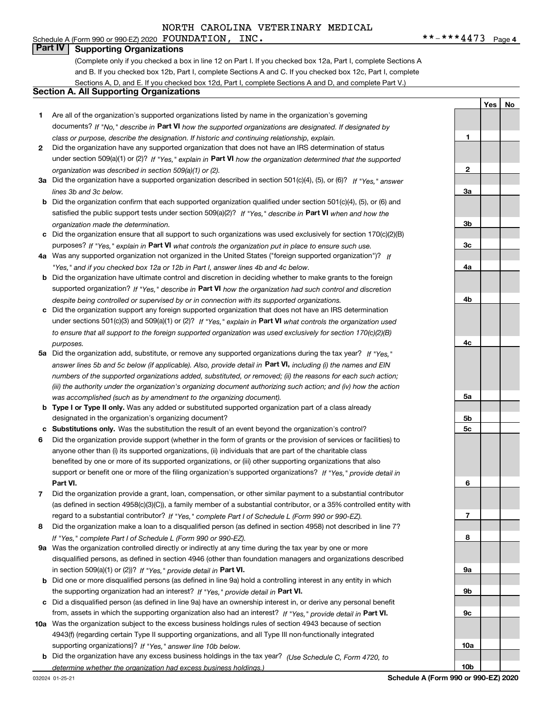#### Schedule A (Form 990 or 990-EZ) 2020 Page FOUNDATION, INC. \*\*-\*\*\*4473 **Part IV Supporting Organizations**

(Complete only if you checked a box in line 12 on Part I. If you checked box 12a, Part I, complete Sections A and B. If you checked box 12b, Part I, complete Sections A and C. If you checked box 12c, Part I, complete Sections A, D, and E. If you checked box 12d, Part I, complete Sections A and D, and complete Part V.)

#### **Section A. All Supporting Organizations**

- **1** Are all of the organization's supported organizations listed by name in the organization's governing documents? If "No," describe in **Part VI** how the supported organizations are designated. If designated by *class or purpose, describe the designation. If historic and continuing relationship, explain.*
- **2** Did the organization have any supported organization that does not have an IRS determination of status under section 509(a)(1) or (2)? If "Yes," explain in Part VI how the organization determined that the supported *organization was described in section 509(a)(1) or (2).*
- **3a** Did the organization have a supported organization described in section 501(c)(4), (5), or (6)? If "Yes," answer *lines 3b and 3c below.*
- **b** Did the organization confirm that each supported organization qualified under section 501(c)(4), (5), or (6) and satisfied the public support tests under section 509(a)(2)? If "Yes," describe in **Part VI** when and how the *organization made the determination.*
- **c**Did the organization ensure that all support to such organizations was used exclusively for section 170(c)(2)(B) purposes? If "Yes," explain in **Part VI** what controls the organization put in place to ensure such use.
- **4a***If* Was any supported organization not organized in the United States ("foreign supported organization")? *"Yes," and if you checked box 12a or 12b in Part I, answer lines 4b and 4c below.*
- **b** Did the organization have ultimate control and discretion in deciding whether to make grants to the foreign supported organization? If "Yes," describe in **Part VI** how the organization had such control and discretion *despite being controlled or supervised by or in connection with its supported organizations.*
- **c** Did the organization support any foreign supported organization that does not have an IRS determination under sections 501(c)(3) and 509(a)(1) or (2)? If "Yes," explain in **Part VI** what controls the organization used *to ensure that all support to the foreign supported organization was used exclusively for section 170(c)(2)(B) purposes.*
- **5a***If "Yes,"* Did the organization add, substitute, or remove any supported organizations during the tax year? answer lines 5b and 5c below (if applicable). Also, provide detail in **Part VI,** including (i) the names and EIN *numbers of the supported organizations added, substituted, or removed; (ii) the reasons for each such action; (iii) the authority under the organization's organizing document authorizing such action; and (iv) how the action was accomplished (such as by amendment to the organizing document).*
- **b** Type I or Type II only. Was any added or substituted supported organization part of a class already designated in the organization's organizing document?
- **cSubstitutions only.**  Was the substitution the result of an event beyond the organization's control?
- **6** Did the organization provide support (whether in the form of grants or the provision of services or facilities) to **Part VI.** *If "Yes," provide detail in* support or benefit one or more of the filing organization's supported organizations? anyone other than (i) its supported organizations, (ii) individuals that are part of the charitable class benefited by one or more of its supported organizations, or (iii) other supporting organizations that also
- **7**Did the organization provide a grant, loan, compensation, or other similar payment to a substantial contributor *If "Yes," complete Part I of Schedule L (Form 990 or 990-EZ).* regard to a substantial contributor? (as defined in section 4958(c)(3)(C)), a family member of a substantial contributor, or a 35% controlled entity with
- **8** Did the organization make a loan to a disqualified person (as defined in section 4958) not described in line 7? *If "Yes," complete Part I of Schedule L (Form 990 or 990-EZ).*
- **9a** Was the organization controlled directly or indirectly at any time during the tax year by one or more in section 509(a)(1) or (2))? If "Yes," *provide detail in* <code>Part VI.</code> disqualified persons, as defined in section 4946 (other than foundation managers and organizations described
- **b** Did one or more disqualified persons (as defined in line 9a) hold a controlling interest in any entity in which the supporting organization had an interest? If "Yes," provide detail in P**art VI**.
- **c**Did a disqualified person (as defined in line 9a) have an ownership interest in, or derive any personal benefit from, assets in which the supporting organization also had an interest? If "Yes," provide detail in P**art VI.**
- **10a** Was the organization subject to the excess business holdings rules of section 4943 because of section supporting organizations)? If "Yes," answer line 10b below. 4943(f) (regarding certain Type II supporting organizations, and all Type III non-functionally integrated
- **b** Did the organization have any excess business holdings in the tax year? (Use Schedule C, Form 4720, to *determine whether the organization had excess business holdings.)*

032024 01-25-21

**YesNo**

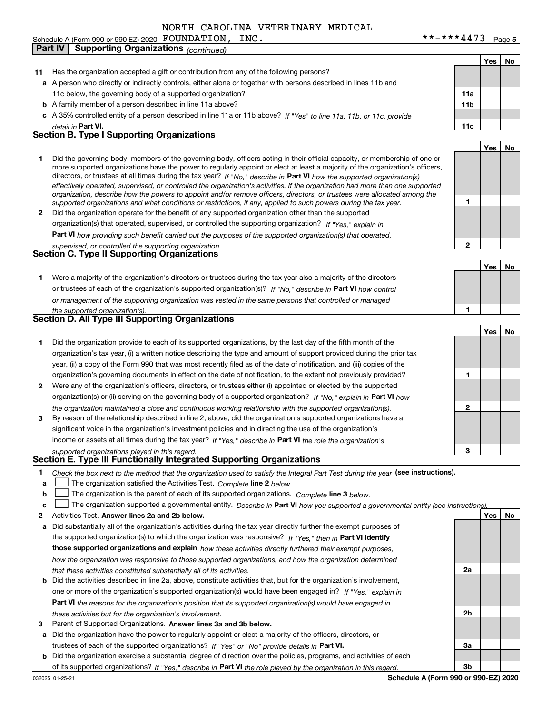**Part IV Supporting Organizations** *(continued)*

| 11           | Has the organization accepted a gift or contribution from any of the following persons?                                                                                                                                                                   |                 |     |    |
|--------------|-----------------------------------------------------------------------------------------------------------------------------------------------------------------------------------------------------------------------------------------------------------|-----------------|-----|----|
|              | a A person who directly or indirectly controls, either alone or together with persons described in lines 11b and                                                                                                                                          |                 |     |    |
|              | 11c below, the governing body of a supported organization?                                                                                                                                                                                                | 11a             |     |    |
|              | <b>b</b> A family member of a person described in line 11a above?                                                                                                                                                                                         | 11 <sub>b</sub> |     |    |
|              | c A 35% controlled entity of a person described in line 11a or 11b above? If "Yes" to line 11a, 11b, or 11c, provide                                                                                                                                      |                 |     |    |
|              | detail in Part VI.                                                                                                                                                                                                                                        | 11c             |     |    |
|              | <b>Section B. Type I Supporting Organizations</b>                                                                                                                                                                                                         |                 |     |    |
|              |                                                                                                                                                                                                                                                           |                 | Yes | No |
| 1            | Did the governing body, members of the governing body, officers acting in their official capacity, or membership of one or                                                                                                                                |                 |     |    |
|              | more supported organizations have the power to regularly appoint or elect at least a majority of the organization's officers,                                                                                                                             |                 |     |    |
|              | directors, or trustees at all times during the tax year? If "No," describe in Part VI how the supported organization(s)<br>effectively operated, supervised, or controlled the organization's activities. If the organization had more than one supported |                 |     |    |
|              | organization, describe how the powers to appoint and/or remove officers, directors, or trustees were allocated among the                                                                                                                                  |                 |     |    |
|              | supported organizations and what conditions or restrictions, if any, applied to such powers during the tax year.                                                                                                                                          | 1               |     |    |
| $\mathbf{2}$ | Did the organization operate for the benefit of any supported organization other than the supported                                                                                                                                                       |                 |     |    |
|              | organization(s) that operated, supervised, or controlled the supporting organization? If "Yes," explain in                                                                                                                                                |                 |     |    |
|              | Part VI how providing such benefit carried out the purposes of the supported organization(s) that operated,                                                                                                                                               |                 |     |    |
|              | supervised, or controlled the supporting organization.                                                                                                                                                                                                    | 2               |     |    |
|              | Section C. Type II Supporting Organizations                                                                                                                                                                                                               |                 |     |    |
|              |                                                                                                                                                                                                                                                           |                 | Yes | No |
| 1.           | Were a majority of the organization's directors or trustees during the tax year also a majority of the directors                                                                                                                                          |                 |     |    |
|              | or trustees of each of the organization's supported organization(s)? If "No," describe in Part VI how control                                                                                                                                             |                 |     |    |
|              | or management of the supporting organization was vested in the same persons that controlled or managed                                                                                                                                                    |                 |     |    |
|              | the supported organization(s).<br>Section D. All Type III Supporting Organizations                                                                                                                                                                        | 1               |     |    |
|              |                                                                                                                                                                                                                                                           |                 |     |    |
|              |                                                                                                                                                                                                                                                           |                 | Yes | No |
| 1.           | Did the organization provide to each of its supported organizations, by the last day of the fifth month of the                                                                                                                                            |                 |     |    |
|              | organization's tax year, (i) a written notice describing the type and amount of support provided during the prior tax                                                                                                                                     |                 |     |    |
|              | year, (ii) a copy of the Form 990 that was most recently filed as of the date of notification, and (iii) copies of the                                                                                                                                    |                 |     |    |
|              | organization's governing documents in effect on the date of notification, to the extent not previously provided?                                                                                                                                          | 1               |     |    |
| 2            | Were any of the organization's officers, directors, or trustees either (i) appointed or elected by the supported                                                                                                                                          |                 |     |    |
|              | organization(s) or (ii) serving on the governing body of a supported organization? If "No," explain in Part VI how                                                                                                                                        |                 |     |    |
|              | the organization maintained a close and continuous working relationship with the supported organization(s).                                                                                                                                               | 2               |     |    |
| 3            | By reason of the relationship described in line 2, above, did the organization's supported organizations have a                                                                                                                                           |                 |     |    |
|              | significant voice in the organization's investment policies and in directing the use of the organization's                                                                                                                                                |                 |     |    |
|              | income or assets at all times during the tax year? If "Yes," describe in Part VI the role the organization's                                                                                                                                              | 3               |     |    |
|              | supported organizations played in this regard.<br>Section E. Type III Functionally Integrated Supporting Organizations                                                                                                                                    |                 |     |    |
|              |                                                                                                                                                                                                                                                           |                 |     |    |
| a            | Check the box next to the method that the organization used to satisfy the Integral Part Test during the year (see instructions).<br>The organization satisfied the Activities Test. Complete line 2 below.                                               |                 |     |    |
| b            | The organization is the parent of each of its supported organizations. Complete line 3 below.                                                                                                                                                             |                 |     |    |
| c            | The organization supported a governmental entity. Describe in Part VI how you supported a governmental entity (see instructions).                                                                                                                         |                 |     |    |
| 2            | Activities Test. Answer lines 2a and 2b below.                                                                                                                                                                                                            |                 | Yes | No |
| а            | Did substantially all of the organization's activities during the tax year directly further the exempt purposes of                                                                                                                                        |                 |     |    |
|              | the supported organization(s) to which the organization was responsive? If "Yes," then in Part VI identify                                                                                                                                                |                 |     |    |
|              | those supported organizations and explain how these activities directly furthered their exempt purposes,                                                                                                                                                  |                 |     |    |
|              | how the organization was responsive to those supported organizations, and how the organization determined                                                                                                                                                 |                 |     |    |
|              | that these activities constituted substantially all of its activities.                                                                                                                                                                                    | 2a              |     |    |
| b            | Did the activities described in line 2a, above, constitute activities that, but for the organization's involvement,                                                                                                                                       |                 |     |    |
|              | one or more of the organization's supported organization(s) would have been engaged in? If "Yes," explain in                                                                                                                                              |                 |     |    |
|              | <b>Part VI</b> the reasons for the organization's position that its supported organization(s) would have engaged in                                                                                                                                       |                 |     |    |
|              | these activities but for the organization's involvement.                                                                                                                                                                                                  | 2b              |     |    |
| з            | Parent of Supported Organizations. Answer lines 3a and 3b below.                                                                                                                                                                                          |                 |     |    |
| а            | Did the organization have the power to regularly appoint or elect a majority of the officers, directors, or                                                                                                                                               |                 |     |    |
|              | trustees of each of the supported organizations? If "Yes" or "No" provide details in Part VI.                                                                                                                                                             | За              |     |    |
| b            | Did the organization exercise a substantial degree of direction over the policies, programs, and activities of each                                                                                                                                       |                 |     |    |
|              | of its supported organizations? If "Yes." describe in Part VI the role played by the organization in this regard.                                                                                                                                         | Зb              |     |    |

**Schedule A (Form 990 or 990-EZ) 2020**

**Yes No**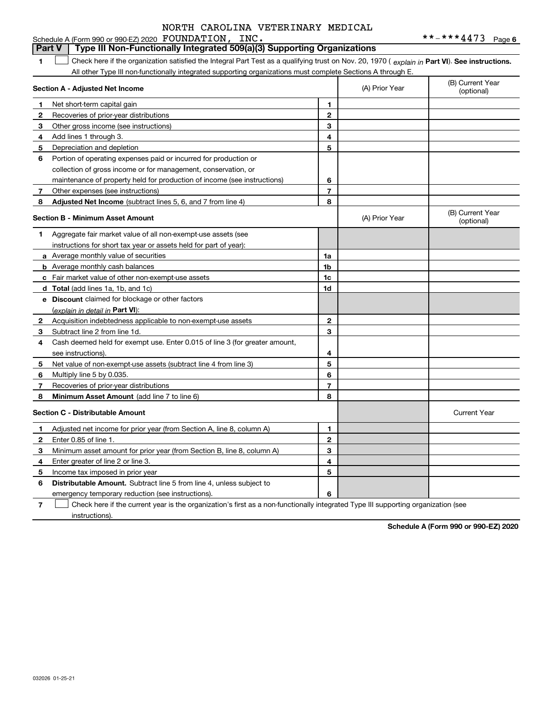#### **1Part VI** Check here if the organization satisfied the Integral Part Test as a qualifying trust on Nov. 20, 1970 ( explain in Part **VI**). See instructions. **Section A - Adjusted Net Income 123** Other gross income (see instructions) **4**Add lines 1 through 3. **56** Portion of operating expenses paid or incurred for production or **78** Adjusted Net Income (subtract lines 5, 6, and 7 from line 4) **8 8 1234567Section B - Minimum Asset Amount 1**Aggregate fair market value of all non-exempt-use assets (see **2**Acquisition indebtedness applicable to non-exempt-use assets **3** Subtract line 2 from line 1d. **4**Cash deemed held for exempt use. Enter 0.015 of line 3 (for greater amount, **5** Net value of non-exempt-use assets (subtract line 4 from line 3) **678a** Average monthly value of securities **b** Average monthly cash balances **c**Fair market value of other non-exempt-use assets **dTotal**  (add lines 1a, 1b, and 1c) **eDiscount** claimed for blockage or other factors **1a1b1c1d2345678**(explain in detail in Part VI): **Minimum Asset Amount**  (add line 7 to line 6) **Section C - Distributable Amount 123456123456Distributable Amount.** Subtract line 5 from line 4, unless subject to All other Type III non-functionally integrated supporting organizations must complete Sections A through E. (B) Current Year (optional)(A) Prior Year Net short-term capital gain Recoveries of prior-year distributions Depreciation and depletion collection of gross income or for management, conservation, or maintenance of property held for production of income (see instructions) Other expenses (see instructions) (B) Current Year (optional)(A) Prior Year instructions for short tax year or assets held for part of year): see instructions). Multiply line 5 by 0.035. Recoveries of prior-year distributions Current Year Adjusted net income for prior year (from Section A, line 8, column A) Enter 0.85 of line 1. Minimum asset amount for prior year (from Section B, line 8, column A) Enter greater of line 2 or line 3. Income tax imposed in prior year emergency temporary reduction (see instructions). **Part V Type III Non-Functionally Integrated 509(a)(3) Supporting Organizations**   $\mathcal{L}^{\text{max}}$

**7**Check here if the current year is the organization's first as a non-functionally integrated Type III supporting organization (see instructions). $\mathcal{L}^{\text{max}}$ 

**Schedule A (Form 990 or 990-EZ) 2020**

032026 01-25-21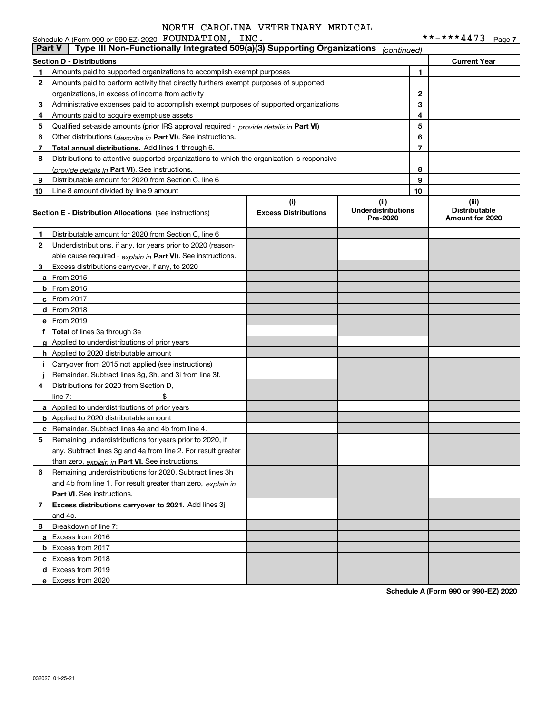|               | Schedule A (Form 990 or 990-EZ) 2020 FOUNDATION, INC.                                      |                                    |                                               |    |                                                  |
|---------------|--------------------------------------------------------------------------------------------|------------------------------------|-----------------------------------------------|----|--------------------------------------------------|
| <b>Part V</b> | Type III Non-Functionally Integrated 509(a)(3) Supporting Organizations                    |                                    | (continued)                                   |    |                                                  |
|               | <b>Section D - Distributions</b>                                                           |                                    |                                               |    | <b>Current Year</b>                              |
| 1.            | Amounts paid to supported organizations to accomplish exempt purposes                      |                                    |                                               | 1. |                                                  |
| 2             | Amounts paid to perform activity that directly furthers exempt purposes of supported       |                                    |                                               |    |                                                  |
|               | organizations, in excess of income from activity                                           |                                    |                                               | 2  |                                                  |
| 3             | Administrative expenses paid to accomplish exempt purposes of supported organizations      |                                    |                                               | 3  |                                                  |
| 4             | Amounts paid to acquire exempt-use assets                                                  |                                    |                                               | 4  |                                                  |
| 5             | Qualified set-aside amounts (prior IRS approval required - provide details in Part VI)     |                                    |                                               | 5  |                                                  |
| 6             | Other distributions ( <i>describe in</i> Part VI). See instructions.                       |                                    |                                               | 6  |                                                  |
| 7             | Total annual distributions. Add lines 1 through 6.                                         |                                    |                                               | 7  |                                                  |
| 8             | Distributions to attentive supported organizations to which the organization is responsive |                                    |                                               |    |                                                  |
|               | (provide details in Part VI). See instructions.                                            |                                    |                                               | 8  |                                                  |
| 9             | Distributable amount for 2020 from Section C, line 6                                       |                                    |                                               | 9  |                                                  |
| 10            | Line 8 amount divided by line 9 amount                                                     |                                    |                                               | 10 |                                                  |
|               | <b>Section E - Distribution Allocations</b> (see instructions)                             | (i)<br><b>Excess Distributions</b> | (ii)<br><b>Underdistributions</b><br>Pre-2020 |    | (iii)<br><b>Distributable</b><br>Amount for 2020 |
| 1             | Distributable amount for 2020 from Section C, line 6                                       |                                    |                                               |    |                                                  |
| 2             | Underdistributions, if any, for years prior to 2020 (reason-                               |                                    |                                               |    |                                                  |
|               | able cause required $\cdot$ explain in Part VI). See instructions.                         |                                    |                                               |    |                                                  |
| 3             | Excess distributions carryover, if any, to 2020                                            |                                    |                                               |    |                                                  |
|               | <b>a</b> From 2015                                                                         |                                    |                                               |    |                                                  |
|               | <b>b</b> From 2016                                                                         |                                    |                                               |    |                                                  |
|               | $c$ From 2017                                                                              |                                    |                                               |    |                                                  |
|               | <b>d</b> From 2018                                                                         |                                    |                                               |    |                                                  |
|               | e From 2019                                                                                |                                    |                                               |    |                                                  |
|               | f Total of lines 3a through 3e                                                             |                                    |                                               |    |                                                  |
|               | g Applied to underdistributions of prior years                                             |                                    |                                               |    |                                                  |
|               | <b>h</b> Applied to 2020 distributable amount                                              |                                    |                                               |    |                                                  |
|               | Carryover from 2015 not applied (see instructions)                                         |                                    |                                               |    |                                                  |
|               | Remainder. Subtract lines 3g, 3h, and 3i from line 3f.                                     |                                    |                                               |    |                                                  |
| 4             | Distributions for 2020 from Section D,                                                     |                                    |                                               |    |                                                  |
|               | \$<br>line $7:$                                                                            |                                    |                                               |    |                                                  |
|               | a Applied to underdistributions of prior years                                             |                                    |                                               |    |                                                  |
|               | <b>b</b> Applied to 2020 distributable amount                                              |                                    |                                               |    |                                                  |
|               | <b>c</b> Remainder. Subtract lines 4a and 4b from line 4.                                  |                                    |                                               |    |                                                  |
|               | Remaining underdistributions for years prior to 2020, if                                   |                                    |                                               |    |                                                  |
|               | any. Subtract lines 3g and 4a from line 2. For result greater                              |                                    |                                               |    |                                                  |
|               | than zero, explain in Part VI. See instructions.                                           |                                    |                                               |    |                                                  |
| 6             | Remaining underdistributions for 2020. Subtract lines 3h                                   |                                    |                                               |    |                                                  |
|               | and 4b from line 1. For result greater than zero, explain in                               |                                    |                                               |    |                                                  |
|               | Part VI. See instructions.                                                                 |                                    |                                               |    |                                                  |
| 7             | Excess distributions carryover to 2021. Add lines 3j                                       |                                    |                                               |    |                                                  |
|               | and 4c.                                                                                    |                                    |                                               |    |                                                  |
| 8             | Breakdown of line 7:                                                                       |                                    |                                               |    |                                                  |
|               | a Excess from 2016                                                                         |                                    |                                               |    |                                                  |
|               | <b>b</b> Excess from 2017                                                                  |                                    |                                               |    |                                                  |
|               | c Excess from 2018                                                                         |                                    |                                               |    |                                                  |
|               | d Excess from 2019                                                                         |                                    |                                               |    |                                                  |
|               | e Excess from 2020                                                                         |                                    |                                               |    |                                                  |

**Schedule A (Form 990 or 990-EZ) 2020**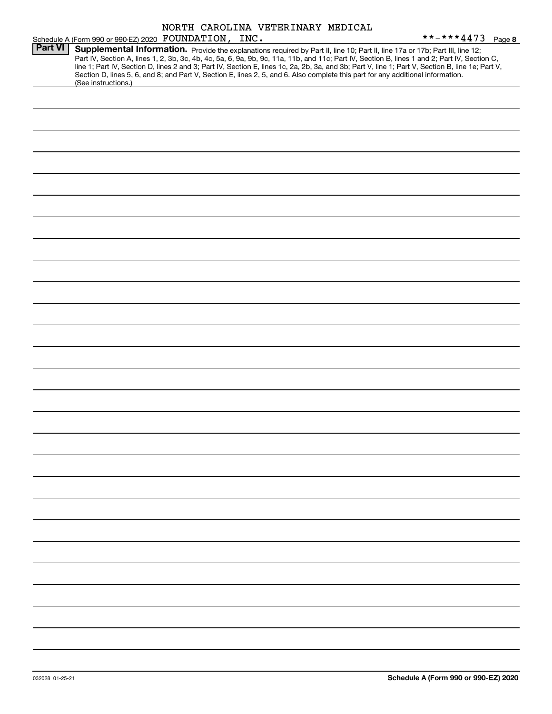|                | NORTH CAROLINA VETERINARY MEDICAL                                                                                                                                                                                                                                                                                                                                                                                                                                                                                                                                                           |                   |
|----------------|---------------------------------------------------------------------------------------------------------------------------------------------------------------------------------------------------------------------------------------------------------------------------------------------------------------------------------------------------------------------------------------------------------------------------------------------------------------------------------------------------------------------------------------------------------------------------------------------|-------------------|
|                | Schedule A (Form 990 or 990-EZ) 2020 FOUNDATION, INC.                                                                                                                                                                                                                                                                                                                                                                                                                                                                                                                                       | **-***4473 Page 8 |
| <b>Part VI</b> | Supplemental Information. Provide the explanations required by Part II, line 10; Part II, line 17a or 17b; Part III, line 12;<br>Part IV, Section A, lines 1, 2, 3b, 3c, 4b, 4c, 5a, 6, 9a, 9b, 9c, 11a, 11b, and 11c; Part IV, Section B, lines 1 and 2; Part IV, Section C,<br>line 1; Part IV, Section D, lines 2 and 3; Part IV, Section E, lines 1c, 2a, 2b, 3a, and 3b; Part V, line 1; Part V, Section B, line 1e; Part V,<br>Section D, lines 5, 6, and 8; and Part V, Section E, lines 2, 5, and 6. Also complete this part for any additional information.<br>(See instructions.) |                   |
|                |                                                                                                                                                                                                                                                                                                                                                                                                                                                                                                                                                                                             |                   |
|                |                                                                                                                                                                                                                                                                                                                                                                                                                                                                                                                                                                                             |                   |
|                |                                                                                                                                                                                                                                                                                                                                                                                                                                                                                                                                                                                             |                   |
|                |                                                                                                                                                                                                                                                                                                                                                                                                                                                                                                                                                                                             |                   |
|                |                                                                                                                                                                                                                                                                                                                                                                                                                                                                                                                                                                                             |                   |
|                |                                                                                                                                                                                                                                                                                                                                                                                                                                                                                                                                                                                             |                   |
|                |                                                                                                                                                                                                                                                                                                                                                                                                                                                                                                                                                                                             |                   |
|                |                                                                                                                                                                                                                                                                                                                                                                                                                                                                                                                                                                                             |                   |
|                |                                                                                                                                                                                                                                                                                                                                                                                                                                                                                                                                                                                             |                   |
|                |                                                                                                                                                                                                                                                                                                                                                                                                                                                                                                                                                                                             |                   |
|                |                                                                                                                                                                                                                                                                                                                                                                                                                                                                                                                                                                                             |                   |
|                |                                                                                                                                                                                                                                                                                                                                                                                                                                                                                                                                                                                             |                   |
|                |                                                                                                                                                                                                                                                                                                                                                                                                                                                                                                                                                                                             |                   |
|                |                                                                                                                                                                                                                                                                                                                                                                                                                                                                                                                                                                                             |                   |
|                |                                                                                                                                                                                                                                                                                                                                                                                                                                                                                                                                                                                             |                   |
|                |                                                                                                                                                                                                                                                                                                                                                                                                                                                                                                                                                                                             |                   |
|                |                                                                                                                                                                                                                                                                                                                                                                                                                                                                                                                                                                                             |                   |
|                |                                                                                                                                                                                                                                                                                                                                                                                                                                                                                                                                                                                             |                   |
|                |                                                                                                                                                                                                                                                                                                                                                                                                                                                                                                                                                                                             |                   |
|                |                                                                                                                                                                                                                                                                                                                                                                                                                                                                                                                                                                                             |                   |
|                |                                                                                                                                                                                                                                                                                                                                                                                                                                                                                                                                                                                             |                   |
|                |                                                                                                                                                                                                                                                                                                                                                                                                                                                                                                                                                                                             |                   |
|                |                                                                                                                                                                                                                                                                                                                                                                                                                                                                                                                                                                                             |                   |
|                |                                                                                                                                                                                                                                                                                                                                                                                                                                                                                                                                                                                             |                   |
|                |                                                                                                                                                                                                                                                                                                                                                                                                                                                                                                                                                                                             |                   |
|                |                                                                                                                                                                                                                                                                                                                                                                                                                                                                                                                                                                                             |                   |
|                |                                                                                                                                                                                                                                                                                                                                                                                                                                                                                                                                                                                             |                   |
|                |                                                                                                                                                                                                                                                                                                                                                                                                                                                                                                                                                                                             |                   |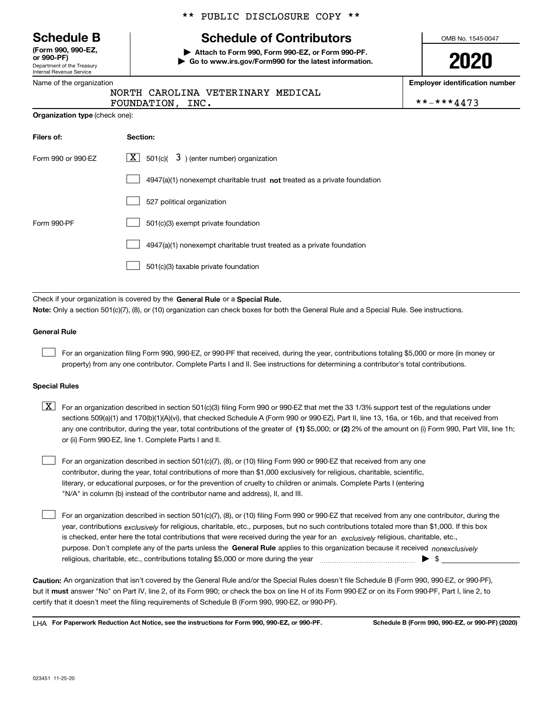Department of the Treasury Internal Revenue Service **(Form 990, 990-EZ, or 990-PF)**

|  | Name of the organization |
|--|--------------------------|
|  |                          |

**Organization type** (check one):

#### \*\* PUBLIC DISCLOSURE COPY \*\*

# **Schedule B Schedule of Contributors**

**| Attach to Form 990, Form 990-EZ, or Form 990-PF. | Go to www.irs.gov/Form990 for the latest information.** OMB No. 1545-0047

**2020**

**Employer identification number**

|             | NORTH CAROLINA VETERINARY MEDICAL |            |
|-------------|-----------------------------------|------------|
| FOUNDATION, |                                   | **-***4473 |

| Filers of:         | Section:                                                                           |
|--------------------|------------------------------------------------------------------------------------|
| Form 990 or 990-EZ | $\lfloor x \rfloor$ 501(c)( 3) (enter number) organization                         |
|                    | $4947(a)(1)$ nonexempt charitable trust <b>not</b> treated as a private foundation |
|                    | 527 political organization                                                         |
| Form 990-PF        | 501(c)(3) exempt private foundation                                                |
|                    | 4947(a)(1) nonexempt charitable trust treated as a private foundation              |
|                    | 501(c)(3) taxable private foundation                                               |

Check if your organization is covered by the **General Rule** or a **Special Rule. Note:**  Only a section 501(c)(7), (8), or (10) organization can check boxes for both the General Rule and a Special Rule. See instructions.

#### **General Rule**

 $\mathcal{L}^{\text{max}}$ 

For an organization filing Form 990, 990-EZ, or 990-PF that received, during the year, contributions totaling \$5,000 or more (in money or property) from any one contributor. Complete Parts I and II. See instructions for determining a contributor's total contributions.

#### **Special Rules**

any one contributor, during the year, total contributions of the greater of  $\,$  (1) \$5,000; or **(2)** 2% of the amount on (i) Form 990, Part VIII, line 1h;  $\boxed{\textbf{X}}$  For an organization described in section 501(c)(3) filing Form 990 or 990-EZ that met the 33 1/3% support test of the regulations under sections 509(a)(1) and 170(b)(1)(A)(vi), that checked Schedule A (Form 990 or 990-EZ), Part II, line 13, 16a, or 16b, and that received from or (ii) Form 990-EZ, line 1. Complete Parts I and II.

For an organization described in section 501(c)(7), (8), or (10) filing Form 990 or 990-EZ that received from any one contributor, during the year, total contributions of more than \$1,000 exclusively for religious, charitable, scientific, literary, or educational purposes, or for the prevention of cruelty to children or animals. Complete Parts I (entering "N/A" in column (b) instead of the contributor name and address), II, and III.  $\mathcal{L}^{\text{max}}$ 

purpose. Don't complete any of the parts unless the **General Rule** applies to this organization because it received *nonexclusively* year, contributions <sub>exclusively</sub> for religious, charitable, etc., purposes, but no such contributions totaled more than \$1,000. If this box is checked, enter here the total contributions that were received during the year for an  $\;$ exclusively religious, charitable, etc., For an organization described in section 501(c)(7), (8), or (10) filing Form 990 or 990-EZ that received from any one contributor, during the religious, charitable, etc., contributions totaling \$5,000 or more during the year  $\Box$ — $\Box$   $\Box$  $\mathcal{L}^{\text{max}}$ 

**Caution:**  An organization that isn't covered by the General Rule and/or the Special Rules doesn't file Schedule B (Form 990, 990-EZ, or 990-PF),  **must** but it answer "No" on Part IV, line 2, of its Form 990; or check the box on line H of its Form 990-EZ or on its Form 990-PF, Part I, line 2, to certify that it doesn't meet the filing requirements of Schedule B (Form 990, 990-EZ, or 990-PF).

**For Paperwork Reduction Act Notice, see the instructions for Form 990, 990-EZ, or 990-PF. Schedule B (Form 990, 990-EZ, or 990-PF) (2020)** LHA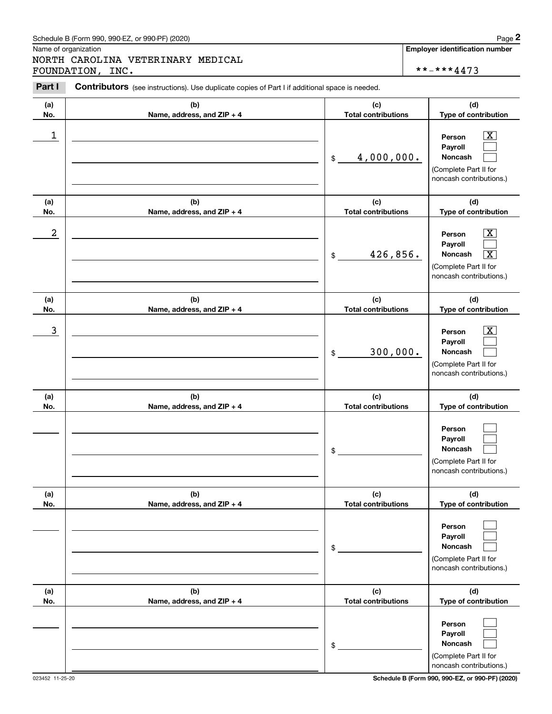# Schedule B (Form 990, 990-EZ, or 990-PF) (2020) Page 2

Name of organization

Chedule B (Form 990, 990-EZ, or 990-PF) (2020)<br> **2Page 2**<br> **2Part I** CAROLINA VETERINARY MEDICAL<br> **2Part I** Contributors (see instructions). Use duplicate copies of Part I if additional space is needed. NORTH CAROLINA VETERINARY MEDICAL FOUNDATION, INC.  $****4473$ 

**Employer identification number**

| Part I           | <b>Contributors</b> (see instructions). Use duplicate copies of Part I if additional space is needed. |                             |                                                                                                                                      |
|------------------|-------------------------------------------------------------------------------------------------------|-----------------------------|--------------------------------------------------------------------------------------------------------------------------------------|
| (a)              | (b)                                                                                                   | (c)                         | (d)                                                                                                                                  |
| No.              | Name, address, and ZIP + 4                                                                            | <b>Total contributions</b>  | Type of contribution                                                                                                                 |
| 1                |                                                                                                       | 4,000,000.<br>$\frac{1}{2}$ | x<br>Person<br>Payroll<br>Noncash<br>(Complete Part II for<br>noncash contributions.)                                                |
| (a)              | (b)                                                                                                   | (c)                         | (d)                                                                                                                                  |
| No.              | Name, address, and ZIP + 4                                                                            | <b>Total contributions</b>  | Type of contribution                                                                                                                 |
| $\boldsymbol{2}$ |                                                                                                       | 426,856.<br>\$              | $\overline{\text{X}}$<br>Person<br>Payroll<br>Noncash<br>$\overline{\mathbf{x}}$<br>(Complete Part II for<br>noncash contributions.) |
| (a)              | (b)                                                                                                   | (c)                         | (d)                                                                                                                                  |
| No.              | Name, address, and ZIP + 4                                                                            | <b>Total contributions</b>  | Type of contribution                                                                                                                 |
| 3                |                                                                                                       | 300,000.<br>\$              | X<br>Person<br>Payroll<br>Noncash<br>(Complete Part II for<br>noncash contributions.)                                                |
| (a)              | (b)                                                                                                   | (c)                         | (d)                                                                                                                                  |
| No.              | Name, address, and ZIP + 4                                                                            | <b>Total contributions</b>  | Type of contribution                                                                                                                 |
|                  |                                                                                                       | \$                          | Person<br>Payroll<br>Noncash<br>(Complete Part II for<br>noncash contributions.)                                                     |
| (a)              | (b)                                                                                                   | (c)                         | (d)                                                                                                                                  |
| No.              | Name, address, and ZIP + 4                                                                            | <b>Total contributions</b>  | Type of contribution                                                                                                                 |
|                  |                                                                                                       | \$                          | Person<br>Payroll<br>Noncash<br>(Complete Part II for<br>noncash contributions.)                                                     |
| (a)              | (b)                                                                                                   | (c)                         | (d)                                                                                                                                  |
| No.              | Name, address, and ZIP + 4                                                                            | <b>Total contributions</b>  | Type of contribution                                                                                                                 |
|                  |                                                                                                       | \$                          | Person<br>Payroll<br>Noncash<br>(Complete Part II for<br>noncash contributions.)                                                     |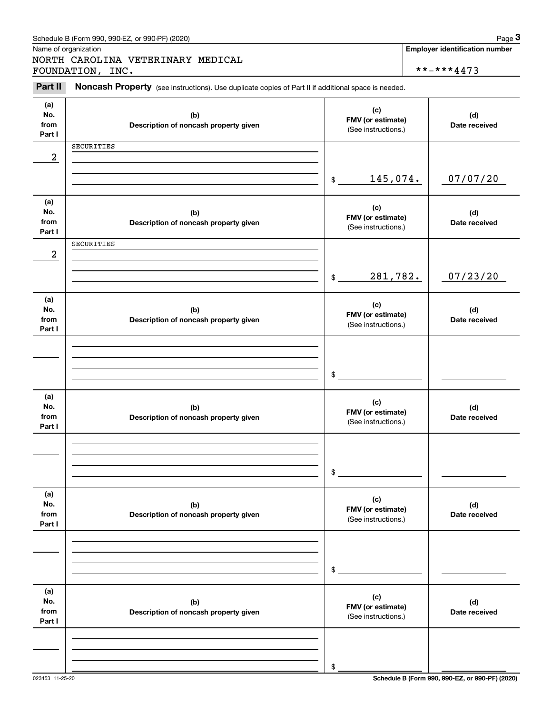|                              | Schedule B (Form 990, 990-EZ, or 990-PF) (2020)                                                     |                                                 |                                                     | Page 3               |
|------------------------------|-----------------------------------------------------------------------------------------------------|-------------------------------------------------|-----------------------------------------------------|----------------------|
|                              | Name of organization<br>NORTH CAROLINA VETERINARY MEDICAL<br>FOUNDATION, INC.                       |                                                 | <b>Employer identification number</b><br>**-***4473 |                      |
| Part II                      | Noncash Property (see instructions). Use duplicate copies of Part II if additional space is needed. |                                                 |                                                     |                      |
| (a)<br>No.<br>from<br>Part I | (b)<br>Description of noncash property given                                                        | (c)<br>FMV (or estimate)<br>(See instructions.) |                                                     | (d)<br>Date received |
| $\boldsymbol{2}$             | SECURITIES                                                                                          |                                                 |                                                     |                      |
|                              |                                                                                                     | 145,074.<br>$$\mathbb{S}$$                      |                                                     | 07/07/20             |
| (a)<br>No.<br>from<br>Part I | (b)<br>Description of noncash property given                                                        | (c)<br>FMV (or estimate)<br>(See instructions.) |                                                     | (d)<br>Date received |
| $\boldsymbol{2}$             | SECURITIES                                                                                          |                                                 |                                                     |                      |
|                              |                                                                                                     | 281,782.<br>$\mathfrak{S}$                      |                                                     | 07/23/20             |
| (a)<br>No.<br>from<br>Part I | (b)<br>Description of noncash property given                                                        | (c)<br>FMV (or estimate)<br>(See instructions.) |                                                     | (d)<br>Date received |
|                              |                                                                                                     |                                                 |                                                     |                      |
|                              |                                                                                                     | \$                                              |                                                     |                      |
| (a)<br>No.<br>from<br>Part I | (b)<br>Description of noncash property given                                                        | (c)<br>FMV (or estimate)<br>(See instructions.) |                                                     | (d)<br>Date received |
|                              |                                                                                                     |                                                 |                                                     |                      |
|                              |                                                                                                     | \$                                              |                                                     |                      |
| (a)<br>No.<br>from<br>Part I | (b)<br>Description of noncash property given                                                        | (c)<br>FMV (or estimate)<br>(See instructions.) |                                                     | (d)<br>Date received |
|                              |                                                                                                     |                                                 |                                                     |                      |
|                              |                                                                                                     | \$                                              |                                                     |                      |
| (a)<br>No.<br>from<br>Part I | (b)<br>Description of noncash property given                                                        | (c)<br>FMV (or estimate)<br>(See instructions.) |                                                     | (d)<br>Date received |
|                              |                                                                                                     |                                                 |                                                     |                      |
|                              |                                                                                                     | \$                                              |                                                     |                      |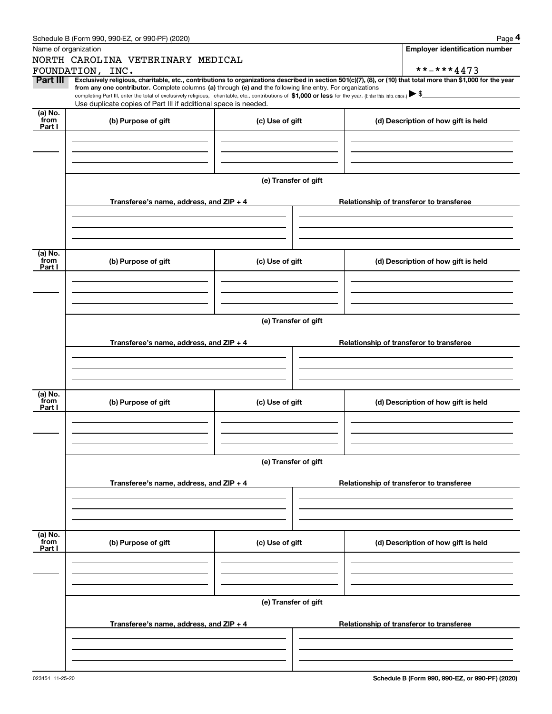|                           | Schedule B (Form 990, 990-EZ, or 990-PF) (2020)                                                                                                                                                                                                      |                      | Page 4                                                                                                                                                         |  |  |  |
|---------------------------|------------------------------------------------------------------------------------------------------------------------------------------------------------------------------------------------------------------------------------------------------|----------------------|----------------------------------------------------------------------------------------------------------------------------------------------------------------|--|--|--|
|                           | Name of organization                                                                                                                                                                                                                                 |                      | <b>Employer identification number</b>                                                                                                                          |  |  |  |
|                           | NORTH CAROLINA VETERINARY MEDICAL                                                                                                                                                                                                                    |                      |                                                                                                                                                                |  |  |  |
|                           | FOUNDATION, INC.                                                                                                                                                                                                                                     |                      | **-***4473                                                                                                                                                     |  |  |  |
| Part III                  | from any one contributor. Complete columns (a) through (e) and the following line entry. For organizations                                                                                                                                           |                      | Exclusively religious, charitable, etc., contributions to organizations described in section 501(c)(7), (8), or (10) that total more than \$1,000 for the year |  |  |  |
|                           | completing Part III, enter the total of exclusively religious, charitable, etc., contributions of \$1,000 or less for the year. (Enter this info. once.) $\blacktriangleright$ \$<br>Use duplicate copies of Part III if additional space is needed. |                      |                                                                                                                                                                |  |  |  |
| (a) No.                   |                                                                                                                                                                                                                                                      |                      |                                                                                                                                                                |  |  |  |
| from<br>Part I            | (b) Purpose of gift                                                                                                                                                                                                                                  | (c) Use of gift      | (d) Description of how gift is held                                                                                                                            |  |  |  |
|                           |                                                                                                                                                                                                                                                      |                      |                                                                                                                                                                |  |  |  |
|                           |                                                                                                                                                                                                                                                      |                      |                                                                                                                                                                |  |  |  |
|                           |                                                                                                                                                                                                                                                      |                      |                                                                                                                                                                |  |  |  |
|                           |                                                                                                                                                                                                                                                      |                      |                                                                                                                                                                |  |  |  |
|                           |                                                                                                                                                                                                                                                      | (e) Transfer of gift |                                                                                                                                                                |  |  |  |
|                           | Transferee's name, address, and $ZIP + 4$                                                                                                                                                                                                            |                      | Relationship of transferor to transferee                                                                                                                       |  |  |  |
|                           |                                                                                                                                                                                                                                                      |                      |                                                                                                                                                                |  |  |  |
|                           |                                                                                                                                                                                                                                                      |                      |                                                                                                                                                                |  |  |  |
|                           |                                                                                                                                                                                                                                                      |                      |                                                                                                                                                                |  |  |  |
| (a) No.                   |                                                                                                                                                                                                                                                      |                      |                                                                                                                                                                |  |  |  |
| from<br>Part I            | (b) Purpose of gift                                                                                                                                                                                                                                  | (c) Use of gift      | (d) Description of how gift is held                                                                                                                            |  |  |  |
|                           |                                                                                                                                                                                                                                                      |                      |                                                                                                                                                                |  |  |  |
|                           |                                                                                                                                                                                                                                                      |                      |                                                                                                                                                                |  |  |  |
|                           |                                                                                                                                                                                                                                                      |                      |                                                                                                                                                                |  |  |  |
|                           |                                                                                                                                                                                                                                                      |                      |                                                                                                                                                                |  |  |  |
|                           | (e) Transfer of gift                                                                                                                                                                                                                                 |                      |                                                                                                                                                                |  |  |  |
|                           | Transferee's name, address, and $ZIP + 4$                                                                                                                                                                                                            |                      | Relationship of transferor to transferee                                                                                                                       |  |  |  |
|                           |                                                                                                                                                                                                                                                      |                      |                                                                                                                                                                |  |  |  |
|                           |                                                                                                                                                                                                                                                      |                      |                                                                                                                                                                |  |  |  |
|                           |                                                                                                                                                                                                                                                      |                      |                                                                                                                                                                |  |  |  |
| (a) No.                   |                                                                                                                                                                                                                                                      |                      |                                                                                                                                                                |  |  |  |
| from<br>Part I            | (b) Purpose of gift                                                                                                                                                                                                                                  | (c) Use of gift      | (d) Description of how gift is held                                                                                                                            |  |  |  |
|                           |                                                                                                                                                                                                                                                      |                      |                                                                                                                                                                |  |  |  |
|                           |                                                                                                                                                                                                                                                      |                      |                                                                                                                                                                |  |  |  |
|                           |                                                                                                                                                                                                                                                      |                      |                                                                                                                                                                |  |  |  |
|                           |                                                                                                                                                                                                                                                      |                      |                                                                                                                                                                |  |  |  |
|                           |                                                                                                                                                                                                                                                      | (e) Transfer of gift |                                                                                                                                                                |  |  |  |
|                           | Transferee's name, address, and $ZIP + 4$                                                                                                                                                                                                            |                      | Relationship of transferor to transferee                                                                                                                       |  |  |  |
|                           |                                                                                                                                                                                                                                                      |                      |                                                                                                                                                                |  |  |  |
|                           |                                                                                                                                                                                                                                                      |                      |                                                                                                                                                                |  |  |  |
|                           |                                                                                                                                                                                                                                                      |                      |                                                                                                                                                                |  |  |  |
|                           |                                                                                                                                                                                                                                                      |                      |                                                                                                                                                                |  |  |  |
| (a) No.<br>from<br>Part I | (b) Purpose of gift                                                                                                                                                                                                                                  | (c) Use of gift      | (d) Description of how gift is held                                                                                                                            |  |  |  |
|                           |                                                                                                                                                                                                                                                      |                      |                                                                                                                                                                |  |  |  |
|                           |                                                                                                                                                                                                                                                      |                      |                                                                                                                                                                |  |  |  |
|                           |                                                                                                                                                                                                                                                      |                      |                                                                                                                                                                |  |  |  |
|                           |                                                                                                                                                                                                                                                      |                      |                                                                                                                                                                |  |  |  |
|                           |                                                                                                                                                                                                                                                      | (e) Transfer of gift |                                                                                                                                                                |  |  |  |
|                           | Transferee's name, address, and $ZIP + 4$                                                                                                                                                                                                            |                      | Relationship of transferor to transferee                                                                                                                       |  |  |  |
|                           |                                                                                                                                                                                                                                                      |                      |                                                                                                                                                                |  |  |  |
|                           |                                                                                                                                                                                                                                                      |                      |                                                                                                                                                                |  |  |  |
|                           |                                                                                                                                                                                                                                                      |                      |                                                                                                                                                                |  |  |  |
|                           |                                                                                                                                                                                                                                                      |                      |                                                                                                                                                                |  |  |  |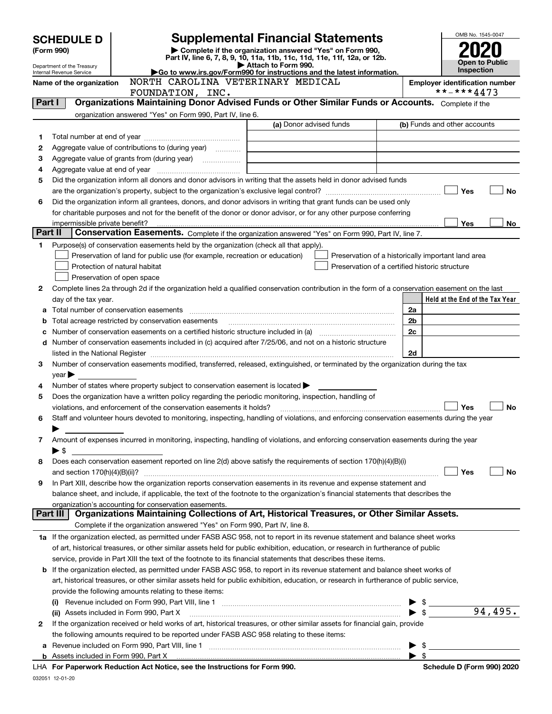| <b>SCHEDULE D</b>                                                                                                                |                                                               |                                                                                                                                                                                                                                         |                                                                                                                       |                                                    |                                       | OMB No. 1545-0047               |
|----------------------------------------------------------------------------------------------------------------------------------|---------------------------------------------------------------|-----------------------------------------------------------------------------------------------------------------------------------------------------------------------------------------------------------------------------------------|-----------------------------------------------------------------------------------------------------------------------|----------------------------------------------------|---------------------------------------|---------------------------------|
| (Form 990)                                                                                                                       |                                                               | <b>Supplemental Financial Statements</b><br>Complete if the organization answered "Yes" on Form 990,                                                                                                                                    |                                                                                                                       |                                                    |                                       |                                 |
|                                                                                                                                  |                                                               | Part IV, line 6, 7, 8, 9, 10, 11a, 11b, 11c, 11d, 11e, 11f, 12a, or 12b.                                                                                                                                                                |                                                                                                                       |                                                    |                                       | <b>Open to Public</b>           |
| Department of the Treasury<br>Go to www.irs.gov/Form990 for instructions and the latest information.<br>Internal Revenue Service |                                                               | Attach to Form 990.                                                                                                                                                                                                                     |                                                                                                                       |                                                    | <b>Inspection</b>                     |                                 |
|                                                                                                                                  | NORTH CAROLINA VETERINARY MEDICAL<br>Name of the organization |                                                                                                                                                                                                                                         |                                                                                                                       |                                                    | <b>Employer identification number</b> |                                 |
|                                                                                                                                  | FOUNDATION, INC.                                              |                                                                                                                                                                                                                                         |                                                                                                                       |                                                    | **-***4473                            |                                 |
| Part I                                                                                                                           |                                                               | Organizations Maintaining Donor Advised Funds or Other Similar Funds or Accounts. Complete if the                                                                                                                                       |                                                                                                                       |                                                    |                                       |                                 |
|                                                                                                                                  |                                                               | organization answered "Yes" on Form 990, Part IV, line 6.                                                                                                                                                                               |                                                                                                                       |                                                    |                                       |                                 |
|                                                                                                                                  |                                                               |                                                                                                                                                                                                                                         | (a) Donor advised funds                                                                                               |                                                    |                                       | (b) Funds and other accounts    |
| 1                                                                                                                                |                                                               |                                                                                                                                                                                                                                         |                                                                                                                       |                                                    |                                       |                                 |
| 2                                                                                                                                |                                                               | Aggregate value of contributions to (during year) <i>mimimal</i>                                                                                                                                                                        |                                                                                                                       |                                                    |                                       |                                 |
| з                                                                                                                                |                                                               |                                                                                                                                                                                                                                         | <u> 1989 - Johann Barn, mars ann an t-Amhainn an t-Amhainn an t-Amhainn an t-Amhainn an t-Amhainn an t-Amhainn an</u> |                                                    |                                       |                                 |
| 4                                                                                                                                |                                                               |                                                                                                                                                                                                                                         |                                                                                                                       |                                                    |                                       |                                 |
| 5                                                                                                                                |                                                               | Did the organization inform all donors and donor advisors in writing that the assets held in donor advised funds                                                                                                                        |                                                                                                                       |                                                    |                                       |                                 |
|                                                                                                                                  |                                                               |                                                                                                                                                                                                                                         |                                                                                                                       |                                                    |                                       | Yes<br>No                       |
| 6                                                                                                                                |                                                               | Did the organization inform all grantees, donors, and donor advisors in writing that grant funds can be used only<br>for charitable purposes and not for the benefit of the donor or donor advisor, or for any other purpose conferring |                                                                                                                       |                                                    |                                       |                                 |
|                                                                                                                                  | impermissible private benefit?                                |                                                                                                                                                                                                                                         |                                                                                                                       |                                                    |                                       | Yes<br>No                       |
| Part II                                                                                                                          |                                                               | Conservation Easements. Complete if the organization answered "Yes" on Form 990, Part IV, line 7.                                                                                                                                       |                                                                                                                       |                                                    |                                       |                                 |
| 1                                                                                                                                |                                                               | Purpose(s) of conservation easements held by the organization (check all that apply).                                                                                                                                                   |                                                                                                                       |                                                    |                                       |                                 |
|                                                                                                                                  |                                                               | Preservation of land for public use (for example, recreation or education)                                                                                                                                                              |                                                                                                                       | Preservation of a historically important land area |                                       |                                 |
|                                                                                                                                  |                                                               | Protection of natural habitat                                                                                                                                                                                                           |                                                                                                                       | Preservation of a certified historic structure     |                                       |                                 |
|                                                                                                                                  |                                                               | Preservation of open space                                                                                                                                                                                                              |                                                                                                                       |                                                    |                                       |                                 |
| 2                                                                                                                                |                                                               | Complete lines 2a through 2d if the organization held a qualified conservation contribution in the form of a conservation easement on the last                                                                                          |                                                                                                                       |                                                    |                                       |                                 |
|                                                                                                                                  | day of the tax year.                                          |                                                                                                                                                                                                                                         |                                                                                                                       |                                                    |                                       | Held at the End of the Tax Year |
| a                                                                                                                                |                                                               |                                                                                                                                                                                                                                         |                                                                                                                       |                                                    | 2a                                    |                                 |
| b                                                                                                                                |                                                               | Total acreage restricted by conservation easements                                                                                                                                                                                      |                                                                                                                       |                                                    | 2b                                    |                                 |
| c                                                                                                                                |                                                               |                                                                                                                                                                                                                                         |                                                                                                                       |                                                    | 2c                                    |                                 |
| d                                                                                                                                |                                                               | Number of conservation easements included in (c) acquired after 7/25/06, and not on a historic structure                                                                                                                                |                                                                                                                       |                                                    |                                       |                                 |
|                                                                                                                                  |                                                               | listed in the National Register [111] Marshall Register [11] Marshall Register [11] Marshall Register [11] Marshall Register [11] Marshall Register [11] Marshall Register [11] Marshall Register [11] Marshall Register [11]           |                                                                                                                       |                                                    | 2d                                    |                                 |
| 3                                                                                                                                |                                                               | Number of conservation easements modified, transferred, released, extinguished, or terminated by the organization during the tax                                                                                                        |                                                                                                                       |                                                    |                                       |                                 |
|                                                                                                                                  | $year \blacktriangleright$                                    |                                                                                                                                                                                                                                         |                                                                                                                       |                                                    |                                       |                                 |
| 4                                                                                                                                |                                                               | Number of states where property subject to conservation easement is located                                                                                                                                                             |                                                                                                                       |                                                    |                                       |                                 |
| 5                                                                                                                                |                                                               | Does the organization have a written policy regarding the periodic monitoring, inspection, handling of                                                                                                                                  |                                                                                                                       |                                                    |                                       |                                 |
|                                                                                                                                  |                                                               | violations, and enforcement of the conservation easements it holds?                                                                                                                                                                     |                                                                                                                       |                                                    |                                       | Yes<br>No                       |
| 6                                                                                                                                |                                                               | Staff and volunteer hours devoted to monitoring, inspecting, handling of violations, and enforcing conservation easements during the year                                                                                               |                                                                                                                       |                                                    |                                       |                                 |
|                                                                                                                                  |                                                               |                                                                                                                                                                                                                                         |                                                                                                                       |                                                    |                                       |                                 |
| 7                                                                                                                                |                                                               | Amount of expenses incurred in monitoring, inspecting, handling of violations, and enforcing conservation easements during the year                                                                                                     |                                                                                                                       |                                                    |                                       |                                 |
|                                                                                                                                  | $\blacktriangleright$ \$                                      |                                                                                                                                                                                                                                         |                                                                                                                       |                                                    |                                       |                                 |
| 8                                                                                                                                |                                                               | Does each conservation easement reported on line 2(d) above satisfy the requirements of section 170(h)(4)(B)(i)                                                                                                                         |                                                                                                                       |                                                    |                                       |                                 |
|                                                                                                                                  |                                                               |                                                                                                                                                                                                                                         |                                                                                                                       |                                                    |                                       | Yes<br>No                       |
| 9                                                                                                                                |                                                               | In Part XIII, describe how the organization reports conservation easements in its revenue and expense statement and                                                                                                                     |                                                                                                                       |                                                    |                                       |                                 |
|                                                                                                                                  |                                                               | balance sheet, and include, if applicable, the text of the footnote to the organization's financial statements that describes the                                                                                                       |                                                                                                                       |                                                    |                                       |                                 |
|                                                                                                                                  | Part III                                                      | organization's accounting for conservation easements.<br>Organizations Maintaining Collections of Art, Historical Treasures, or Other Similar Assets.                                                                                   |                                                                                                                       |                                                    |                                       |                                 |
|                                                                                                                                  |                                                               | Complete if the organization answered "Yes" on Form 990, Part IV, line 8.                                                                                                                                                               |                                                                                                                       |                                                    |                                       |                                 |
|                                                                                                                                  |                                                               | 1a If the organization elected, as permitted under FASB ASC 958, not to report in its revenue statement and balance sheet works                                                                                                         |                                                                                                                       |                                                    |                                       |                                 |
|                                                                                                                                  |                                                               | of art, historical treasures, or other similar assets held for public exhibition, education, or research in furtherance of public                                                                                                       |                                                                                                                       |                                                    |                                       |                                 |
|                                                                                                                                  |                                                               | service, provide in Part XIII the text of the footnote to its financial statements that describes these items.                                                                                                                          |                                                                                                                       |                                                    |                                       |                                 |
| b                                                                                                                                |                                                               | If the organization elected, as permitted under FASB ASC 958, to report in its revenue statement and balance sheet works of                                                                                                             |                                                                                                                       |                                                    |                                       |                                 |
|                                                                                                                                  |                                                               | art, historical treasures, or other similar assets held for public exhibition, education, or research in furtherance of public service,                                                                                                 |                                                                                                                       |                                                    |                                       |                                 |
|                                                                                                                                  |                                                               | provide the following amounts relating to these items:                                                                                                                                                                                  |                                                                                                                       |                                                    |                                       |                                 |
|                                                                                                                                  |                                                               |                                                                                                                                                                                                                                         |                                                                                                                       |                                                    | $\triangleright$ \$                   |                                 |
|                                                                                                                                  |                                                               |                                                                                                                                                                                                                                         |                                                                                                                       |                                                    | $\blacktriangleright$ \$              | 94,495.                         |
| 2                                                                                                                                |                                                               | If the organization received or held works of art, historical treasures, or other similar assets for financial gain, provide                                                                                                            |                                                                                                                       |                                                    |                                       |                                 |
|                                                                                                                                  |                                                               | the following amounts required to be reported under FASB ASC 958 relating to these items:                                                                                                                                               |                                                                                                                       |                                                    |                                       |                                 |
| а                                                                                                                                |                                                               |                                                                                                                                                                                                                                         |                                                                                                                       |                                                    |                                       | $\blacktriangleright$ \$        |
| b                                                                                                                                |                                                               |                                                                                                                                                                                                                                         |                                                                                                                       |                                                    | $\blacktriangleright$ s               |                                 |
|                                                                                                                                  |                                                               | LHA For Paperwork Reduction Act Notice, see the Instructions for Form 990.                                                                                                                                                              |                                                                                                                       |                                                    |                                       | Schedule D (Form 990) 2020      |

032051 12-01-20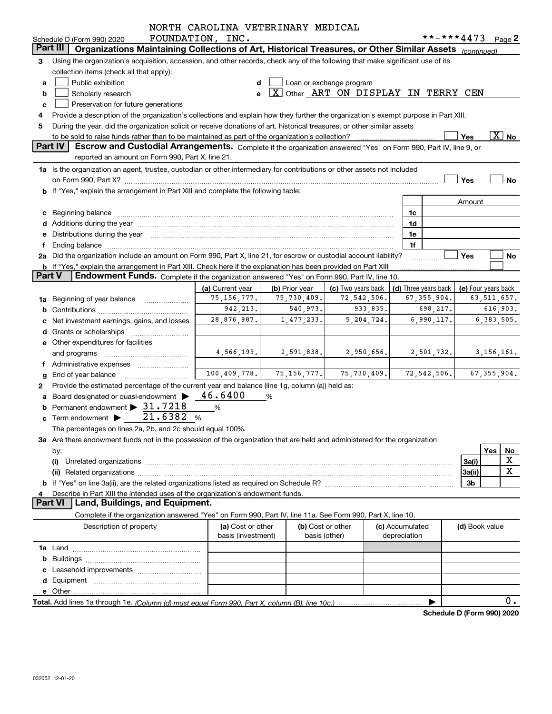|               |                                                                                                                                      | NORTH CAROLINA VETERINARY MEDICAL |                |                                               |                      |               |                |                            |
|---------------|--------------------------------------------------------------------------------------------------------------------------------------|-----------------------------------|----------------|-----------------------------------------------|----------------------|---------------|----------------|----------------------------|
|               | Schedule D (Form 990) 2020                                                                                                           | FOUNDATION, INC.                  |                |                                               |                      | **-***4473    |                | Page 2                     |
|               | Part III<br>Organizations Maintaining Collections of Art, Historical Treasures, or Other Similar Assets (continued)                  |                                   |                |                                               |                      |               |                |                            |
| 3             | Using the organization's acquisition, accession, and other records, check any of the following that make significant use of its      |                                   |                |                                               |                      |               |                |                            |
|               | collection items (check all that apply):                                                                                             |                                   |                |                                               |                      |               |                |                            |
| а             | Public exhibition                                                                                                                    |                                   |                | Loan or exchange program                      |                      |               |                |                            |
| b             | Scholarly research                                                                                                                   | e                                 |                | $\boxed{X}$ Other ART ON DISPLAY IN TERRY CEN |                      |               |                |                            |
| c             | Preservation for future generations                                                                                                  |                                   |                |                                               |                      |               |                |                            |
| 4             | Provide a description of the organization's collections and explain how they further the organization's exempt purpose in Part XIII. |                                   |                |                                               |                      |               |                |                            |
| 5             | During the year, did the organization solicit or receive donations of art, historical treasures, or other similar assets             |                                   |                |                                               |                      |               |                |                            |
|               |                                                                                                                                      |                                   |                |                                               |                      |               | Yes            | $\boxed{\text{X}}$ No      |
|               | <b>Part IV</b><br>Escrow and Custodial Arrangements. Complete if the organization answered "Yes" on Form 990, Part IV, line 9, or    |                                   |                |                                               |                      |               |                |                            |
|               | reported an amount on Form 990, Part X, line 21.                                                                                     |                                   |                |                                               |                      |               |                |                            |
|               | 1a Is the organization an agent, trustee, custodian or other intermediary for contributions or other assets not included             |                                   |                |                                               |                      |               |                |                            |
|               |                                                                                                                                      |                                   |                |                                               |                      |               | Yes            | <b>No</b>                  |
|               | b If "Yes," explain the arrangement in Part XIII and complete the following table:                                                   |                                   |                |                                               |                      |               |                |                            |
|               |                                                                                                                                      |                                   |                |                                               |                      |               | Amount         |                            |
|               | c Beginning balance                                                                                                                  |                                   |                |                                               | 1c                   |               |                |                            |
|               |                                                                                                                                      |                                   |                |                                               | 1d                   |               |                |                            |
|               | e Distributions during the year manufactured and continuum and contract the year manufactured and contract the                       |                                   |                |                                               | 1e                   |               |                |                            |
| f             |                                                                                                                                      |                                   |                |                                               | 1f                   |               |                |                            |
|               | 2a Did the organization include an amount on Form 990, Part X, line 21, for escrow or custodial account liability?                   |                                   |                |                                               |                      |               | Yes            | No                         |
|               | b If "Yes," explain the arrangement in Part XIII. Check here if the explanation has been provided on Part XIII                       |                                   |                |                                               |                      |               |                |                            |
| <b>Part V</b> | Endowment Funds. Complete if the organization answered "Yes" on Form 990, Part IV, line 10.                                          |                                   |                |                                               |                      |               |                |                            |
|               |                                                                                                                                      | (a) Current year                  | (b) Prior year | (c) Two years back                            | (d) Three years back |               |                | (e) Four years back        |
|               | 1a Beginning of year balance                                                                                                         | 75, 156, 777.                     | 75,730,409.    | 72,542,506.                                   |                      | 67, 355, 904. |                | 63, 511, 657.              |
|               |                                                                                                                                      | 942, 213.                         | 540,973.       | 933,835.                                      |                      | 698,217.      |                | 616,903.                   |
| с             | Net investment earnings, gains, and losses                                                                                           | 28,876,987.                       | 1,477,233.     | 5,204,724.                                    |                      | 6,990,117.    |                | 6,383,505.                 |
|               | d Grants or scholarships <i></i>                                                                                                     |                                   |                |                                               |                      |               |                |                            |
|               | e Other expenditures for facilities                                                                                                  |                                   |                |                                               |                      |               |                |                            |
|               | and programs                                                                                                                         | 4,566,199.                        | 2,591,838.     | 2,950,656.                                    |                      | 2,501,732.    |                | 3, 156, 161.               |
|               | f Administrative expenses <i></i>                                                                                                    |                                   |                |                                               |                      |               |                |                            |
| g             | End of year balance                                                                                                                  | 100, 409, 778.                    | 75, 156, 777.  | 75, 730, 409.                                 |                      | 72, 542, 506. |                | 67, 355, 904.              |
| 2             | Provide the estimated percentage of the current year end balance (line 1g, column (a)) held as:                                      |                                   |                |                                               |                      |               |                |                            |
|               | a Board designated or quasi-endowment >                                                                                              | 46.6400                           | %              |                                               |                      |               |                |                            |
|               | Permanent endowment > 31.7218                                                                                                        | %                                 |                |                                               |                      |               |                |                            |
|               | c Term endowment $\blacktriangleright$ $\_\_$ 21.6382                                                                                | %                                 |                |                                               |                      |               |                |                            |
|               | The percentages on lines 2a, 2b, and 2c should equal 100%.                                                                           |                                   |                |                                               |                      |               |                |                            |
|               | 3a Are there endowment funds not in the possession of the organization that are held and administered for the organization           |                                   |                |                                               |                      |               |                |                            |
|               | by:                                                                                                                                  |                                   |                |                                               |                      |               |                | Yes<br>No                  |
|               | (i)                                                                                                                                  |                                   |                |                                               |                      |               | 3a(i)          | х                          |
|               | (ii)                                                                                                                                 |                                   |                |                                               |                      |               | 3a(ii)         | x                          |
|               |                                                                                                                                      |                                   |                |                                               |                      |               | 3b             |                            |
| 4             | Describe in Part XIII the intended uses of the organization's endowment funds.                                                       |                                   |                |                                               |                      |               |                |                            |
|               | <b>Part VI</b><br>Land, Buildings, and Equipment.                                                                                    |                                   |                |                                               |                      |               |                |                            |
|               | Complete if the organization answered "Yes" on Form 990, Part IV, line 11a. See Form 990, Part X, line 10.                           |                                   |                |                                               |                      |               |                |                            |
|               | Description of property                                                                                                              | (a) Cost or other                 |                | (b) Cost or other                             | (c) Accumulated      |               | (d) Book value |                            |
|               |                                                                                                                                      | basis (investment)                |                | basis (other)                                 | depreciation         |               |                |                            |
|               |                                                                                                                                      |                                   |                |                                               |                      |               |                |                            |
| b             |                                                                                                                                      |                                   |                |                                               |                      |               |                |                            |
|               |                                                                                                                                      |                                   |                |                                               |                      |               |                |                            |
| d             |                                                                                                                                      |                                   |                |                                               |                      |               |                |                            |
|               |                                                                                                                                      |                                   |                |                                               |                      |               |                |                            |
|               |                                                                                                                                      |                                   |                |                                               |                      |               |                | 0.                         |
|               |                                                                                                                                      |                                   |                |                                               |                      |               |                | Schedule D (Form 990) 2020 |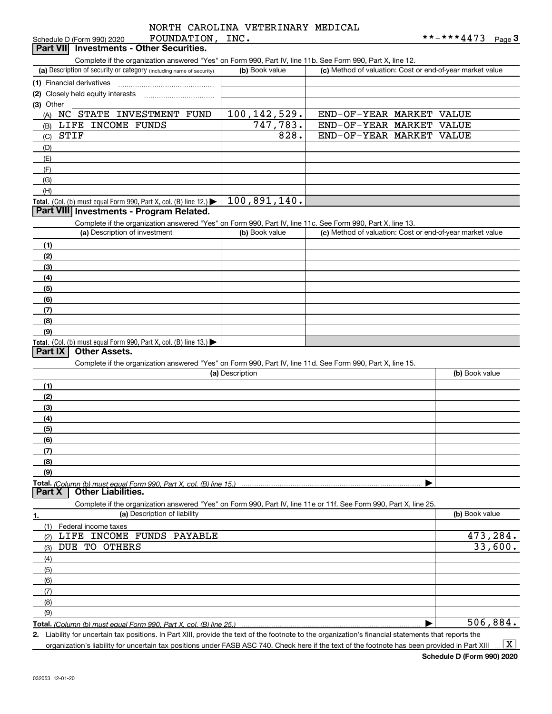|                       |             | NORTH CAROLINA VETERINARY MEDICAL |  |
|-----------------------|-------------|-----------------------------------|--|
|                       |             |                                   |  |
| <b>DOIDID A MTONI</b> | <b>TNTA</b> |                                   |  |

| FOUNDATION,<br>Schedule D (Form 990) 2020                                                                                                            | INC.            | **-***4473                                                | $Page$ <sup>3</sup> |
|------------------------------------------------------------------------------------------------------------------------------------------------------|-----------------|-----------------------------------------------------------|---------------------|
| <b>Investments - Other Securities.</b><br><b>Part VII</b>                                                                                            |                 |                                                           |                     |
| Complete if the organization answered "Yes" on Form 990, Part IV, line 11b. See Form 990, Part X, line 12.                                           |                 |                                                           |                     |
| (a) Description of security or category (including name of security)                                                                                 | (b) Book value  | (c) Method of valuation: Cost or end-of-year market value |                     |
|                                                                                                                                                      |                 |                                                           |                     |
| (1) Financial derivatives                                                                                                                            |                 |                                                           |                     |
| (2) Closely held equity interests                                                                                                                    |                 |                                                           |                     |
| (3) Other                                                                                                                                            |                 |                                                           |                     |
| NC STATE INVESTMENT FUND<br>(A)                                                                                                                      | 100, 142, 529.  | END-OF-YEAR MARKET<br>VALUE                               |                     |
| LIFE INCOME FUNDS<br>(B)                                                                                                                             | 747,783.        | END-OF-YEAR MARKET<br>VALUE                               |                     |
| STIF<br>(C)                                                                                                                                          | 828.            | END-OF-YEAR MARKET<br><b>VALUE</b>                        |                     |
| (D)                                                                                                                                                  |                 |                                                           |                     |
| (E)                                                                                                                                                  |                 |                                                           |                     |
|                                                                                                                                                      |                 |                                                           |                     |
| (F)                                                                                                                                                  |                 |                                                           |                     |
| (G)                                                                                                                                                  |                 |                                                           |                     |
| (H)                                                                                                                                                  |                 |                                                           |                     |
| Total. (Col. (b) must equal Form 990, Part X, col. (B) line 12.) $\blacktriangleright$                                                               | 100,891,140.    |                                                           |                     |
| Part VIII Investments - Program Related.                                                                                                             |                 |                                                           |                     |
| Complete if the organization answered "Yes" on Form 990, Part IV, line 11c. See Form 990, Part X, line 13.                                           |                 |                                                           |                     |
| (a) Description of investment                                                                                                                        | (b) Book value  | (c) Method of valuation: Cost or end-of-year market value |                     |
| (1)                                                                                                                                                  |                 |                                                           |                     |
|                                                                                                                                                      |                 |                                                           |                     |
| (2)                                                                                                                                                  |                 |                                                           |                     |
| (3)                                                                                                                                                  |                 |                                                           |                     |
| (4)                                                                                                                                                  |                 |                                                           |                     |
| (5)                                                                                                                                                  |                 |                                                           |                     |
| (6)                                                                                                                                                  |                 |                                                           |                     |
| (7)                                                                                                                                                  |                 |                                                           |                     |
| (8)                                                                                                                                                  |                 |                                                           |                     |
| (9)                                                                                                                                                  |                 |                                                           |                     |
| Total. (Col. (b) must equal Form 990, Part X, col. (B) line 13.)                                                                                     |                 |                                                           |                     |
| <b>Other Assets.</b><br>Part IX                                                                                                                      |                 |                                                           |                     |
|                                                                                                                                                      |                 |                                                           |                     |
| Complete if the organization answered "Yes" on Form 990, Part IV, line 11d. See Form 990, Part X, line 15.                                           |                 |                                                           |                     |
|                                                                                                                                                      | (a) Description | (b) Book value                                            |                     |
| (1)                                                                                                                                                  |                 |                                                           |                     |
| (2)                                                                                                                                                  |                 |                                                           |                     |
| (3)                                                                                                                                                  |                 |                                                           |                     |
| (4)                                                                                                                                                  |                 |                                                           |                     |
| (5)                                                                                                                                                  |                 |                                                           |                     |
|                                                                                                                                                      |                 |                                                           |                     |
| (6)                                                                                                                                                  |                 |                                                           |                     |
| (7)                                                                                                                                                  |                 |                                                           |                     |
| (8)                                                                                                                                                  |                 |                                                           |                     |
| (9)                                                                                                                                                  |                 |                                                           |                     |
|                                                                                                                                                      |                 |                                                           |                     |
| <b>Other Liabilities.</b><br>Part <sub>X</sub>                                                                                                       |                 |                                                           |                     |
| Complete if the organization answered "Yes" on Form 990, Part IV, line 11e or 11f. See Form 990, Part X, line 25.                                    |                 |                                                           |                     |
| (a) Description of liability<br>1.                                                                                                                   |                 | (b) Book value                                            |                     |
|                                                                                                                                                      |                 |                                                           |                     |
| (1)<br>Federal income taxes<br>LIFE INCOME FUNDS PAYABLE                                                                                             |                 |                                                           |                     |
| (2)                                                                                                                                                  |                 |                                                           | 473,284.            |
| DUE TO OTHERS<br>(3)                                                                                                                                 |                 |                                                           | 33,600.             |
| (4)                                                                                                                                                  |                 |                                                           |                     |
| (5)                                                                                                                                                  |                 |                                                           |                     |
| (6)                                                                                                                                                  |                 |                                                           |                     |
| (7)                                                                                                                                                  |                 |                                                           |                     |
| (8)                                                                                                                                                  |                 |                                                           |                     |
|                                                                                                                                                      |                 |                                                           |                     |
| (9)                                                                                                                                                  |                 |                                                           |                     |
|                                                                                                                                                      |                 |                                                           | 506,884.            |
| 2. Liability for uncertain tax positions. In Part XIII, provide the text of the footnote to the organization's financial statements that reports the |                 |                                                           |                     |

organization's liability for uncertain tax positions under FASB ASC 740. Check here if the text of the footnote has been provided in Part XIII  $\,\ldots\,$   $\overline{\rm X}$ 

**Schedule D (Form 990) 2020**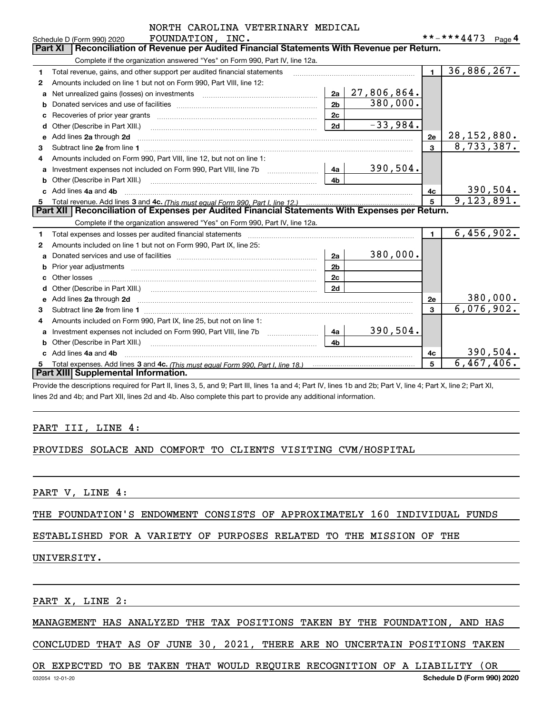|   | NORTH CAROLINA VETERINARY MEDICAL                                                                                     |                |             |                |                          |  |  |  |  |  |
|---|-----------------------------------------------------------------------------------------------------------------------|----------------|-------------|----------------|--------------------------|--|--|--|--|--|
|   | FOUNDATION, INC.<br>Schedule D (Form 990) 2020                                                                        |                |             |                | **-***4473 Page 4        |  |  |  |  |  |
|   | Reconciliation of Revenue per Audited Financial Statements With Revenue per Return.<br><b>Part XI</b>                 |                |             |                |                          |  |  |  |  |  |
|   | Complete if the organization answered "Yes" on Form 990, Part IV, line 12a.                                           |                |             |                |                          |  |  |  |  |  |
| 1 | Total revenue, gains, and other support per audited financial statements                                              |                |             | $\blacksquare$ | 36,886,267.              |  |  |  |  |  |
| 2 | Amounts included on line 1 but not on Form 990, Part VIII, line 12:                                                   |                |             |                |                          |  |  |  |  |  |
| a | Net unrealized gains (losses) on investments [11] matter contracts and the unrealized gains (losses) on investments   | 2a             | 27,806,864. |                |                          |  |  |  |  |  |
|   |                                                                                                                       | 2 <sub>b</sub> | 380,000.    |                |                          |  |  |  |  |  |
|   |                                                                                                                       | 2c             |             |                |                          |  |  |  |  |  |
| d | Other (Describe in Part XIII.) <b>Construction Contract Construction</b> Chern Construction Construction Construction | 2d             | $-33,984.$  |                |                          |  |  |  |  |  |
| e | Add lines 2a through 2d                                                                                               |                |             | 2e             | 28, 152, 880.            |  |  |  |  |  |
| З |                                                                                                                       |                |             | $\mathbf{a}$   | $\overline{8,733,387}$ . |  |  |  |  |  |
| 4 | Amounts included on Form 990, Part VIII, line 12, but not on line 1:                                                  |                |             |                |                          |  |  |  |  |  |
| a |                                                                                                                       | 4a             | 390,504.    |                |                          |  |  |  |  |  |
|   |                                                                                                                       | 4b             |             |                |                          |  |  |  |  |  |
|   | Add lines 4a and 4b                                                                                                   |                |             | 4c             | 390,504.                 |  |  |  |  |  |
| 5 |                                                                                                                       | 5              | 9,123,891.  |                |                          |  |  |  |  |  |
|   | Part XII   Reconciliation of Expenses per Audited Financial Statements With Expenses per Return.                      |                |             |                |                          |  |  |  |  |  |
|   | Complete if the organization answered "Yes" on Form 990, Part IV, line 12a.                                           |                |             |                |                          |  |  |  |  |  |
| 1 |                                                                                                                       |                |             | $\blacksquare$ | 6,456,902.               |  |  |  |  |  |
| 2 | Amounts included on line 1 but not on Form 990, Part IX, line 25:                                                     |                |             |                |                          |  |  |  |  |  |
| a |                                                                                                                       | 2a             | 380,000.    |                |                          |  |  |  |  |  |
| b |                                                                                                                       | 2 <sub>b</sub> |             |                |                          |  |  |  |  |  |
|   | Other losses                                                                                                          | 2c             |             |                |                          |  |  |  |  |  |
|   |                                                                                                                       | 2d             |             |                |                          |  |  |  |  |  |
|   |                                                                                                                       |                |             | 2e             | 380,000.                 |  |  |  |  |  |
| з |                                                                                                                       |                |             | 3              | 6,076,902.               |  |  |  |  |  |
| 4 | Amounts included on Form 990, Part IX, line 25, but not on line 1:                                                    |                |             |                |                          |  |  |  |  |  |
| a | Investment expenses not included on Form 990, Part VIII, line 7b                                                      | 4a             | 390,504.    |                |                          |  |  |  |  |  |
| b |                                                                                                                       | 4b             |             |                |                          |  |  |  |  |  |
|   | Add lines 4a and 4b                                                                                                   |                |             | 4c             | 390,504.                 |  |  |  |  |  |
|   |                                                                                                                       |                |             | 5              | 6,467,406.               |  |  |  |  |  |
|   | Part XIII Supplemental Information.                                                                                   |                |             |                |                          |  |  |  |  |  |

Provide the descriptions required for Part II, lines 3, 5, and 9; Part III, lines 1a and 4; Part IV, lines 1b and 2b; Part V, line 4; Part X, line 2; Part XI, lines 2d and 4b; and Part XII, lines 2d and 4b. Also complete this part to provide any additional information.

# PART III, LINE 4:

#### PROVIDES SOLACE AND COMFORT TO CLIENTS VISITING CVM/HOSPITAL

PART V, LINE 4:

THE FOUNDATION'S ENDOWMENT CONSISTS OF APPROXIMATELY 160 INDIVIDUAL FUNDS

#### ESTABLISHED FOR A VARIETY OF PURPOSES RELATED TO THE MISSION OF THE

#### UNIVERSITY.

PART X, LINE 2:

# MANAGEMENT HAS ANALYZED THE TAX POSITIONS TAKEN BY THE FOUNDATION, AND HAS

CONCLUDED THAT AS OF JUNE 30, 2021, THERE ARE NO UNCERTAIN POSITIONS TAKEN

#### OR EXPECTED TO BE TAKEN THAT WOULD REQUIRE RECOGNITION OF A LIABILITY (OR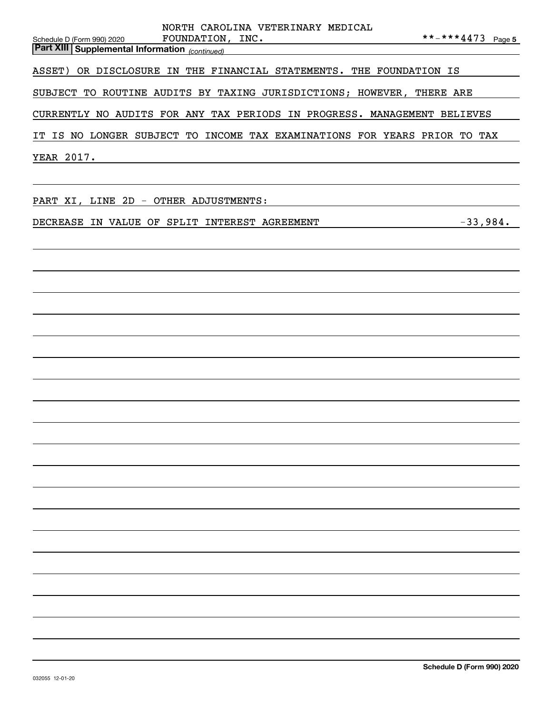| NORTH CAROLINA VETERINARY MEDICAL                                                                                                       |
|-----------------------------------------------------------------------------------------------------------------------------------------|
| **-***4473 Page 5<br>FOUNDATION, INC.<br>Schedule D (Form 990) 2020<br><b>Part XIII</b> Supplemental Information <sub>(continued)</sub> |
| ASSET) OR DISCLOSURE IN THE FINANCIAL STATEMENTS. THE FOUNDATION IS                                                                     |
| SUBJECT TO ROUTINE AUDITS BY TAXING JURISDICTIONS; HOWEVER, THERE ARE                                                                   |
| CURRENTLY NO AUDITS FOR ANY TAX PERIODS IN PROGRESS. MANAGEMENT BELIEVES                                                                |
| IT IS NO LONGER SUBJECT TO INCOME TAX EXAMINATIONS FOR YEARS PRIOR TO TAX                                                               |
| YEAR 2017.<br><u> 2008 - Andrea State Barbara, amerikan personal di sebagai personal di sebagai personal di sebagai personal d</u>      |
| PART XI, LINE 2D - OTHER ADJUSTMENTS:                                                                                                   |
| $-33,984.$<br>DECREASE IN VALUE OF SPLIT INTEREST AGREEMENT                                                                             |
|                                                                                                                                         |
|                                                                                                                                         |
|                                                                                                                                         |
|                                                                                                                                         |
|                                                                                                                                         |
|                                                                                                                                         |
|                                                                                                                                         |
|                                                                                                                                         |
|                                                                                                                                         |
|                                                                                                                                         |
|                                                                                                                                         |
|                                                                                                                                         |
|                                                                                                                                         |
|                                                                                                                                         |
|                                                                                                                                         |
|                                                                                                                                         |
|                                                                                                                                         |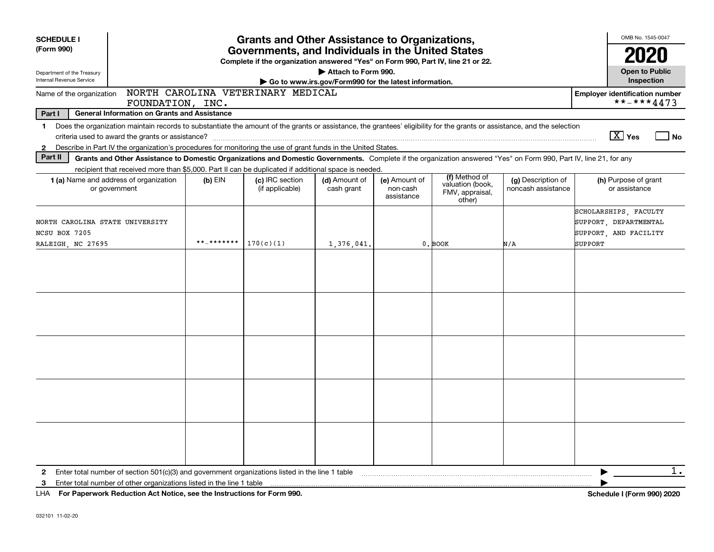| <b>SCHEDULE I</b><br>(Form 990)<br>Department of the Treasury<br>Internal Revenue Service                                                                                                                                                                                                                                  | <b>Grants and Other Assistance to Organizations,</b><br>Governments, and Individuals in the United States<br>Complete if the organization answered "Yes" on Form 990, Part IV, line 21 or 22.<br>Attach to Form 990.<br>Go to www.irs.gov/Form990 for the latest information. |                                    |                             |                                         |                                                                |                                          |                                                                                    |  |  |
|----------------------------------------------------------------------------------------------------------------------------------------------------------------------------------------------------------------------------------------------------------------------------------------------------------------------------|-------------------------------------------------------------------------------------------------------------------------------------------------------------------------------------------------------------------------------------------------------------------------------|------------------------------------|-----------------------------|-----------------------------------------|----------------------------------------------------------------|------------------------------------------|------------------------------------------------------------------------------------|--|--|
| NORTH CAROLINA VETERINARY MEDICAL<br>Name of the organization                                                                                                                                                                                                                                                              | <b>Employer identification number</b>                                                                                                                                                                                                                                         |                                    |                             |                                         |                                                                |                                          |                                                                                    |  |  |
| Part I                                                                                                                                                                                                                                                                                                                     | FOUNDATION, INC.<br><b>General Information on Grants and Assistance</b>                                                                                                                                                                                                       |                                    |                             |                                         |                                                                |                                          | **-***4473                                                                         |  |  |
| Does the organization maintain records to substantiate the amount of the grants or assistance, the grantees' eligibility for the grants or assistance, and the selection<br>1.<br>Describe in Part IV the organization's procedures for monitoring the use of grant funds in the United States.<br>$\mathbf{2}$<br>Part II | Grants and Other Assistance to Domestic Organizations and Domestic Governments. Complete if the organization answered "Yes" on Form 990, Part IV, line 21, for any<br>recipient that received more than \$5,000. Part II can be duplicated if additional space is needed.     |                                    |                             |                                         |                                                                |                                          | $\boxed{\text{X}}$ Yes<br>l No                                                     |  |  |
| <b>1 (a)</b> Name and address of organization<br>or government                                                                                                                                                                                                                                                             | $(b)$ EIN                                                                                                                                                                                                                                                                     | (c) IRC section<br>(if applicable) | (d) Amount of<br>cash grant | (e) Amount of<br>non-cash<br>assistance | (f) Method of<br>valuation (book,<br>FMV, appraisal,<br>other) | (g) Description of<br>noncash assistance | (h) Purpose of grant<br>or assistance                                              |  |  |
| NORTH CAROLINA STATE UNIVERSITY<br>NCSU BOX 7205<br>RALEIGH, NC 27695                                                                                                                                                                                                                                                      | **_*******                                                                                                                                                                                                                                                                    | 170(c)(1)                          | 1,376,041                   |                                         | 0. BOOK                                                        | N/A                                      | SCHOLARSHIPS, FACULTY<br>SUPPORT, DEPARTMENTAL<br>SUPPORT, AND FACILITY<br>SUPPORT |  |  |
|                                                                                                                                                                                                                                                                                                                            |                                                                                                                                                                                                                                                                               |                                    |                             |                                         |                                                                |                                          |                                                                                    |  |  |
|                                                                                                                                                                                                                                                                                                                            |                                                                                                                                                                                                                                                                               |                                    |                             |                                         |                                                                |                                          |                                                                                    |  |  |
|                                                                                                                                                                                                                                                                                                                            |                                                                                                                                                                                                                                                                               |                                    |                             |                                         |                                                                |                                          |                                                                                    |  |  |
|                                                                                                                                                                                                                                                                                                                            |                                                                                                                                                                                                                                                                               |                                    |                             |                                         |                                                                |                                          |                                                                                    |  |  |
|                                                                                                                                                                                                                                                                                                                            |                                                                                                                                                                                                                                                                               |                                    |                             |                                         |                                                                |                                          |                                                                                    |  |  |
| Enter total number of section $501(c)(3)$ and government organizations listed in the line 1 table<br>$\mathbf{2}$<br>Enter total number of other organizations listed in the line 1 table<br>3                                                                                                                             |                                                                                                                                                                                                                                                                               |                                    |                             |                                         |                                                                |                                          | 1.                                                                                 |  |  |
| LHA For Paperwork Reduction Act Notice, see the Instructions for Form 990.                                                                                                                                                                                                                                                 |                                                                                                                                                                                                                                                                               |                                    |                             |                                         |                                                                |                                          | <b>Schedule I (Form 990) 2020</b>                                                  |  |  |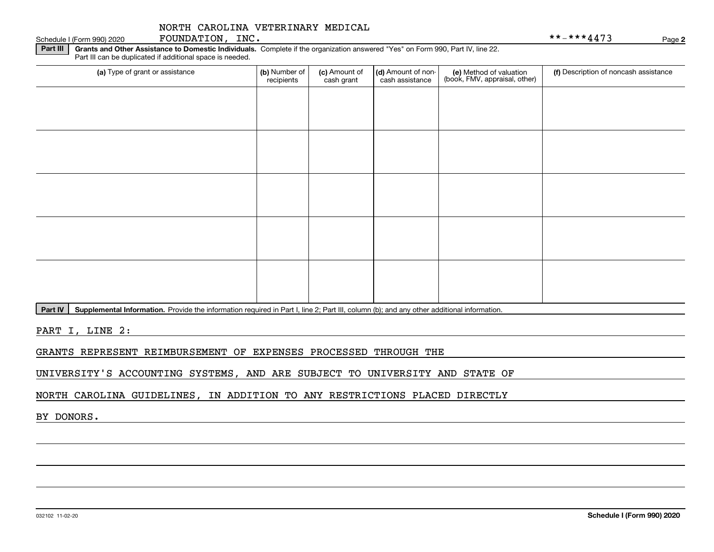**Part III | Grants and Other Assistance to Domestic Individuals. Complete if the organization answered "Yes" on Form 990, Part IV, line 22.** (a) Type of grant or assistance **(b)** Number of **(c)** Amount of **(d)** Amount of non-**(e)** Method of valuation (f)<br>cash are continuous cash are cash assistance (book, FMV, appraisal, other) Part III can be duplicated if additional space is needed. (a) Type of grant or assistance  $\vert$  (b) Number of recipients(c) Amount of cash grant (d) Amount of noncash assistance

Part IV | Supplemental Information. Provide the information required in Part I, line 2; Part III, column (b); and any other additional information.

PART I, LINE 2:

GRANTS REPRESENT REIMBURSEMENT OF EXPENSES PROCESSED THROUGH THE

UNIVERSITY'S ACCOUNTING SYSTEMS, AND ARE SUBJECT TO UNIVERSITY AND STATE OF

NORTH CAROLINA GUIDELINES, IN ADDITION TO ANY RESTRICTIONS PLACED DIRECTLY

BY DONORS.

Schedule I (Form 990) 2020  ${\hbox{FOUNDATION}}$  ,  $\hbox{INC}$  .  $\hbox{NIC}$  ,  $\hbox{NIC}$  ,  $\hbox{Solvability}$  ,  $\hbox{NIC}$  ,  $\hbox{Solvability}$  ,  $\hbox{NIC}$  ,  $\hbox{Solvability}$  ,  $\hbox{Solvability}$  ,  $\hbox{Solvability}$  ,  $\hbox{Solvability}$  ,  $\hbox{Solvability}$  ,  $\hbox{Solvability}$  ,  $\hbox{Solvability}$  ,

(f) Description of noncash assistance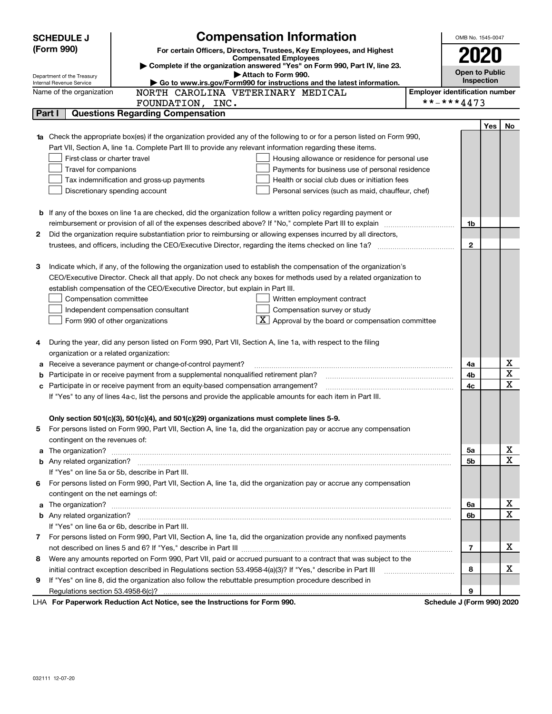|    | <b>Compensation Information</b><br><b>SCHEDULE J</b>                                                                                                                   | OMB No. 1545-0047                     |     |    |  |
|----|------------------------------------------------------------------------------------------------------------------------------------------------------------------------|---------------------------------------|-----|----|--|
|    | (Form 990)<br>For certain Officers, Directors, Trustees, Key Employees, and Highest                                                                                    |                                       |     |    |  |
|    | <b>Compensated Employees</b><br>Complete if the organization answered "Yes" on Form 990, Part IV, line 23.                                                             | 2020                                  |     |    |  |
|    | Attach to Form 990.<br>Department of the Treasury                                                                                                                      | <b>Open to Public</b>                 |     |    |  |
|    | Go to www.irs.gov/Form990 for instructions and the latest information.<br>Internal Revenue Service                                                                     | Inspection                            |     |    |  |
|    | NORTH CAROLINA VETERINARY MEDICAL<br>Name of the organization                                                                                                          | <b>Employer identification number</b> |     |    |  |
|    | FOUNDATION, INC.                                                                                                                                                       | **-***4473                            |     |    |  |
|    | <b>Questions Regarding Compensation</b><br>Part I                                                                                                                      |                                       |     |    |  |
|    |                                                                                                                                                                        |                                       | Yes | No |  |
|    | <b>1a</b> Check the appropriate box(es) if the organization provided any of the following to or for a person listed on Form 990,                                       |                                       |     |    |  |
|    | Part VII, Section A, line 1a. Complete Part III to provide any relevant information regarding these items.                                                             |                                       |     |    |  |
|    | First-class or charter travel<br>Housing allowance or residence for personal use                                                                                       |                                       |     |    |  |
|    | Travel for companions<br>Payments for business use of personal residence<br>Health or social club dues or initiation fees<br>Tax indemnification and gross-up payments |                                       |     |    |  |
|    | Discretionary spending account<br>Personal services (such as maid, chauffeur, chef)                                                                                    |                                       |     |    |  |
|    |                                                                                                                                                                        |                                       |     |    |  |
|    | <b>b</b> If any of the boxes on line 1a are checked, did the organization follow a written policy regarding payment or                                                 |                                       |     |    |  |
|    |                                                                                                                                                                        | 1b                                    |     |    |  |
| 2  | Did the organization require substantiation prior to reimbursing or allowing expenses incurred by all directors,                                                       |                                       |     |    |  |
|    |                                                                                                                                                                        | $\mathbf{2}$                          |     |    |  |
|    |                                                                                                                                                                        |                                       |     |    |  |
| з  | Indicate which, if any, of the following the organization used to establish the compensation of the organization's                                                     |                                       |     |    |  |
|    | CEO/Executive Director. Check all that apply. Do not check any boxes for methods used by a related organization to                                                     |                                       |     |    |  |
|    | establish compensation of the CEO/Executive Director, but explain in Part III.                                                                                         |                                       |     |    |  |
|    | Compensation committee<br>Written employment contract                                                                                                                  |                                       |     |    |  |
|    | Compensation survey or study<br>Independent compensation consultant                                                                                                    |                                       |     |    |  |
|    | $\boxed{\textbf{X}}$ Approval by the board or compensation committee<br>Form 990 of other organizations                                                                |                                       |     |    |  |
|    |                                                                                                                                                                        |                                       |     |    |  |
| 4  | During the year, did any person listed on Form 990, Part VII, Section A, line 1a, with respect to the filing                                                           |                                       |     |    |  |
|    | organization or a related organization:                                                                                                                                |                                       |     |    |  |
| а  | Receive a severance payment or change-of-control payment?                                                                                                              | 4a                                    |     | x  |  |
| b  | Participate in or receive payment from a supplemental nonqualified retirement plan?                                                                                    | 4b                                    |     | X  |  |
|    | Participate in or receive payment from an equity-based compensation arrangement?                                                                                       | 4с                                    |     | X  |  |
|    | If "Yes" to any of lines 4a-c, list the persons and provide the applicable amounts for each item in Part III.                                                          |                                       |     |    |  |
|    |                                                                                                                                                                        |                                       |     |    |  |
|    | Only section 501(c)(3), 501(c)(4), and 501(c)(29) organizations must complete lines 5-9.                                                                               |                                       |     |    |  |
| 5  | For persons listed on Form 990, Part VII, Section A, line 1a, did the organization pay or accrue any compensation                                                      |                                       |     |    |  |
|    | contingent on the revenues of:                                                                                                                                         |                                       |     |    |  |
| a  |                                                                                                                                                                        | 5a                                    |     | х  |  |
|    |                                                                                                                                                                        | 5b                                    |     | X  |  |
|    | If "Yes" on line 5a or 5b, describe in Part III.                                                                                                                       |                                       |     |    |  |
| 6. | For persons listed on Form 990, Part VII, Section A, line 1a, did the organization pay or accrue any compensation                                                      |                                       |     |    |  |
|    | contingent on the net earnings of:                                                                                                                                     |                                       |     |    |  |
| a  |                                                                                                                                                                        | 6a                                    |     | х  |  |
|    |                                                                                                                                                                        | 6b                                    |     | Χ  |  |
|    | If "Yes" on line 6a or 6b, describe in Part III.                                                                                                                       |                                       |     |    |  |
|    | 7 For persons listed on Form 990, Part VII, Section A, line 1a, did the organization provide any nonfixed payments                                                     |                                       |     |    |  |
|    |                                                                                                                                                                        | 7                                     |     | х  |  |
| 8  | Were any amounts reported on Form 990, Part VII, paid or accrued pursuant to a contract that was subject to the                                                        |                                       |     |    |  |
|    | initial contract exception described in Regulations section 53.4958-4(a)(3)? If "Yes," describe in Part III                                                            | 8                                     |     | х  |  |
| 9  | If "Yes" on line 8, did the organization also follow the rebuttable presumption procedure described in                                                                 |                                       |     |    |  |
|    |                                                                                                                                                                        | 9                                     |     |    |  |
|    | LHA For Paperwork Reduction Act Notice, see the Instructions for Form 990.                                                                                             | Schedule J (Form 990) 2020            |     |    |  |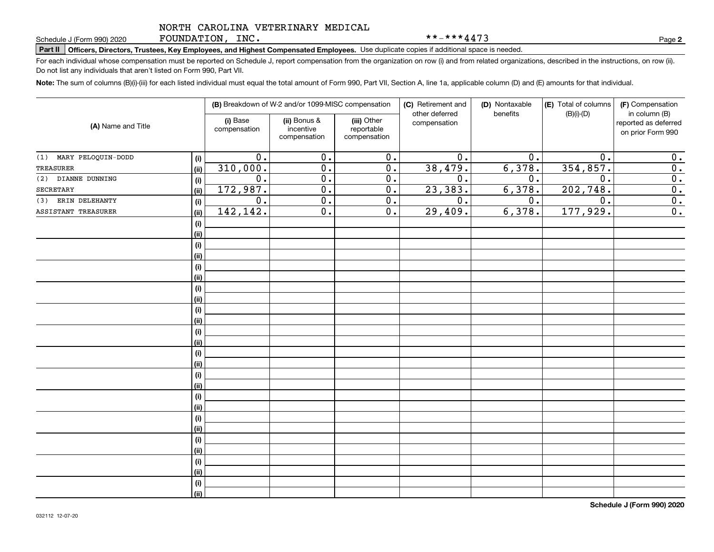FOUNDATION, INC.

\*\*-\*\*\*4473

**2**

# Schedule J (Form 990) 2020 Part **Philone Page Page III** Compensated Employees. Use duplicate copies if additional space is needed.<br>Part II Officers, Directors, Trustees, Key Employees, and Highest Compensated Employees. Us

For each individual whose compensation must be reported on Schedule J, report compensation from the organization on row (i) and from related organizations, described in the instructions, on row (ii). Do not list any individuals that aren't listed on Form 990, Part VII.

**Note:**  The sum of columns (B)(i)-(iii) for each listed individual must equal the total amount of Form 990, Part VII, Section A, line 1a, applicable column (D) and (E) amounts for that individual.

| (A) Name and Title        |      |                          | (B) Breakdown of W-2 and/or 1099-MISC compensation |                                           | (C) Retirement and<br>other deferred | (D) Nontaxable<br>benefits | (E) Total of columns<br>$(B)(i)-(D)$ | (F) Compensation<br>in column (B)         |  |
|---------------------------|------|--------------------------|----------------------------------------------------|-------------------------------------------|--------------------------------------|----------------------------|--------------------------------------|-------------------------------------------|--|
|                           |      | (i) Base<br>compensation | (ii) Bonus &<br>incentive<br>compensation          | (iii) Other<br>reportable<br>compensation | compensation                         |                            |                                      | reported as deferred<br>on prior Form 990 |  |
| MARY PELOQUIN-DODD<br>(1) | (i)  | $\overline{0}$ .         | $\overline{0}$ .                                   | $\overline{0}$ .                          | $\overline{0}$ .                     | 0.                         | 0.                                   | 0.                                        |  |
| <b>TREASURER</b>          | (ii) | 310,000.                 | $\overline{0}$ .                                   | $\overline{0}$ .                          | 38,479.                              | 6,378.                     | 354,857.                             | $\overline{0}$ .                          |  |
| DIANNE DUNNING<br>(2)     | (i)  | $\overline{0}$ .         | $\overline{0}$ .                                   | $\overline{0}$ .                          | $\overline{0}$ .                     | 0.                         | $\overline{0}$ .                     | $\overline{0}$ .                          |  |
| SECRETARY                 | (ii) | 172,987.                 | $\overline{0}$ .                                   | $\overline{0}$ .                          | 23,383.                              | 6,378.                     | 202,748.                             | 0.                                        |  |
| ERIN DELEHANTY<br>(3)     | (i)  | 0.                       | $\overline{0}$ .                                   | 0.                                        | 0.                                   | 0.                         | 0.                                   | 0.                                        |  |
| ASSISTANT TREASURER       | (ii) | 142,142.                 | $\overline{0}$ .                                   | 0.                                        | 29,409.                              | 6,378.                     | 177,929.                             | $\overline{0}$ .                          |  |
|                           | (i)  |                          |                                                    |                                           |                                      |                            |                                      |                                           |  |
|                           | (ii) |                          |                                                    |                                           |                                      |                            |                                      |                                           |  |
|                           | (i)  |                          |                                                    |                                           |                                      |                            |                                      |                                           |  |
|                           | (ii) |                          |                                                    |                                           |                                      |                            |                                      |                                           |  |
|                           | (i)  |                          |                                                    |                                           |                                      |                            |                                      |                                           |  |
|                           | (ii) |                          |                                                    |                                           |                                      |                            |                                      |                                           |  |
|                           | (i)  |                          |                                                    |                                           |                                      |                            |                                      |                                           |  |
|                           | (ii) |                          |                                                    |                                           |                                      |                            |                                      |                                           |  |
|                           | (i)  |                          |                                                    |                                           |                                      |                            |                                      |                                           |  |
|                           | (ii) |                          |                                                    |                                           |                                      |                            |                                      |                                           |  |
|                           | (i)  |                          |                                                    |                                           |                                      |                            |                                      |                                           |  |
|                           | (ii) |                          |                                                    |                                           |                                      |                            |                                      |                                           |  |
|                           | (i)  |                          |                                                    |                                           |                                      |                            |                                      |                                           |  |
|                           | (ii) |                          |                                                    |                                           |                                      |                            |                                      |                                           |  |
|                           | (i)  |                          |                                                    |                                           |                                      |                            |                                      |                                           |  |
|                           | (ii) |                          |                                                    |                                           |                                      |                            |                                      |                                           |  |
|                           | (i)  |                          |                                                    |                                           |                                      |                            |                                      |                                           |  |
|                           | (ii) |                          |                                                    |                                           |                                      |                            |                                      |                                           |  |
|                           | (i)  |                          |                                                    |                                           |                                      |                            |                                      |                                           |  |
|                           | (ii) |                          |                                                    |                                           |                                      |                            |                                      |                                           |  |
|                           | (i)  |                          |                                                    |                                           |                                      |                            |                                      |                                           |  |
|                           | (ii) |                          |                                                    |                                           |                                      |                            |                                      |                                           |  |
|                           | (i)  |                          |                                                    |                                           |                                      |                            |                                      |                                           |  |
|                           | (ii) |                          |                                                    |                                           |                                      |                            |                                      |                                           |  |
|                           | (i)  |                          |                                                    |                                           |                                      |                            |                                      |                                           |  |
|                           | (ii) |                          |                                                    |                                           |                                      |                            |                                      |                                           |  |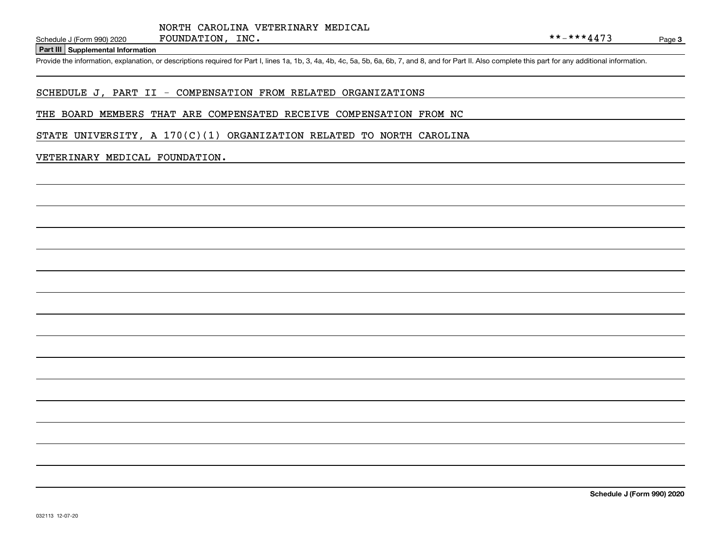#### **Part III Supplemental Information**

Schedule J (Form 990) 2020 FOUNDATION, INC.<br>Part III Supplemental Information<br>Provide the information, explanation, or descriptions required for Part I, lines 1a, 1b, 3, 4a, 4b, 4c, 5a, 5b, 6a, 6b, 7, and 8, and for Part I

# SCHEDULE J, PART II - COMPENSATION FROM RELATED ORGANIZATIONS

#### THE BOARD MEMBERS THAT ARE COMPENSATED RECEIVE COMPENSATION FROM NC

STATE UNIVERSITY, A  $170(C)(1)$  ORGANIZATION RELATED TO NORTH CAROLINA

#### VETERINARY MEDICAL FOUNDATION.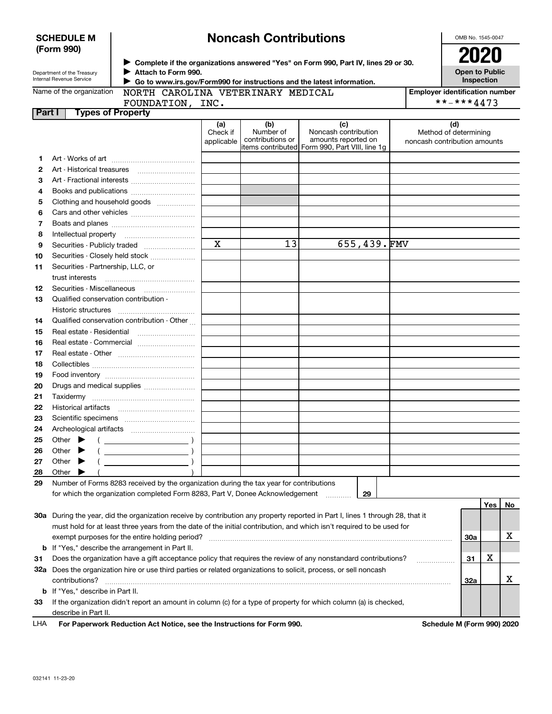| <b>SCHEDULE M</b> |  |
|-------------------|--|
| (Form 990)        |  |

# **Noncash Contributions**

OMB No. 1545-0047

| Department of the Treasury |
|----------------------------|
| Internal Revenue Service   |

**Complete if the organizations answered "Yes" on Form 990, Part IV, lines 29 or 30.** <sup>J</sup>**2020 Attach to Form 990.** J

**Open to Public Inspection**

| Name of the organization |  |
|--------------------------|--|
|--------------------------|--|

 **Go to www.irs.gov/Form990 for instructions and the latest information.** J NORTH CAROLINA VETERINARY MEDICAL

| <b>Employer identification number</b> |
|---------------------------------------|
| **-***4473                            |

**Part I Types of Property** FOUNDATION, INC.

| . . | ----- |
|-----|-------|
|     |       |
|     |       |
|     |       |
|     |       |
|     |       |
|     |       |

|     |                                                                                                                                | (a)<br>Check if | (b)<br>Number of | (c)<br>Noncash contribution                                           | (d)<br>Method of determining |     |     |    |
|-----|--------------------------------------------------------------------------------------------------------------------------------|-----------------|------------------|-----------------------------------------------------------------------|------------------------------|-----|-----|----|
|     |                                                                                                                                | applicable      | contributions or | amounts reported on<br>items contributed Form 990, Part VIII, line 1g | noncash contribution amounts |     |     |    |
| 1.  |                                                                                                                                |                 |                  |                                                                       |                              |     |     |    |
| 2   |                                                                                                                                |                 |                  |                                                                       |                              |     |     |    |
| З   |                                                                                                                                |                 |                  |                                                                       |                              |     |     |    |
| 4   | Books and publications                                                                                                         |                 |                  |                                                                       |                              |     |     |    |
| 5   | Clothing and household goods                                                                                                   |                 |                  |                                                                       |                              |     |     |    |
| 6   |                                                                                                                                |                 |                  |                                                                       |                              |     |     |    |
| 7   |                                                                                                                                |                 |                  |                                                                       |                              |     |     |    |
| 8   | Intellectual property                                                                                                          |                 |                  |                                                                       |                              |     |     |    |
| 9   | Securities - Publicly traded                                                                                                   | $\mathbf X$     | 13               | 655,439.FMV                                                           |                              |     |     |    |
| 10  | Securities - Closely held stock                                                                                                |                 |                  |                                                                       |                              |     |     |    |
| 11  | Securities - Partnership, LLC, or                                                                                              |                 |                  |                                                                       |                              |     |     |    |
|     | trust interests                                                                                                                |                 |                  |                                                                       |                              |     |     |    |
| 12  | Securities - Miscellaneous                                                                                                     |                 |                  |                                                                       |                              |     |     |    |
| 13  | Qualified conservation contribution                                                                                            |                 |                  |                                                                       |                              |     |     |    |
|     | Historic structures                                                                                                            |                 |                  |                                                                       |                              |     |     |    |
| 14  | Qualified conservation contribution - Other                                                                                    |                 |                  |                                                                       |                              |     |     |    |
| 15  | Real estate - Residential                                                                                                      |                 |                  |                                                                       |                              |     |     |    |
| 16  | Real estate - Commercial                                                                                                       |                 |                  |                                                                       |                              |     |     |    |
| 17  |                                                                                                                                |                 |                  |                                                                       |                              |     |     |    |
| 18  |                                                                                                                                |                 |                  |                                                                       |                              |     |     |    |
| 19  |                                                                                                                                |                 |                  |                                                                       |                              |     |     |    |
| 20  | Drugs and medical supplies                                                                                                     |                 |                  |                                                                       |                              |     |     |    |
| 21  |                                                                                                                                |                 |                  |                                                                       |                              |     |     |    |
| 22  | Historical artifacts                                                                                                           |                 |                  |                                                                       |                              |     |     |    |
| 23  |                                                                                                                                |                 |                  |                                                                       |                              |     |     |    |
| 24  |                                                                                                                                |                 |                  |                                                                       |                              |     |     |    |
| 25  | Other $\blacktriangleright$                                                                                                    |                 |                  |                                                                       |                              |     |     |    |
| 26  | Other<br>▶                                                                                                                     |                 |                  |                                                                       |                              |     |     |    |
| 27  | Other<br>▶                                                                                                                     |                 |                  |                                                                       |                              |     |     |    |
| 28  | Other                                                                                                                          |                 |                  |                                                                       |                              |     |     |    |
| 29  | Number of Forms 8283 received by the organization during the tax year for contributions                                        |                 |                  |                                                                       |                              |     |     |    |
|     | for which the organization completed Form 8283, Part V, Donee Acknowledgement                                                  |                 |                  | 29<br>1.1.1.1.1.1.1.1.1                                               |                              |     |     |    |
|     |                                                                                                                                |                 |                  |                                                                       |                              |     | Yes | No |
|     | 30a During the year, did the organization receive by contribution any property reported in Part I, lines 1 through 28, that it |                 |                  |                                                                       |                              |     |     |    |
|     | must hold for at least three years from the date of the initial contribution, and which isn't required to be used for          |                 |                  |                                                                       |                              |     |     |    |
|     | exempt purposes for the entire holding period?                                                                                 |                 |                  |                                                                       |                              | 30a |     | x  |
|     | <b>b</b> If "Yes," describe the arrangement in Part II.                                                                        |                 |                  |                                                                       |                              |     |     |    |
| 31  | Does the organization have a gift acceptance policy that requires the review of any nonstandard contributions?                 |                 |                  |                                                                       |                              | 31  | X   |    |
|     | 32a Does the organization hire or use third parties or related organizations to solicit, process, or sell noncash              |                 |                  |                                                                       |                              |     |     |    |
|     | contributions?                                                                                                                 |                 |                  |                                                                       |                              | 32a |     | x  |
|     | <b>b</b> If "Yes," describe in Part II.                                                                                        |                 |                  |                                                                       |                              |     |     |    |
| 33  | If the organization didn't report an amount in column (c) for a type of property for which column (a) is checked,              |                 |                  |                                                                       |                              |     |     |    |
|     | describe in Part II.                                                                                                           |                 |                  |                                                                       |                              |     |     |    |
| LHA | For Paperwork Reduction Act Notice, see the Instructions for Form 990.                                                         |                 |                  |                                                                       | Schedule M (Form 990) 2020   |     |     |    |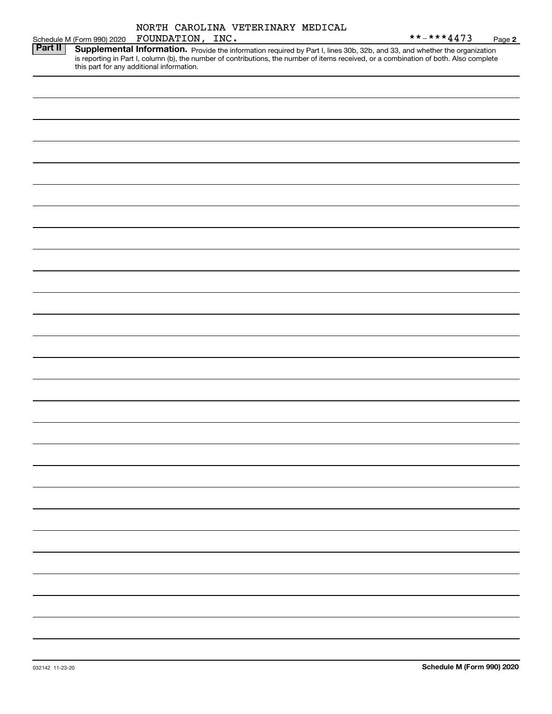|                            | NORTH CAROLINA VETERINARY MEDICAL                                                                                                                                                   |                          |  |
|----------------------------|-------------------------------------------------------------------------------------------------------------------------------------------------------------------------------------|--------------------------|--|
| Schedule M (Form 990) 2020 | FOUNDATION, INC.                                                                                                                                                                    | $***$ $***$ 4473<br>Page |  |
| Part II                    | Supplemental Information. Provide the information required by Part I, lines 30b, 32b, and 33, and whether the organization                                                          |                          |  |
|                            | is reporting in Part I, column (b), the number of contributions, the number of items received, or a combination of both. Also complete<br>this part for any additional information. |                          |  |

**2**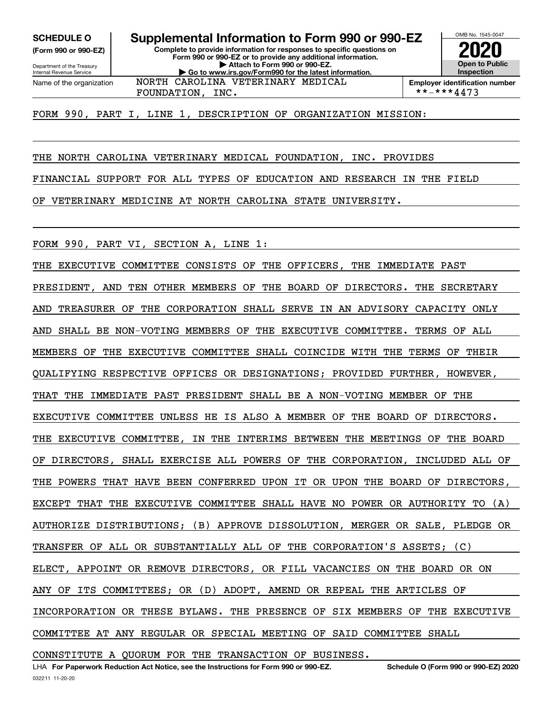**(Form 990 or 990-EZ)**

Department of the Treasury Internal Revenue Service Name of the organization

**Complete to provide information for responses to specific questions on Form 990 or 990-EZ or to provide any additional information. | Attach to Form 990 or 990-EZ. | Go to www.irs.gov/Form990 for the latest information. SCHEDULE O Supplemental Information to Form 990 or 990-EZ** NORTH CAROLINA VETERINARY MEDICAL

FOUNDATION, INC.  $| **-***4473$ 

**InspectionEmployer identification number**

OMB No. 1545-0047

**2020**

**Open to Public**

FORM 990, PART I, LINE 1, DESCRIPTION OF ORGANIZATION MISSION:

THE NORTH CAROLINA VETERINARY MEDICAL FOUNDATION, INC. PROVIDES

FINANCIAL SUPPORT FOR ALL TYPES OF EDUCATION AND RESEARCH IN THE FIELD

OF VETERINARY MEDICINE AT NORTH CAROLINA STATE UNIVERSITY.

FORM 990, PART VI, SECTION A, LINE 1:

THE EXECUTIVE COMMITTEE CONSISTS OF THE OFFICERS, THE IMMEDIATE PAST PRESIDENT, AND TEN OTHER MEMBERS OF THE BOARD OF DIRECTORS. THE SECRETARY AND TREASURER OF THE CORPORATION SHALL SERVE IN AN ADVISORY CAPACITY ONLY AND SHALL BE NON-VOTING MEMBERS OF THE EXECUTIVE COMMITTEE. TERMS OF ALL MEMBERS OF THE EXECUTIVE COMMITTEE SHALL COINCIDE WITH THE TERMS OF THEIR QUALIFYING RESPECTIVE OFFICES OR DESIGNATIONS; PROVIDED FURTHER, HOWEVER, THAT THE IMMEDIATE PAST PRESIDENT SHALL BE A NON-VOTING MEMBER OF THE EXECUTIVE COMMITTEE UNLESS HE IS ALSO A MEMBER OF THE BOARD OF DIRECTORS. THE EXECUTIVE COMMITTEE, IN THE INTERIMS BETWEEN THE MEETINGS OF THE BOARD OF DIRECTORS, SHALL EXERCISE ALL POWERS OF THE CORPORATION, INCLUDED ALL OF THE POWERS THAT HAVE BEEN CONFERRED UPON IT OR UPON THE BOARD OF DIRECTORS, EXCEPT THAT THE EXECUTIVE COMMITTEE SHALL HAVE NO POWER OR AUTHORITY TO (A) AUTHORIZE DISTRIBUTIONS; (B) APPROVE DISSOLUTION, MERGER OR SALE, PLEDGE OR TRANSFER OF ALL OR SUBSTANTIALLY ALL OF THE CORPORATION'S ASSETS; (C) ELECT, APPOINT OR REMOVE DIRECTORS, OR FILL VACANCIES ON THE BOARD OR ON ANY OF ITS COMMITTEES; OR (D) ADOPT, AMEND OR REPEAL THE ARTICLES OF INCORPORATION OR THESE BYLAWS. THE PRESENCE OF SIX MEMBERS OF THE EXECUTIVE COMMITTEE AT ANY REGULAR OR SPECIAL MEETING OF SAID COMMITTEE SHALL

CONNSTITUTE A QUORUM FOR THE TRANSACTION OF BUSINESS.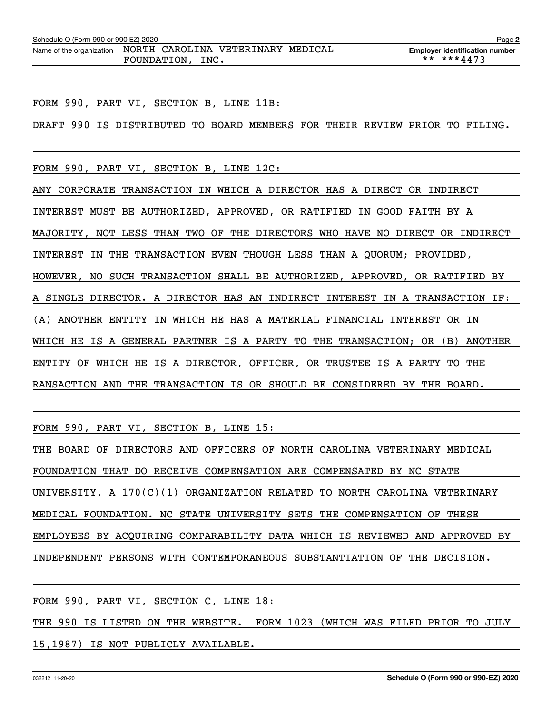| Schedule O (Form 990 or 990-EZ) 2020                           |                     |  | Page 2                                |
|----------------------------------------------------------------|---------------------|--|---------------------------------------|
| Name of the organization  NORTH  CAROLINA  VETERINARY  MEDICAL |                     |  | <b>Employer identification number</b> |
|                                                                | INC.<br>FOUNDATION, |  | **-***4473                            |

FORM 990, PART VI, SECTION B, LINE 11B:

DRAFT 990 IS DISTRIBUTED TO BOARD MEMBERS FOR THEIR REVIEW PRIOR TO FILING.

FORM 990, PART VI, SECTION B, LINE 12C:

ANY CORPORATE TRANSACTION IN WHICH A DIRECTOR HAS A DIRECT OR INDIRECT INTEREST MUST BE AUTHORIZED, APPROVED, OR RATIFIED IN GOOD FAITH BY A MAJORITY, NOT LESS THAN TWO OF THE DIRECTORS WHO HAVE NO DIRECT OR INDIRECT INTEREST IN THE TRANSACTION EVEN THOUGH LESS THAN A QUORUM; PROVIDED, HOWEVER, NO SUCH TRANSACTION SHALL BE AUTHORIZED, APPROVED, OR RATIFIED BY A SINGLE DIRECTOR. A DIRECTOR HAS AN INDIRECT INTEREST IN A TRANSACTION IF: (A) ANOTHER ENTITY IN WHICH HE HAS A MATERIAL FINANCIAL INTEREST OR IN WHICH HE IS A GENERAL PARTNER IS A PARTY TO THE TRANSACTION; OR (B) ANOTHER ENTITY OF WHICH HE IS A DIRECTOR, OFFICER, OR TRUSTEE IS A PARTY TO THE RANSACTION AND THE TRANSACTION IS OR SHOULD BE CONSIDERED BY THE BOARD.

FORM 990, PART VI, SECTION B, LINE 15:

THE BOARD OF DIRECTORS AND OFFICERS OF NORTH CAROLINA VETERINARY MEDICAL FOUNDATION THAT DO RECEIVE COMPENSATION ARE COMPENSATED BY NC STATE UNIVERSITY, A 170(C)(1) ORGANIZATION RELATED TO NORTH CAROLINA VETERINARY MEDICAL FOUNDATION. NC STATE UNIVERSITY SETS THE COMPENSATION OF THESE EMPLOYEES BY ACQUIRING COMPARABILITY DATA WHICH IS REVIEWED AND APPROVED BY INDEPENDENT PERSONS WITH CONTEMPORANEOUS SUBSTANTIATION OF THE DECISION.

FORM 990, PART VI, SECTION C, LINE 18:

THE 990 IS LISTED ON THE WEBSITE. FORM 1023 (WHICH WAS FILED PRIOR TO JULY 15,1987) IS NOT PUBLICLY AVAILABLE.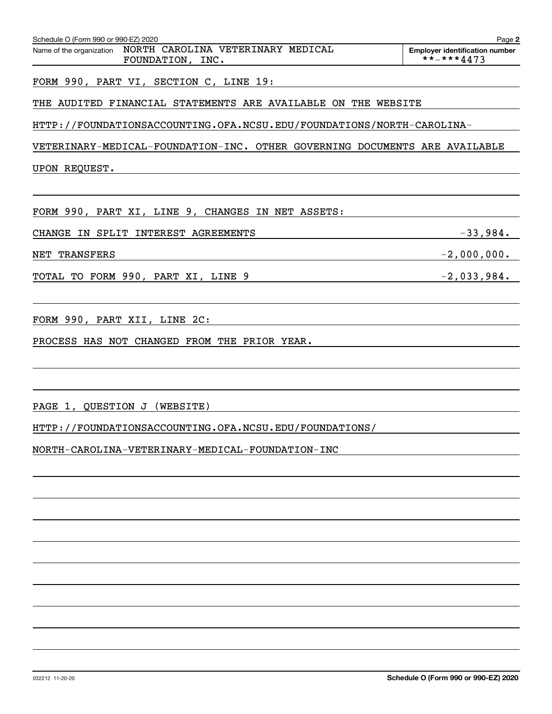| Schedule O (Form 990 or 990-EZ) 2020<br>Name of the organization NORTH CAROLINA VETERINARY MEDICAL | Page 2<br><b>Employer identification number</b> |
|----------------------------------------------------------------------------------------------------|-------------------------------------------------|
| FOUNDATION, INC.                                                                                   | **-***4473                                      |
| FORM 990, PART VI, SECTION C, LINE 19:                                                             |                                                 |
| THE AUDITED FINANCIAL STATEMENTS ARE AVAILABLE ON THE WEBSITE                                      |                                                 |
| HTTP://FOUNDATIONSACCOUNTING.OFA.NCSU.EDU/FOUNDATIONS/NORTH-CAROLINA-                              |                                                 |
| VETERINARY-MEDICAL-FOUNDATION-INC. OTHER GOVERNING DOCUMENTS ARE AVAILABLE                         |                                                 |
| UPON REQUEST.                                                                                      |                                                 |
|                                                                                                    |                                                 |
| FORM 990, PART XI, LINE 9, CHANGES IN NET ASSETS:                                                  |                                                 |
| CHANGE IN SPLIT INTEREST AGREEMENTS                                                                | $-33,984.$                                      |
| NET TRANSFERS                                                                                      | $-2,000,000.$                                   |
| TOTAL TO FORM 990, PART XI, LINE 9                                                                 | $-2,033,984.$                                   |
|                                                                                                    |                                                 |
| FORM 990, PART XII, LINE 2C:                                                                       |                                                 |
| PROCESS HAS NOT CHANGED FROM THE PRIOR YEAR.                                                       |                                                 |
|                                                                                                    |                                                 |
|                                                                                                    |                                                 |
| PAGE 1, QUESTION J (WEBSITE)                                                                       |                                                 |
| HTTP://FOUNDATIONSACCOUNTING.OFA.NCSU.EDU/FOUNDATIONS/                                             |                                                 |
| NORTH-CAROLINA-VETERINARY-MEDICAL-FOUNDATION-INC                                                   |                                                 |
|                                                                                                    |                                                 |
|                                                                                                    |                                                 |
|                                                                                                    |                                                 |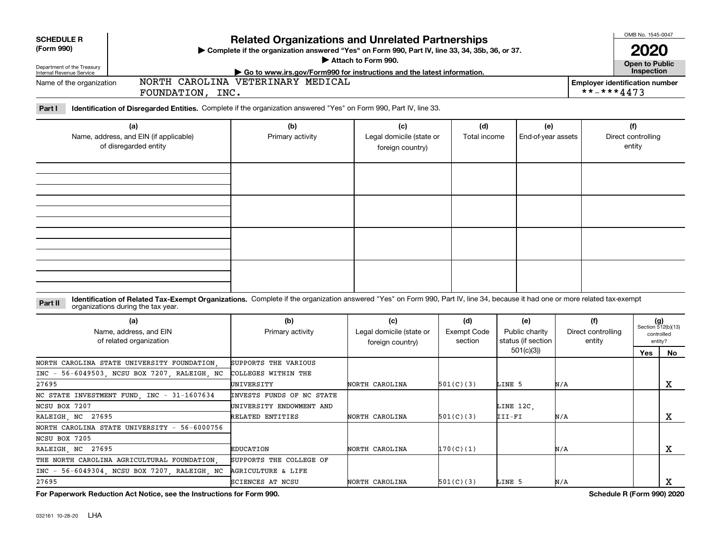| <b>SCHEDULE R</b>                                                                 |                                                                                                                                                                                                                    | <b>Related Organizations and Unrelated Partnerships</b>                                          |                                              | OMB No. 1545-0047  |                       |     |                    |                                                     |                             |
|-----------------------------------------------------------------------------------|--------------------------------------------------------------------------------------------------------------------------------------------------------------------------------------------------------------------|--------------------------------------------------------------------------------------------------|----------------------------------------------|--------------------|-----------------------|-----|--------------------|-----------------------------------------------------|-----------------------------|
| (Form 990)                                                                        |                                                                                                                                                                                                                    | > Complete if the organization answered "Yes" on Form 990, Part IV, line 33, 34, 35b, 36, or 37. |                                              |                    |                       |     |                    |                                                     |                             |
|                                                                                   |                                                                                                                                                                                                                    | Attach to Form 990.                                                                              |                                              |                    | <b>Open to Public</b> |     |                    |                                                     |                             |
| Department of the Treasury<br>Internal Revenue Service                            |                                                                                                                                                                                                                    | Go to www.irs.gov/Form990 for instructions and the latest information.                           |                                              |                    |                       |     |                    | Inspection                                          |                             |
| NORTH CAROLINA VETERINARY MEDICAL<br>Name of the organization<br>FOUNDATION, INC. |                                                                                                                                                                                                                    |                                                                                                  |                                              |                    |                       |     |                    | <b>Employer identification number</b><br>**-***4473 |                             |
| Part I                                                                            | Identification of Disregarded Entities. Complete if the organization answered "Yes" on Form 990, Part IV, line 33.                                                                                                 |                                                                                                  |                                              |                    |                       |     |                    |                                                     |                             |
|                                                                                   | (a)                                                                                                                                                                                                                | (b)                                                                                              | (c)                                          | (d)                | (e)                   |     |                    | (f)                                                 |                             |
|                                                                                   | Name, address, and EIN (if applicable)<br>of disregarded entity                                                                                                                                                    | Primary activity                                                                                 | Legal domicile (state or<br>foreign country) | Total income       | End-of-year assets    |     |                    | Direct controlling<br>entity                        |                             |
|                                                                                   |                                                                                                                                                                                                                    |                                                                                                  |                                              |                    |                       |     |                    |                                                     |                             |
|                                                                                   |                                                                                                                                                                                                                    |                                                                                                  |                                              |                    |                       |     |                    |                                                     |                             |
|                                                                                   |                                                                                                                                                                                                                    |                                                                                                  |                                              |                    |                       |     |                    |                                                     |                             |
|                                                                                   |                                                                                                                                                                                                                    |                                                                                                  |                                              |                    |                       |     |                    |                                                     |                             |
|                                                                                   |                                                                                                                                                                                                                    |                                                                                                  |                                              |                    |                       |     |                    |                                                     |                             |
| Part II                                                                           | Identification of Related Tax-Exempt Organizations. Complete if the organization answered "Yes" on Form 990, Part IV, line 34, because it had one or more related tax-exempt<br>organizations during the tax year. |                                                                                                  |                                              |                    |                       |     |                    |                                                     |                             |
|                                                                                   | (a)                                                                                                                                                                                                                | (b)                                                                                              | (c)                                          | (d)                | (e)                   | (f) |                    |                                                     | $(g)$<br>Section 512(b)(13) |
|                                                                                   | Name, address, and EIN                                                                                                                                                                                             | Primary activity                                                                                 | Legal domicile (state or                     | <b>Exempt Code</b> | Public charity        |     | Direct controlling |                                                     | controlled                  |
|                                                                                   | of related organization                                                                                                                                                                                            |                                                                                                  | foreign country)                             | section            | status (if section    |     | entity             |                                                     | entity?                     |
|                                                                                   |                                                                                                                                                                                                                    |                                                                                                  |                                              |                    | 501(c)(3)             |     |                    | <b>Yes</b>                                          | No                          |
|                                                                                   | NORTH CAROLINA STATE UNIVERSITY FOUNDATION                                                                                                                                                                         | SUPPORTS THE VARIOUS                                                                             |                                              |                    |                       |     |                    |                                                     |                             |
|                                                                                   | INC - 56-6049503, NCSU BOX 7207, RALEIGH, NC                                                                                                                                                                       | COLLEGES WITHIN THE                                                                              |                                              |                    |                       |     |                    |                                                     |                             |
| 27695                                                                             |                                                                                                                                                                                                                    | UNIVERSITY                                                                                       | NORTH CAROLINA                               | 501(C)(3)          | LINE 5                | N/A |                    |                                                     | x                           |
| NC STATE INVESTMENT FUND, INC                                                     | $-31-1607634$                                                                                                                                                                                                      | INVESTS FUNDS OF NC STATE                                                                        |                                              |                    |                       |     |                    |                                                     |                             |
| NCSU BOX 7207                                                                     |                                                                                                                                                                                                                    | UNIVERSITY ENDOWMENT AND                                                                         |                                              |                    | LINE 12C,             |     |                    |                                                     |                             |
| RALEIGH, NC 27695                                                                 |                                                                                                                                                                                                                    | RELATED ENTITIES                                                                                 | NORTH CAROLINA                               | 501(C)(3)          | III-FI                | N/A |                    |                                                     | $\mathbf X$                 |
|                                                                                   | NORTH CAROLINA STATE UNIVERSITY - 56-6000756                                                                                                                                                                       |                                                                                                  |                                              |                    |                       |     |                    |                                                     |                             |
| NCSU BOX 7205                                                                     |                                                                                                                                                                                                                    |                                                                                                  |                                              |                    |                       |     |                    |                                                     |                             |
| RALEIGH, NC 27695                                                                 |                                                                                                                                                                                                                    | <b>EDUCATION</b>                                                                                 | NORTH CAROLINA                               | 170(C)(1)          |                       | N/A |                    |                                                     | X                           |
|                                                                                   | THE NORTH CAROLINA AGRICULTURAL FOUNDATION                                                                                                                                                                         | SUPPORTS THE COLLEGE OF                                                                          |                                              |                    |                       |     |                    |                                                     |                             |
|                                                                                   | INC - 56-6049304, NCSU BOX 7207, RALEIGH, NC                                                                                                                                                                       | <b>AGRICULTURE &amp; LIFE</b>                                                                    |                                              |                    |                       |     |                    |                                                     |                             |
| 27695                                                                             |                                                                                                                                                                                                                    | SCIENCES AT NCSU                                                                                 | NORTH CAROLINA                               | 501(C)(3)          | LINE 5                | N/A |                    |                                                     | х                           |

**For Paperwork Reduction Act Notice, see the Instructions for Form 990. Schedule R (Form 990) 2020**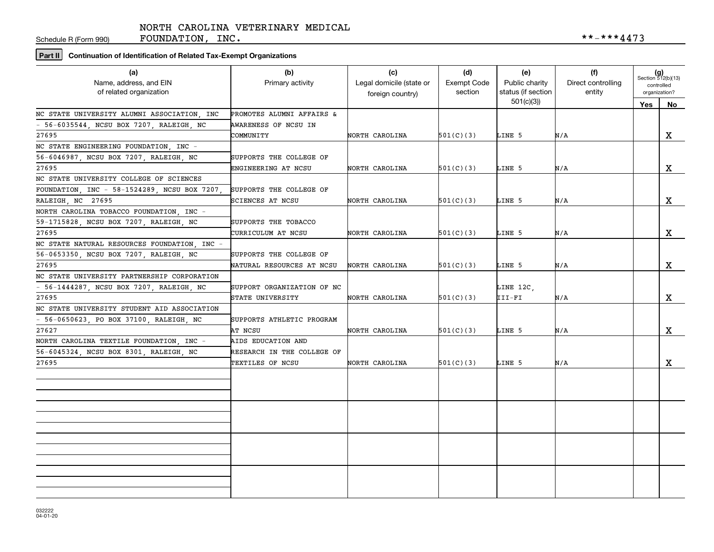Schedule R (Form 990)

FOUNDATION, INC.  $***-4473$ 

# **Part II Continuation of Identification of Related Tax-Exempt Organizations**

| (a)<br>Name, address, and EIN<br>of related organization | (b)<br>Primary activity    | (c)<br>Legal domicile (state or<br>foreign country) | (d)<br><b>Exempt Code</b><br>section | (e)<br>Public charity<br>status (if section | (f)<br>Direct controlling<br>entity |     | $(g)$<br>Section 512(b)(13)<br>controlled<br>organization? |
|----------------------------------------------------------|----------------------------|-----------------------------------------------------|--------------------------------------|---------------------------------------------|-------------------------------------|-----|------------------------------------------------------------|
|                                                          |                            |                                                     |                                      | 501(c)(3)                                   |                                     | Yes | No                                                         |
| NC STATE UNIVERSITY ALUMNI ASSOCIATION, INC              | PROMOTES ALUMNI AFFAIRS &  |                                                     |                                      |                                             |                                     |     |                                                            |
| - 56-6035544, NCSU BOX 7207, RALEIGH, NC                 | AWARENESS OF NCSU IN       |                                                     |                                      |                                             |                                     |     |                                                            |
| 27695                                                    | COMMUNITY                  | NORTH CAROLINA                                      | 501(C)(3)                            | LINE 5                                      | N/A                                 |     | X                                                          |
| NC STATE ENGINEERING FOUNDATION, INC -                   |                            |                                                     |                                      |                                             |                                     |     |                                                            |
| 56-6046987, NCSU BOX 7207, RALEIGH, NC                   | SUPPORTS THE COLLEGE OF    |                                                     |                                      |                                             |                                     |     |                                                            |
| 27695                                                    | ENGINEERING AT NCSU        | NORTH CAROLINA                                      | 501(C)(3)                            | LINE 5                                      | N/A                                 |     | X                                                          |
| NC STATE UNIVERSITY COLLEGE OF SCIENCES                  |                            |                                                     |                                      |                                             |                                     |     |                                                            |
| FOUNDATION, INC - 58-1524289, NCSU BOX 7207,             | SUPPORTS THE COLLEGE OF    |                                                     |                                      |                                             |                                     |     |                                                            |
| RALEIGH, NC 27695                                        | SCIENCES AT NCSU           | NORTH CAROLINA                                      | 501(C)(3)                            | LINE 5                                      | N/A                                 |     | x                                                          |
| NORTH CAROLINA TOBACCO FOUNDATION . INC -                |                            |                                                     |                                      |                                             |                                     |     |                                                            |
| 59-1715828, NCSU BOX 7207, RALEIGH, NC                   | SUPPORTS THE TOBACCO       |                                                     |                                      |                                             |                                     |     |                                                            |
| 27695                                                    | CURRICULUM AT NCSU         | NORTH CAROLINA                                      | 501(C)(3)                            | LINE 5                                      | N/A                                 |     | X                                                          |
| NC STATE NATURAL RESOURCES FOUNDATION, INC -             |                            |                                                     |                                      |                                             |                                     |     |                                                            |
| 56-0653350, NCSU BOX 7207, RALEIGH, NC                   | SUPPORTS THE COLLEGE OF    |                                                     |                                      |                                             |                                     |     |                                                            |
| 27695                                                    | NATURAL RESOURCES AT NCSU  | NORTH CAROLINA                                      | 501(C)(3)                            | LINE 5                                      | N/A                                 |     | X                                                          |
| NC STATE UNIVERSITY PARTNERSHIP CORPORATION              |                            |                                                     |                                      |                                             |                                     |     |                                                            |
| - 56-1444287, NCSU BOX 7207, RALEIGH, NC                 | SUPPORT ORGANIZATION OF NC |                                                     |                                      | LINE 12C,                                   |                                     |     |                                                            |
| 27695                                                    | STATE UNIVERSITY           | NORTH CAROLINA                                      | 501(C)(3)                            | III-FI                                      | N/A                                 |     | X                                                          |
| NC STATE UNIVERSITY STUDENT AID ASSOCIATION              |                            |                                                     |                                      |                                             |                                     |     |                                                            |
| - 56-0650623, PO BOX 37100, RALEIGH, NC                  | SUPPORTS ATHLETIC PROGRAM  |                                                     |                                      |                                             |                                     |     |                                                            |
| 27627                                                    | AT NCSU                    | NORTH CAROLINA                                      | 501(C)(3)                            | LINE 5                                      | N/A                                 |     | $\mathbf X$                                                |
| NORTH CAROLINA TEXTILE FOUNDATION, INC -                 | AIDS EDUCATION AND         |                                                     |                                      |                                             |                                     |     |                                                            |
| 56-6045324, NCSU BOX 8301, RALEIGH, NC                   | RESEARCH IN THE COLLEGE OF |                                                     |                                      |                                             |                                     |     |                                                            |
| 27695                                                    | TEXTILES OF NCSU           | NORTH CAROLINA                                      | 501(C)(3)                            | LINE 5                                      | N/A                                 |     | X                                                          |
|                                                          |                            |                                                     |                                      |                                             |                                     |     |                                                            |
|                                                          |                            |                                                     |                                      |                                             |                                     |     |                                                            |
|                                                          |                            |                                                     |                                      |                                             |                                     |     |                                                            |
|                                                          |                            |                                                     |                                      |                                             |                                     |     |                                                            |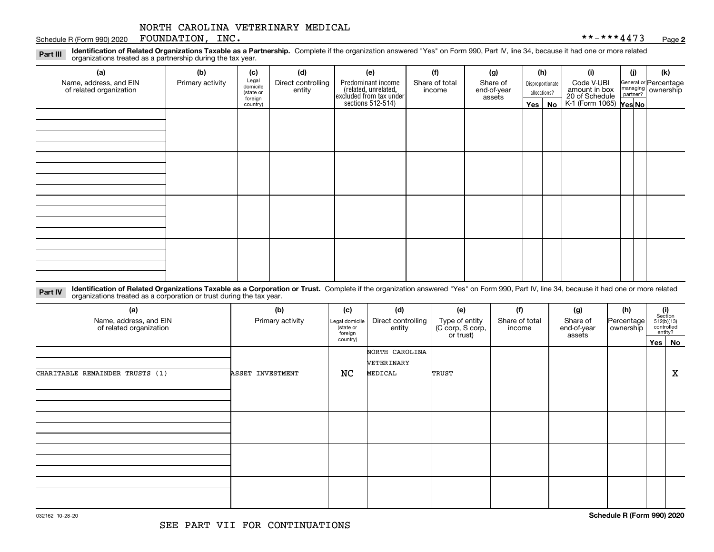#### Schedule R (Form 990) 2020 Page FOUNDATION, INC. \*\*-\*\*\*4473

**2**

**Identification of Related Organizations Taxable as a Partnership.** Complete if the organization answered "Yes" on Form 990, Part IV, line 34, because it had one or more related **Part III** organizations treated as a partnership during the tax year.

| (a)<br>Name, address, and EIN<br>of related organization | (b)<br>(d)<br>(c)<br>Legal<br>domicile<br>Primary activity |                                  | Direct controlling | (e)                                                                                        | (f)<br>Share of total | (g)<br>Share of       |                               | (h)<br>Disproportionate | (i)<br>Code V-UBI                                                | (i) | (k)<br>General or Percentage<br>managing<br>partner?<br>partner? |
|----------------------------------------------------------|------------------------------------------------------------|----------------------------------|--------------------|--------------------------------------------------------------------------------------------|-----------------------|-----------------------|-------------------------------|-------------------------|------------------------------------------------------------------|-----|------------------------------------------------------------------|
|                                                          |                                                            | (state or<br>foreign<br>country) | entity             | Predominant income<br>(related, unrelated,<br>excluded from tax under<br>sections 512-514) | income                | end-of-year<br>assets | allocations?<br>Yes $ $<br>No |                         | amount in box<br>20 of Schedule<br>K-1 (Form 1065) <b>Yes No</b> |     |                                                                  |
|                                                          |                                                            |                                  |                    |                                                                                            |                       |                       |                               |                         |                                                                  |     |                                                                  |
|                                                          |                                                            |                                  |                    |                                                                                            |                       |                       |                               |                         |                                                                  |     |                                                                  |
|                                                          |                                                            |                                  |                    |                                                                                            |                       |                       |                               |                         |                                                                  |     |                                                                  |
|                                                          |                                                            |                                  |                    |                                                                                            |                       |                       |                               |                         |                                                                  |     |                                                                  |
|                                                          |                                                            |                                  |                    |                                                                                            |                       |                       |                               |                         |                                                                  |     |                                                                  |
|                                                          |                                                            |                                  |                    |                                                                                            |                       |                       |                               |                         |                                                                  |     |                                                                  |
|                                                          |                                                            |                                  |                    |                                                                                            |                       |                       |                               |                         |                                                                  |     |                                                                  |
|                                                          |                                                            |                                  |                    |                                                                                            |                       |                       |                               |                         |                                                                  |     |                                                                  |
|                                                          |                                                            |                                  |                    |                                                                                            |                       |                       |                               |                         |                                                                  |     |                                                                  |
|                                                          |                                                            |                                  |                    |                                                                                            |                       |                       |                               |                         |                                                                  |     |                                                                  |

**Identification of Related Organizations Taxable as a Corporation or Trust.** Complete if the organization answered "Yes" on Form 990, Part IV, line 34, because it had one or more related **Part IV** organizations treated as a corporation or trust during the tax year.

| (a)<br>Name, address, and EIN<br>of related organization | (b)<br>Primary activity |                     | (d)<br>Direct controlling<br>entity | (e)<br>Type of entity<br>(C corp, S corp,<br>or trust) | (f)<br>Share of total<br>income | (g)<br>Share of<br>end-of-year<br>assets | (h)<br>Percentage<br>ownership | (i)<br>Section<br>$512(b)(13)$<br>controlled<br>entity? |
|----------------------------------------------------------|-------------------------|---------------------|-------------------------------------|--------------------------------------------------------|---------------------------------|------------------------------------------|--------------------------------|---------------------------------------------------------|
|                                                          |                         | foreign<br>country) |                                     |                                                        |                                 |                                          |                                | Yes   No                                                |
|                                                          |                         |                     | NORTH CAROLINA<br>VETERINARY        |                                                        |                                 |                                          |                                |                                                         |
| CHARITABLE REMAINDER TRUSTS (1)                          | ASSET INVESTMENT        | NC                  | MEDICAL                             | TRUST                                                  |                                 |                                          |                                | $\mathbf X$                                             |
|                                                          |                         |                     |                                     |                                                        |                                 |                                          |                                |                                                         |
|                                                          |                         |                     |                                     |                                                        |                                 |                                          |                                |                                                         |
|                                                          |                         |                     |                                     |                                                        |                                 |                                          |                                |                                                         |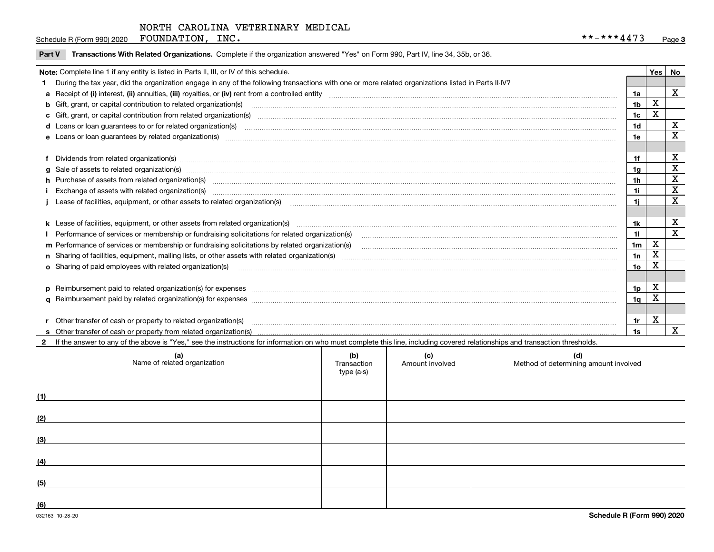Schedule R (Form 990) 2020 Page FOUNDATION, INC. \*\*-\*\*\*4473

|  |  | Part V Transactions With Related Organizations. Complete if the organization answered "Yes" on Form 990, Part IV, line 34, 35b, or 36. |  |
|--|--|----------------------------------------------------------------------------------------------------------------------------------------|--|
|--|--|----------------------------------------------------------------------------------------------------------------------------------------|--|

| Note: Complete line 1 if any entity is listed in Parts II, III, or IV of this schedule.                                                                                                                                        |                | Yes | No |
|--------------------------------------------------------------------------------------------------------------------------------------------------------------------------------------------------------------------------------|----------------|-----|----|
| During the tax year, did the organization engage in any of the following transactions with one or more related organizations listed in Parts II-IV?                                                                            |                |     |    |
| a Receipt of (i) interest, (ii) annuities, (iii) royalties, or (iv) rent from a controlled entity [1] controlled entity [1] controlled entimed to the controlled entity [1] content content content content of (i) interest, ( | 1a             |     | X  |
| b Gift, grant, or capital contribution to related organization(s) manufaction contains and contribution to related organization(s) manufaction contains and contribution to related organization(s) manufaction and contains a | 1 <sub>b</sub> | Χ   |    |
|                                                                                                                                                                                                                                | 1c             | X   |    |
|                                                                                                                                                                                                                                | 1d             |     | x  |
| e Loans or loan quarantees by related organization(s)                                                                                                                                                                          | 1e             |     | X  |
|                                                                                                                                                                                                                                |                |     |    |
| f Dividends from related organization(s) manufactured and contract the contract of the contract of the contract of the contract of the contract of the contract of the contract of the contract of the contract of the contrac | 1f             |     | х  |
| g Sale of assets to related organization(s) www.assettion.com/www.assettion.com/www.assettion.com/www.assettion.com/www.assettion.com/www.assettion.com/www.assettion.com/www.assettion.com/www.assettion.com/www.assettion.co | 1a             |     | X  |
| h Purchase of assets from related organization(s) manufactured and content and content and content and content and content and content and content and content and content and content and content and content and content and | 1h             |     | X  |
|                                                                                                                                                                                                                                | 1i             |     | X  |
|                                                                                                                                                                                                                                | 1i.            |     | X  |
|                                                                                                                                                                                                                                |                |     |    |
|                                                                                                                                                                                                                                | 1k             |     | х  |
| Performance of services or membership or fundraising solicitations for related organization(s)                                                                                                                                 | 11             |     | X  |
| m Performance of services or membership or fundraising solicitations by related organization(s)                                                                                                                                | 1 <sub>m</sub> | X   |    |
|                                                                                                                                                                                                                                | 1n             | X   |    |
|                                                                                                                                                                                                                                | 10             | Χ   |    |
|                                                                                                                                                                                                                                |                |     |    |
| p Reimbursement paid to related organization(s) for expenses [111] and the material content of the set of the set of the set of the set of the set of the set of the set of the set of the set of the set of the set of the se | 1p             | X   |    |
|                                                                                                                                                                                                                                | 1a             | х   |    |
|                                                                                                                                                                                                                                |                |     |    |
|                                                                                                                                                                                                                                | 1r             | х   |    |
|                                                                                                                                                                                                                                | 1s             |     | X  |

**2**If the answer to any of the above is "Yes," see the instructions for information on who must complete this line, including covered relationships and transaction thresholds. **(a) (b) (c) (d) (1)(2)(3) (4) (5) (6)**Name of related organization  $\vert$  Transaction type (a-s) Amount involved letter are method of determining amount involved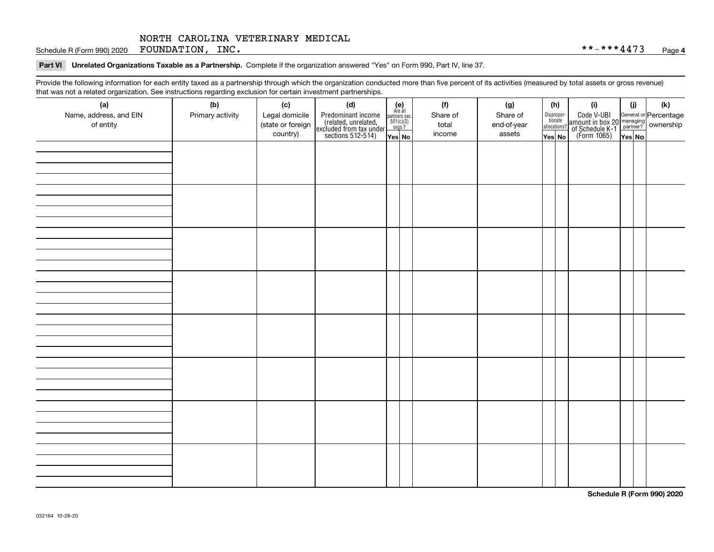Schedule R (Form 990) 2020 Page FOUNDATION, INC. \*\*-\*\*\*4473

#### **Part VI Unrelated Organizations Taxable as a Partnership. Complete if the organization answered "Yes" on Form 990, Part IV, line 37.**

Provide the following information for each entity taxed as a partnership through which the organization conducted more than five percent of its activities (measured by total assets or gross revenue) that was not a related organization. See instructions regarding exclusion for certain investment partnerships.

| ັ                      | ັ<br>ັ           |                   |                                                                                            |                                      |          |  |             |                                       |                                                                                                                                       |       |     |  |
|------------------------|------------------|-------------------|--------------------------------------------------------------------------------------------|--------------------------------------|----------|--|-------------|---------------------------------------|---------------------------------------------------------------------------------------------------------------------------------------|-------|-----|--|
| (a)                    | (b)              | (c)               | (d)                                                                                        | (e)<br>Are all                       | (f)      |  | (g)         | (h)                                   | (i)                                                                                                                                   | (i)   | (k) |  |
| Name, address, and EIN | Primary activity | Legal domicile    | Predominant income<br>(related, unrelated,<br>excluded from tax under<br>sections 512-514) | partners sec.<br>501(c)(3)<br>orgs.? | Share of |  | Share of    | Dispropor-<br>tionate<br>allocations? | Code V-UBI<br>  amount in box 20 managing<br>  of Schedule K-1 partner? ownership<br>  of Schedule K-1 partner? ownership<br>  Yes No |       |     |  |
| of entity              |                  | (state or foreign |                                                                                            |                                      | total    |  | end-of-year |                                       |                                                                                                                                       |       |     |  |
|                        |                  | country)          |                                                                                            | Yes No                               | income   |  | assets      | Yes No                                |                                                                                                                                       | YesNO |     |  |
|                        |                  |                   |                                                                                            |                                      |          |  |             |                                       |                                                                                                                                       |       |     |  |
|                        |                  |                   |                                                                                            |                                      |          |  |             |                                       |                                                                                                                                       |       |     |  |
|                        |                  |                   |                                                                                            |                                      |          |  |             |                                       |                                                                                                                                       |       |     |  |
|                        |                  |                   |                                                                                            |                                      |          |  |             |                                       |                                                                                                                                       |       |     |  |
|                        |                  |                   |                                                                                            |                                      |          |  |             |                                       |                                                                                                                                       |       |     |  |
|                        |                  |                   |                                                                                            |                                      |          |  |             |                                       |                                                                                                                                       |       |     |  |
|                        |                  |                   |                                                                                            |                                      |          |  |             |                                       |                                                                                                                                       |       |     |  |
|                        |                  |                   |                                                                                            |                                      |          |  |             |                                       |                                                                                                                                       |       |     |  |
|                        |                  |                   |                                                                                            |                                      |          |  |             |                                       |                                                                                                                                       |       |     |  |
|                        |                  |                   |                                                                                            |                                      |          |  |             |                                       |                                                                                                                                       |       |     |  |
|                        |                  |                   |                                                                                            |                                      |          |  |             |                                       |                                                                                                                                       |       |     |  |
|                        |                  |                   |                                                                                            |                                      |          |  |             |                                       |                                                                                                                                       |       |     |  |
|                        |                  |                   |                                                                                            |                                      |          |  |             |                                       |                                                                                                                                       |       |     |  |
|                        |                  |                   |                                                                                            |                                      |          |  |             |                                       |                                                                                                                                       |       |     |  |
|                        |                  |                   |                                                                                            |                                      |          |  |             |                                       |                                                                                                                                       |       |     |  |
|                        |                  |                   |                                                                                            |                                      |          |  |             |                                       |                                                                                                                                       |       |     |  |
|                        |                  |                   |                                                                                            |                                      |          |  |             |                                       |                                                                                                                                       |       |     |  |
|                        |                  |                   |                                                                                            |                                      |          |  |             |                                       |                                                                                                                                       |       |     |  |
|                        |                  |                   |                                                                                            |                                      |          |  |             |                                       |                                                                                                                                       |       |     |  |
|                        |                  |                   |                                                                                            |                                      |          |  |             |                                       |                                                                                                                                       |       |     |  |
|                        |                  |                   |                                                                                            |                                      |          |  |             |                                       |                                                                                                                                       |       |     |  |
|                        |                  |                   |                                                                                            |                                      |          |  |             |                                       |                                                                                                                                       |       |     |  |
|                        |                  |                   |                                                                                            |                                      |          |  |             |                                       |                                                                                                                                       |       |     |  |
|                        |                  |                   |                                                                                            |                                      |          |  |             |                                       |                                                                                                                                       |       |     |  |
|                        |                  |                   |                                                                                            |                                      |          |  |             |                                       |                                                                                                                                       |       |     |  |
|                        |                  |                   |                                                                                            |                                      |          |  |             |                                       |                                                                                                                                       |       |     |  |
|                        |                  |                   |                                                                                            |                                      |          |  |             |                                       |                                                                                                                                       |       |     |  |
|                        |                  |                   |                                                                                            |                                      |          |  |             |                                       |                                                                                                                                       |       |     |  |
|                        |                  |                   |                                                                                            |                                      |          |  |             |                                       |                                                                                                                                       |       |     |  |
|                        |                  |                   |                                                                                            |                                      |          |  |             |                                       |                                                                                                                                       |       |     |  |
|                        |                  |                   |                                                                                            |                                      |          |  |             |                                       |                                                                                                                                       |       |     |  |
|                        |                  |                   |                                                                                            |                                      |          |  |             |                                       |                                                                                                                                       |       |     |  |
|                        |                  |                   |                                                                                            |                                      |          |  |             |                                       |                                                                                                                                       |       |     |  |
|                        |                  |                   |                                                                                            |                                      |          |  |             |                                       |                                                                                                                                       |       |     |  |
|                        |                  |                   |                                                                                            |                                      |          |  |             |                                       |                                                                                                                                       |       |     |  |

**Schedule R (Form 990) 2020**